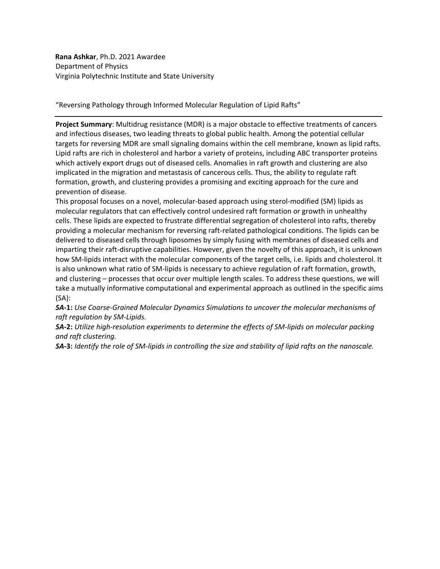**Rana Ashkar**, Ph.D. 2021 Awardee Department of Physics Virginia Polytechnic Institute and State University

"Reversing Pathology through Informed Molecular Regulation of Lipid Rafts"

**Project Summary**: Multidrug resistance (MDR) is a major obstacle to effective treatments of cancers and infectious diseases, two leading threats to global public health. Among the potential cellular targets for reversing MDR are small signaling domains within the cell membrane, known as lipid rafts. Lipid rafts are rich in cholesterol and harbor a variety of proteins, including ABC transporter proteins which actively export drugs out of diseased cells. Anomalies in raft growth and clustering are also implicated in the migration and metastasis of cancerous cells. Thus, the ability to regulate raft formation, growth, and clustering provides a promising and exciting approach for the cure and prevention of disease.

This proposal focuses on a novel, molecular-based approach using sterol-modified (SM) lipids as molecular regulators that can effectively control undesired raft formation or growth in unhealthy cells. These lipids are expected to frustrate differential segregation of cholesterol into rafts, thereby providing a molecular mechanism for reversing raft-related pathological conditions. The lipids can be delivered to diseased cells through liposomes by simply fusing with membranes of diseased cells and imparting their raft-disruptive capabilities. However, given the novelty of this approach, it is unknown how SM-lipids interact with the molecular components of the target cells, i.e. lipids and cholesterol. It is also unknown what ratio of SM-lipids is necessary to achieve regulation of raft formation, growth, and clustering – processes that occur over multiple length scales. To address these questions, we will take a mutually informative computational and experimental approach as outlined in the specific aims (SA):

*SA-***1:** *Use Coarse-Grained Molecular Dynamics Simulations to uncover the molecular mechanisms of raft regulation by SM-Lipids.* 

*SA-***2:** *Utilize high-resolution experiments to determine the effects of SM-lipids on molecular packing and raft clustering.* 

*SA-***3:** *Identify the role of SM-lipids in controlling the size and stability of lipid rafts on the nanoscale.*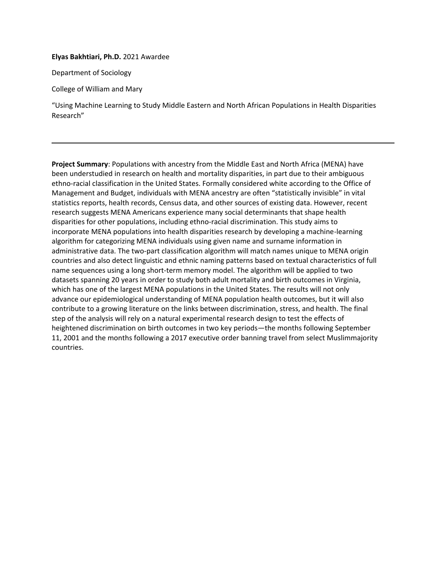**Elyas Bakhtiari, Ph.D.** 2021 Awardee

Department of Sociology

College of William and Mary

"Using Machine Learning to Study Middle Eastern and North African Populations in Health Disparities Research"

**Project Summary**: Populations with ancestry from the Middle East and North Africa (MENA) have been understudied in research on health and mortality disparities, in part due to their ambiguous ethno-racial classification in the United States. Formally considered white according to the Office of Management and Budget, individuals with MENA ancestry are often "statistically invisible" in vital statistics reports, health records, Census data, and other sources of existing data. However, recent research suggests MENA Americans experience many social determinants that shape health disparities for other populations, including ethno-racial discrimination. This study aims to incorporate MENA populations into health disparities research by developing a machine-learning algorithm for categorizing MENA individuals using given name and surname information in administrative data. The two-part classification algorithm will match names unique to MENA origin countries and also detect linguistic and ethnic naming patterns based on textual characteristics of full name sequences using a long short-term memory model. The algorithm will be applied to two datasets spanning 20 years in order to study both adult mortality and birth outcomes in Virginia, which has one of the largest MENA populations in the United States. The results will not only advance our epidemiological understanding of MENA population health outcomes, but it will also contribute to a growing literature on the links between discrimination, stress, and health. The final step of the analysis will rely on a natural experimental research design to test the effects of heightened discrimination on birth outcomes in two key periods—the months following September 11, 2001 and the months following a 2017 executive order banning travel from select Muslimmajority countries.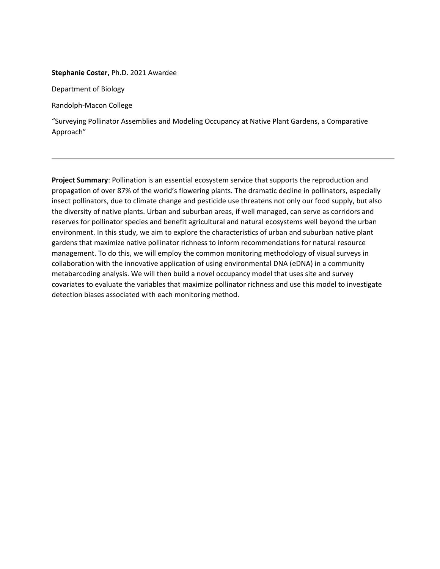### **Stephanie Coster,** Ph.D. 2021 Awardee

Department of Biology

Randolph-Macon College

"Surveying Pollinator Assemblies and Modeling Occupancy at Native Plant Gardens, a Comparative Approach"

**Project Summary**: Pollination is an essential ecosystem service that supports the reproduction and propagation of over 87% of the world's flowering plants. The dramatic decline in pollinators, especially insect pollinators, due to climate change and pesticide use threatens not only our food supply, but also the diversity of native plants. Urban and suburban areas, if well managed, can serve as corridors and reserves for pollinator species and benefit agricultural and natural ecosystems well beyond the urban environment. In this study, we aim to explore the characteristics of urban and suburban native plant gardens that maximize native pollinator richness to inform recommendations for natural resource management. To do this, we will employ the common monitoring methodology of visual surveys in collaboration with the innovative application of using environmental DNA (eDNA) in a community metabarcoding analysis. We will then build a novel occupancy model that uses site and survey covariates to evaluate the variables that maximize pollinator richness and use this model to investigate detection biases associated with each monitoring method.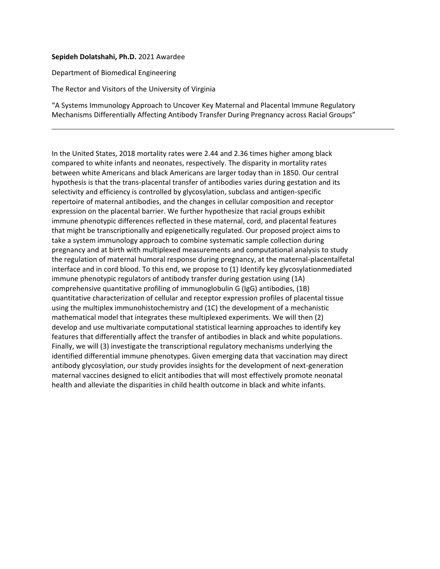### **Sepideh Dolatshahi, Ph.D.** 2021 Awardee

Department of Biomedical Engineering

The Rector and Visitors of the University of Virginia

"A Systems Immunology Approach to Uncover Key Maternal and Placental Immune Regulatory Mechanisms Differentially Affecting Antibody Transfer During Pregnancy across Racial Groups"

In the United States, 2018 mortality rates were 2.44 and 2.36 times higher among black compared to white infants and neonates, respectively. The disparity in mortality rates between white Americans and black Americans are larger today than in 1850. Our central hypothesis is that the trans-placental transfer of antibodies varies during gestation and its selectivity and efficiency is controlled by glycosylation, subclass and antigen-specific repertoire of maternal antibodies, and the changes in cellular composition and receptor expression on the placental barrier. We further hypothesize that racial groups exhibit immune phenotypic differences reflected in these maternal, cord, and placental features that might be transcriptionally and epigenetically regulated. Our proposed project aims to take a system immunology approach to combine systematic sample collection during pregnancy and at birth with multiplexed measurements and computational analysis to study the regulation of maternal humoral response during pregnancy, at the maternal-placentalfetal interface and in cord blood. To this end, we propose to (1) Identify key glycosylationmediated immune phenotypic regulators of antibody transfer during gestation using (1A) comprehensive quantitative profiling of immunoglobulin G (IgG) antibodies, (1B) quantitative characterization of cellular and receptor expression profiles of placental tissue using the multiplex immunohistochemistry and (1C) the development of a mechanistic mathematical model that integrates these multiplexed experiments. We will then (2) develop and use multivariate computational statistical learning approaches to identify key features that differentially affect the transfer of antibodies in black and white populations. Finally, we will (3) investigate the transcriptional regulatory mechanisms underlying the identified differential immune phenotypes. Given emerging data that vaccination may direct antibody glycosylation, our study provides insights for the development of next-generation maternal vaccines designed to elicit antibodies that will most effectively promote neonatal health and alleviate the disparities in child health outcome in black and white infants.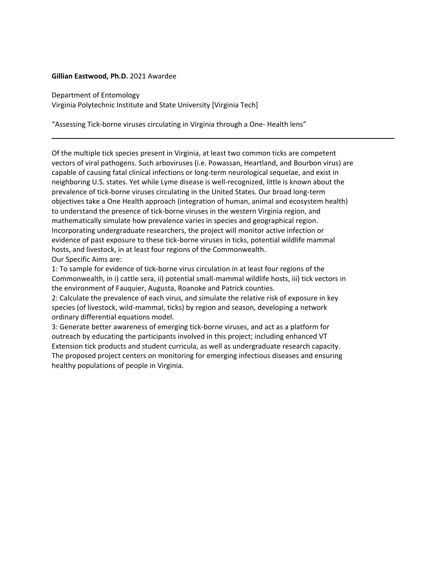### **Gillian Eastwood, Ph.D.** 2021 Awardee

Department of Entomology Virginia Polytechnic Institute and State University [Virginia Tech]

"Assessing Tick-borne viruses circulating in Virginia through a One- Health lens"

Of the multiple tick species present in Virginia, at least two common ticks are competent vectors of viral pathogens. Such arboviruses (i.e. Powassan, Heartland, and Bourbon virus) are capable of causing fatal clinical infections or long-term neurological sequelae, and exist in neighboring U.S. states. Yet while Lyme disease is well-recognized, little is known about the prevalence of tick-borne viruses circulating in the United States. Our broad long-term objectives take a One Health approach (integration of human, animal and ecosystem health) to understand the presence of tick-borne viruses in the western Virginia region, and mathematically simulate how prevalence varies in species and geographical region. Incorporating undergraduate researchers, the project will monitor active infection or evidence of past exposure to these tick-borne viruses in ticks, potential wildlife mammal hosts, and livestock, in at least four regions of the Commonwealth. Our Specific Aims are:

1: To sample for evidence of tick-borne virus circulation in at least four regions of the Commonwealth, in i) cattle sera, ii) potential small-mammal wildlife hosts, iii) tick vectors in the environment of Fauquier, Augusta, Roanoke and Patrick counties.

2: Calculate the prevalence of each virus, and simulate the relative risk of exposure in key species (of livestock, wild-mammal, ticks) by region and season, developing a network ordinary differential equations model.

3: Generate better awareness of emerging tick-borne viruses, and act as a platform for outreach by educating the participants involved in this project; including enhanced VT Extension tick products and student curricula, as well as undergraduate research capacity. The proposed project centers on monitoring for emerging infectious diseases and ensuring healthy populations of people in Virginia.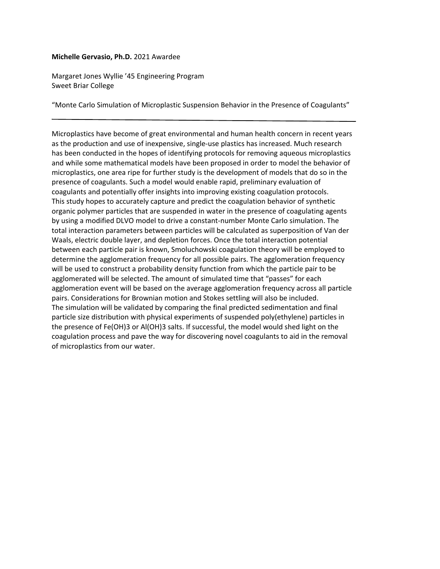### **Michelle Gervasio, Ph.D.** 2021 Awardee

Margaret Jones Wyllie '45 Engineering Program Sweet Briar College

"Monte Carlo Simulation of Microplastic Suspension Behavior in the Presence of Coagulants"

Microplastics have become of great environmental and human health concern in recent years as the production and use of inexpensive, single‐use plastics has increased. Much research has been conducted in the hopes of identifying protocols for removing aqueous microplastics and while some mathematical models have been proposed in order to model the behavior of microplastics, one area ripe for further study is the development of models that do so in the presence of coagulants. Such a model would enable rapid, preliminary evaluation of coagulants and potentially offer insights into improving existing coagulation protocols. This study hopes to accurately capture and predict the coagulation behavior of synthetic organic polymer particles that are suspended in water in the presence of coagulating agents by using a modified DLVO model to drive a constant‐number Monte Carlo simulation. The total interaction parameters between particles will be calculated as superposition of Van der Waals, electric double layer, and depletion forces. Once the total interaction potential between each particle pair is known, Smoluchowski coagulation theory will be employed to determine the agglomeration frequency for all possible pairs. The agglomeration frequency will be used to construct a probability density function from which the particle pair to be agglomerated will be selected. The amount of simulated time that "passes" for each agglomeration event will be based on the average agglomeration frequency across all particle pairs. Considerations for Brownian motion and Stokes settling will also be included. The simulation will be validated by comparing the final predicted sedimentation and final particle size distribution with physical experiments of suspended poly(ethylene) particles in the presence of Fe(OH)3 or Al(OH)3 salts. If successful, the model would shed light on the coagulation process and pave the way for discovering novel coagulants to aid in the removal of microplastics from our water.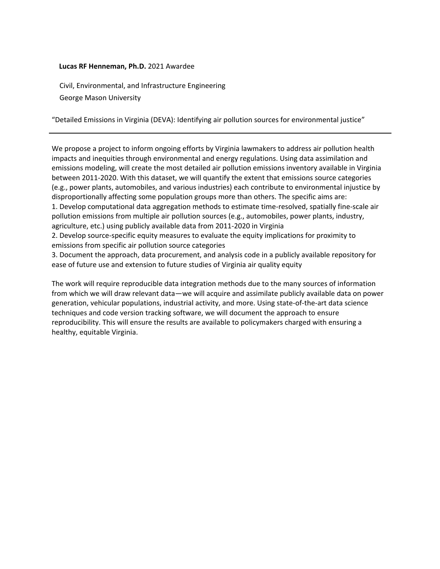## **Lucas RF Henneman, Ph.D.** 2021 Awardee

Civil, Environmental, and Infrastructure Engineering George Mason University

"Detailed Emissions in Virginia (DEVA): Identifying air pollution sources for environmental justice"

We propose a project to inform ongoing efforts by Virginia lawmakers to address air pollution health impacts and inequities through environmental and energy regulations. Using data assimilation and emissions modeling, will create the most detailed air pollution emissions inventory available in Virginia between 2011-2020. With this dataset, we will quantify the extent that emissions source categories (e.g., power plants, automobiles, and various industries) each contribute to environmental injustice by disproportionally affecting some population groups more than others. The specific aims are: 1. Develop computational data aggregation methods to estimate time-resolved, spatially fine-scale air pollution emissions from multiple air pollution sources (e.g., automobiles, power plants, industry, agriculture, etc.) using publicly available data from 2011-2020 in Virginia

2. Develop source-specific equity measures to evaluate the equity implications for proximity to emissions from specific air pollution source categories

3. Document the approach, data procurement, and analysis code in a publicly available repository for ease of future use and extension to future studies of Virginia air quality equity

The work will require reproducible data integration methods due to the many sources of information from which we will draw relevant data—we will acquire and assimilate publicly available data on power generation, vehicular populations, industrial activity, and more. Using state-of-the-art data science techniques and code version tracking software, we will document the approach to ensure reproducibility. This will ensure the results are available to policymakers charged with ensuring a healthy, equitable Virginia.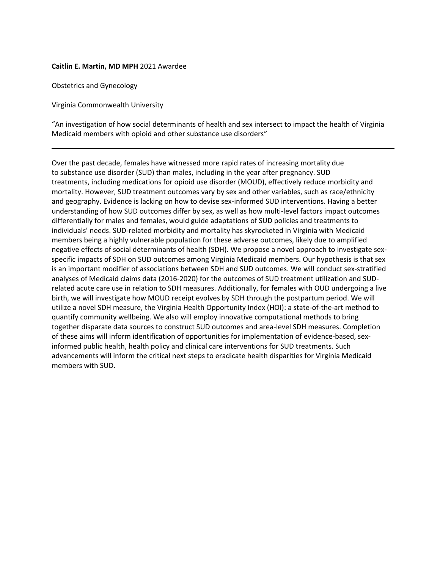### **Caitlin E. Martin, MD MPH** 2021 Awardee

Obstetrics and Gynecology

Virginia Commonwealth University

"An investigation of how social determinants of health and sex intersect to impact the health of Virginia Medicaid members with opioid and other substance use disorders"

Over the past decade, females have witnessed more rapid rates of increasing mortality due to substance use disorder (SUD) than males, including in the year after pregnancy. SUD treatments, including medications for opioid use disorder (MOUD), effectively reduce morbidity and mortality. However, SUD treatment outcomes vary by sex and other variables, such as race/ethnicity and geography. Evidence is lacking on how to devise sex-informed SUD interventions. Having a better understanding of how SUD outcomes differ by sex, as well as how multi-level factors impact outcomes differentially for males and females, would guide adaptations of SUD policies and treatments to individuals' needs. SUD-related morbidity and mortality has skyrocketed in Virginia with Medicaid members being a highly vulnerable population for these adverse outcomes, likely due to amplified negative effects of social determinants of health (SDH). We propose a novel approach to investigate sexspecific impacts of SDH on SUD outcomes among Virginia Medicaid members. Our hypothesis is that sex is an important modifier of associations between SDH and SUD outcomes. We will conduct sex-stratified analyses of Medicaid claims data (2016-2020) for the outcomes of SUD treatment utilization and SUDrelated acute care use in relation to SDH measures. Additionally, for females with OUD undergoing a live birth, we will investigate how MOUD receipt evolves by SDH through the postpartum period. We will utilize a novel SDH measure, the Virginia Health Opportunity Index (HOI): a state-of-the-art method to quantify community wellbeing. We also will employ innovative computational methods to bring together disparate data sources to construct SUD outcomes and area-level SDH measures. Completion of these aims will inform identification of opportunities for implementation of evidence-based, sexinformed public health, health policy and clinical care interventions for SUD treatments. Such advancements will inform the critical next steps to eradicate health disparities for Virginia Medicaid members with SUD.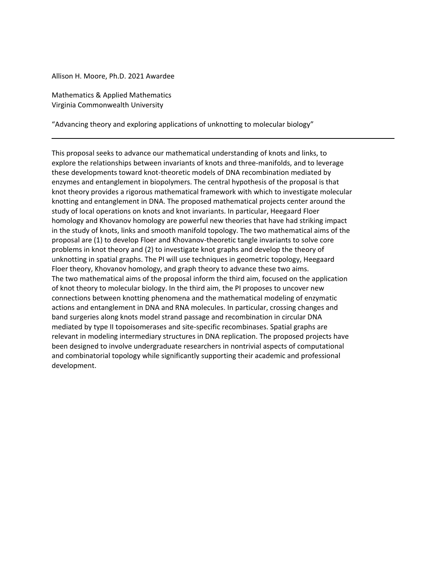Allison H. Moore, Ph.D. 2021 Awardee

Mathematics & Applied Mathematics Virginia Commonwealth University

"Advancing theory and exploring applications of unknotting to molecular biology"

This proposal seeks to advance our mathematical understanding of knots and links, to explore the relationships between invariants of knots and three-manifolds, and to leverage these developments toward knot-theoretic models of DNA recombination mediated by enzymes and entanglement in biopolymers. The central hypothesis of the proposal is that knot theory provides a rigorous mathematical framework with which to investigate molecular knotting and entanglement in DNA. The proposed mathematical projects center around the study of local operations on knots and knot invariants. In particular, Heegaard Floer homology and Khovanov homology are powerful new theories that have had striking impact in the study of knots, links and smooth manifold topology. The two mathematical aims of the proposal are (1) to develop Floer and Khovanov-theoretic tangle invariants to solve core problems in knot theory and (2) to investigate knot graphs and develop the theory of unknotting in spatial graphs. The PI will use techniques in geometric topology, Heegaard Floer theory, Khovanov homology, and graph theory to advance these two aims. The two mathematical aims of the proposal inform the third aim, focused on the application of knot theory to molecular biology. In the third aim, the PI proposes to uncover new connections between knotting phenomena and the mathematical modeling of enzymatic actions and entanglement in DNA and RNA molecules. In particular, crossing changes and band surgeries along knots model strand passage and recombination in circular DNA mediated by type II topoisomerases and site-specific recombinases. Spatial graphs are relevant in modeling intermediary structures in DNA replication. The proposed projects have been designed to involve undergraduate researchers in nontrivial aspects of computational and combinatorial topology while significantly supporting their academic and professional development.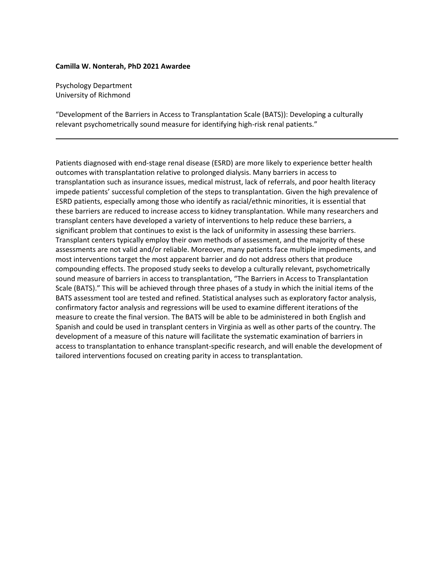#### **Camilla W. Nonterah, PhD 2021 Awardee**

Psychology Department University of Richmond

"Development of the Barriers in Access to Transplantation Scale (BATS)): Developing a culturally relevant psychometrically sound measure for identifying high-risk renal patients."

Patients diagnosed with end-stage renal disease (ESRD) are more likely to experience better health outcomes with transplantation relative to prolonged dialysis. Many barriers in access to transplantation such as insurance issues, medical mistrust, lack of referrals, and poor health literacy impede patients' successful completion of the steps to transplantation. Given the high prevalence of ESRD patients, especially among those who identify as racial/ethnic minorities, it is essential that these barriers are reduced to increase access to kidney transplantation. While many researchers and transplant centers have developed a variety of interventions to help reduce these barriers, a significant problem that continues to exist is the lack of uniformity in assessing these barriers. Transplant centers typically employ their own methods of assessment, and the majority of these assessments are not valid and/or reliable. Moreover, many patients face multiple impediments, and most interventions target the most apparent barrier and do not address others that produce compounding effects. The proposed study seeks to develop a culturally relevant, psychometrically sound measure of barriers in access to transplantation, "The Barriers in Access to Transplantation Scale (BATS)." This will be achieved through three phases of a study in which the initial items of the BATS assessment tool are tested and refined. Statistical analyses such as exploratory factor analysis, confirmatory factor analysis and regressions will be used to examine different iterations of the measure to create the final version. The BATS will be able to be administered in both English and Spanish and could be used in transplant centers in Virginia as well as other parts of the country. The development of a measure of this nature will facilitate the systematic examination of barriers in access to transplantation to enhance transplant-specific research, and will enable the development of tailored interventions focused on creating parity in access to transplantation.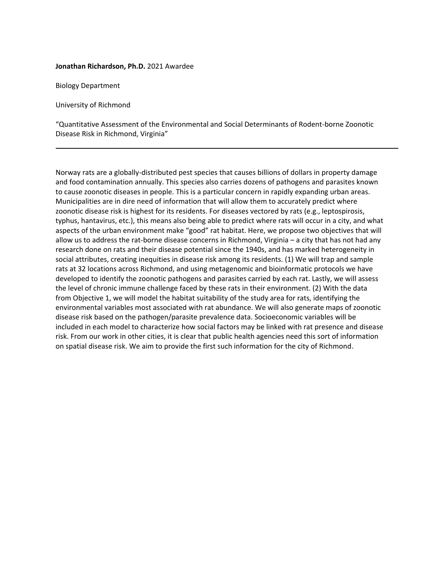### **Jonathan Richardson, Ph.D.** 2021 Awardee

Biology Department

University of Richmond

"Quantitative Assessment of the Environmental and Social Determinants of Rodent-borne Zoonotic Disease Risk in Richmond, Virginia"

Norway rats are a globally-distributed pest species that causes billions of dollars in property damage and food contamination annually. This species also carries dozens of pathogens and parasites known to cause zoonotic diseases in people. This is a particular concern in rapidly expanding urban areas. Municipalities are in dire need of information that will allow them to accurately predict where zoonotic disease risk is highest for its residents. For diseases vectored by rats (e.g., leptospirosis, typhus, hantavirus, etc.), this means also being able to predict where rats will occur in a city, and what aspects of the urban environment make "good" rat habitat. Here, we propose two objectives that will allow us to address the rat-borne disease concerns in Richmond, Virginia – a city that has not had any research done on rats and their disease potential since the 1940s, and has marked heterogeneity in social attributes, creating inequities in disease risk among its residents. (1) We will trap and sample rats at 32 locations across Richmond, and using metagenomic and bioinformatic protocols we have developed to identify the zoonotic pathogens and parasites carried by each rat. Lastly, we will assess the level of chronic immune challenge faced by these rats in their environment. (2) With the data from Objective 1, we will model the habitat suitability of the study area for rats, identifying the environmental variables most associated with rat abundance. We will also generate maps of zoonotic disease risk based on the pathogen/parasite prevalence data. Socioeconomic variables will be included in each model to characterize how social factors may be linked with rat presence and disease risk. From our work in other cities, it is clear that public health agencies need this sort of information on spatial disease risk. We aim to provide the first such information for the city of Richmond.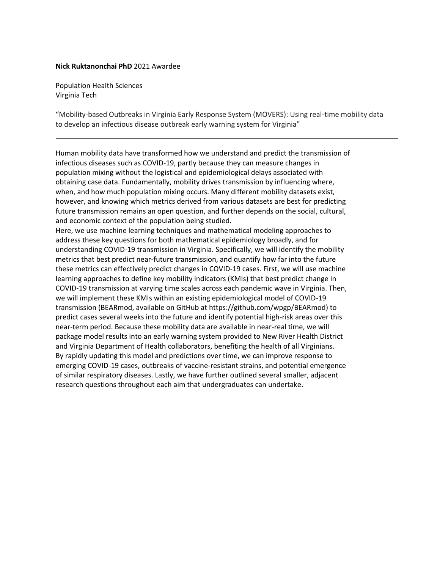## **Nick Ruktanonchai PhD** 2021 Awardee

Population Health Sciences Virginia Tech

"Mobility-based Outbreaks in Virginia Early Response System (MOVERS): Using real-time mobility data to develop an infectious disease outbreak early warning system for Virginia"

Human mobility data have transformed how we understand and predict the transmission of infectious diseases such as COVID-19, partly because they can measure changes in population mixing without the logistical and epidemiological delays associated with obtaining case data. Fundamentally, mobility drives transmission by influencing where, when, and how much population mixing occurs. Many different mobility datasets exist, however, and knowing which metrics derived from various datasets are best for predicting future transmission remains an open question, and further depends on the social, cultural, and economic context of the population being studied.

Here, we use machine learning techniques and mathematical modeling approaches to address these key questions for both mathematical epidemiology broadly, and for understanding COVID-19 transmission in Virginia. Specifically, we will identify the mobility metrics that best predict near-future transmission, and quantify how far into the future these metrics can effectively predict changes in COVID-19 cases. First, we will use machine learning approaches to define key mobility indicators (KMIs) that best predict change in COVID-19 transmission at varying time scales across each pandemic wave in Virginia. Then, we will implement these KMIs within an existing epidemiological model of COVID-19 transmission (BEARmod, available on GitHub at https://github.com/wpgp/BEARmod) to predict cases several weeks into the future and identify potential high-risk areas over this near-term period. Because these mobility data are available in near-real time, we will package model results into an early warning system provided to New River Health District and Virginia Department of Health collaborators, benefiting the health of all Virginians. By rapidly updating this model and predictions over time, we can improve response to emerging COVID-19 cases, outbreaks of vaccine-resistant strains, and potential emergence of similar respiratory diseases. Lastly, we have further outlined several smaller, adjacent research questions throughout each aim that undergraduates can undertake.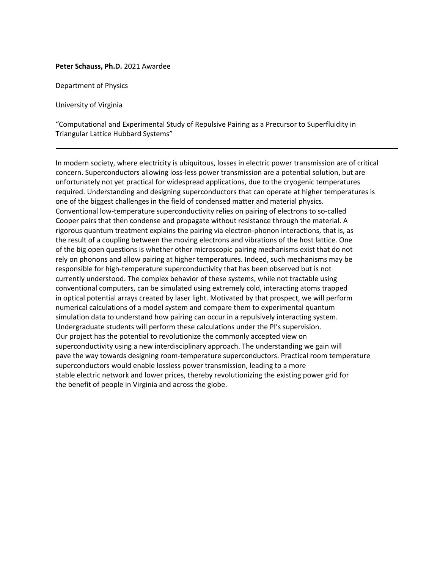#### **Peter Schauss, Ph.D.** 2021 Awardee

Department of Physics

University of Virginia

"Computational and Experimental Study of Repulsive Pairing as a Precursor to Superfluidity in Triangular Lattice Hubbard Systems"

In modern society, where electricity is ubiquitous, losses in electric power transmission are of critical concern. Superconductors allowing loss-less power transmission are a potential solution, but are unfortunately not yet practical for widespread applications, due to the cryogenic temperatures required. Understanding and designing superconductors that can operate at higher temperatures is one of the biggest challenges in the field of condensed matter and material physics. Conventional low-temperature superconductivity relies on pairing of electrons to so-called Cooper pairs that then condense and propagate without resistance through the material. A rigorous quantum treatment explains the pairing via electron-phonon interactions, that is, as the result of a coupling between the moving electrons and vibrations of the host lattice. One of the big open questions is whether other microscopic pairing mechanisms exist that do not rely on phonons and allow pairing at higher temperatures. Indeed, such mechanisms may be responsible for high-temperature superconductivity that has been observed but is not currently understood. The complex behavior of these systems, while not tractable using conventional computers, can be simulated using extremely cold, interacting atoms trapped in optical potential arrays created by laser light. Motivated by that prospect, we will perform numerical calculations of a model system and compare them to experimental quantum simulation data to understand how pairing can occur in a repulsively interacting system. Undergraduate students will perform these calculations under the PI's supervision. Our project has the potential to revolutionize the commonly accepted view on superconductivity using a new interdisciplinary approach. The understanding we gain will pave the way towards designing room-temperature superconductors. Practical room temperature superconductors would enable lossless power transmission, leading to a more stable electric network and lower prices, thereby revolutionizing the existing power grid for the benefit of people in Virginia and across the globe.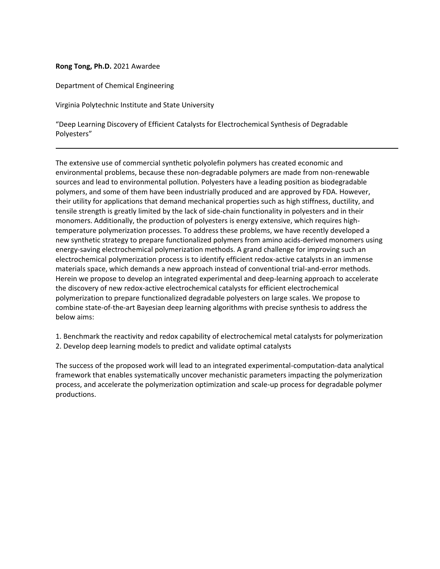## **Rong Tong, Ph.D.** 2021 Awardee

Department of Chemical Engineering

Virginia Polytechnic Institute and State University

"Deep Learning Discovery of Efficient Catalysts for Electrochemical Synthesis of Degradable Polyesters"

The extensive use of commercial synthetic polyolefin polymers has created economic and environmental problems, because these non-degradable polymers are made from non-renewable sources and lead to environmental pollution. Polyesters have a leading position as biodegradable polymers, and some of them have been industrially produced and are approved by FDA. However, their utility for applications that demand mechanical properties such as high stiffness, ductility, and tensile strength is greatly limited by the lack of side-chain functionality in polyesters and in their monomers. Additionally, the production of polyesters is energy extensive, which requires hightemperature polymerization processes. To address these problems, we have recently developed a new synthetic strategy to prepare functionalized polymers from amino acids-derived monomers using energy-saving electrochemical polymerization methods. A grand challenge for improving such an electrochemical polymerization process is to identify efficient redox-active catalysts in an immense materials space, which demands a new approach instead of conventional trial-and-error methods. Herein we propose to develop an integrated experimental and deep-learning approach to accelerate the discovery of new redox-active electrochemical catalysts for efficient electrochemical polymerization to prepare functionalized degradable polyesters on large scales. We propose to combine state-of-the-art Bayesian deep learning algorithms with precise synthesis to address the below aims:

1. Benchmark the reactivity and redox capability of electrochemical metal catalysts for polymerization 2. Develop deep learning models to predict and validate optimal catalysts

The success of the proposed work will lead to an integrated experimental-computation-data analytical framework that enables systematically uncover mechanistic parameters impacting the polymerization process, and accelerate the polymerization optimization and scale-up process for degradable polymer productions.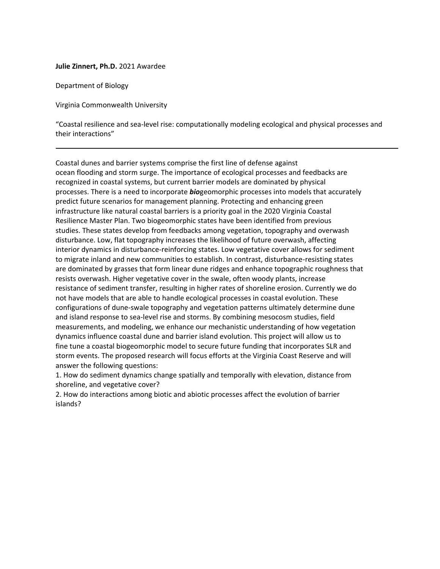### **Julie Zinnert, Ph.D.** 2021 Awardee

Department of Biology

Virginia Commonwealth University

"Coastal resilience and sea-level rise: computationally modeling ecological and physical processes and their interactions"

Coastal dunes and barrier systems comprise the first line of defense against ocean flooding and storm surge. The importance of ecological processes and feedbacks are recognized in coastal systems, but current barrier models are dominated by physical processes. There is a need to incorporate *bio*geomorphic processes into models that accurately predict future scenarios for management planning. Protecting and enhancing green infrastructure like natural coastal barriers is a priority goal in the 2020 Virginia Coastal Resilience Master Plan. Two biogeomorphic states have been identified from previous studies. These states develop from feedbacks among vegetation, topography and overwash disturbance. Low, flat topography increases the likelihood of future overwash, affecting interior dynamics in disturbance-reinforcing states. Low vegetative cover allows for sediment to migrate inland and new communities to establish. In contrast, disturbance-resisting states are dominated by grasses that form linear dune ridges and enhance topographic roughness that resists overwash. Higher vegetative cover in the swale, often woody plants, increase resistance of sediment transfer, resulting in higher rates of shoreline erosion. Currently we do not have models that are able to handle ecological processes in coastal evolution. These configurations of dune-swale topography and vegetation patterns ultimately determine dune and island response to sea-level rise and storms. By combining mesocosm studies, field measurements, and modeling, we enhance our mechanistic understanding of how vegetation dynamics influence coastal dune and barrier island evolution. This project will allow us to fine tune a coastal biogeomorphic model to secure future funding that incorporates SLR and storm events. The proposed research will focus efforts at the Virginia Coast Reserve and will answer the following questions:

1. How do sediment dynamics change spatially and temporally with elevation, distance from shoreline, and vegetative cover?

2. How do interactions among biotic and abiotic processes affect the evolution of barrier islands?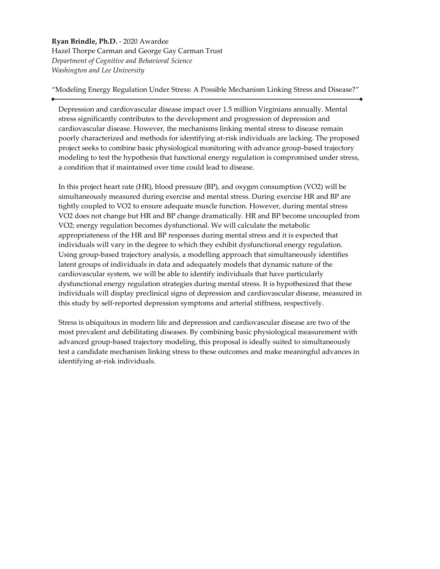**Ryan Brindle, Ph.D.** - 2020 Awardee Hazel Thorpe Carman and George Gay Carman Trust *Department of Cognitive and Behavioral Science Washington and Lee University*

"Modeling Energy Regulation Under Stress: A Possible Mechanism Linking Stress and Disease?"

Depression and cardiovascular disease impact over 1.5 million Virginians annually. Mental stress significantly contributes to the development and progression of depression and cardiovascular disease. However, the mechanisms linking mental stress to disease remain poorly characterized and methods for identifying at-risk individuals are lacking. The proposed project seeks to combine basic physiological monitoring with advance group-based trajectory modeling to test the hypothesis that functional energy regulation is compromised under stress, a condition that if maintained over time could lead to disease.

In this project heart rate (HR), blood pressure (BP), and oxygen consumption (VO2) will be simultaneously measured during exercise and mental stress. During exercise HR and BP are tightly coupled to VO2 to ensure adequate muscle function. However, during mental stress VO2 does not change but HR and BP change dramatically. HR and BP become uncoupled from VO2; energy regulation becomes dysfunctional. We will calculate the metabolic appropriateness of the HR and BP responses during mental stress and it is expected that individuals will vary in the degree to which they exhibit dysfunctional energy regulation. Using group-based trajectory analysis, a modelling approach that simultaneously identifies latent groups of individuals in data and adequately models that dynamic nature of the cardiovascular system, we will be able to identify individuals that have particularly dysfunctional energy regulation strategies during mental stress. It is hypothesized that these individuals will display preclinical signs of depression and cardiovascular disease, measured in this study by self-reported depression symptoms and arterial stiffness, respectively.

Stress is ubiquitous in modern life and depression and cardiovascular disease are two of the most prevalent and debilitating diseases. By combining basic physiological measurement with advanced group-based trajectory modeling, this proposal is ideally suited to simultaneously test a candidate mechanism linking stress to these outcomes and make meaningful advances in identifying at-risk individuals.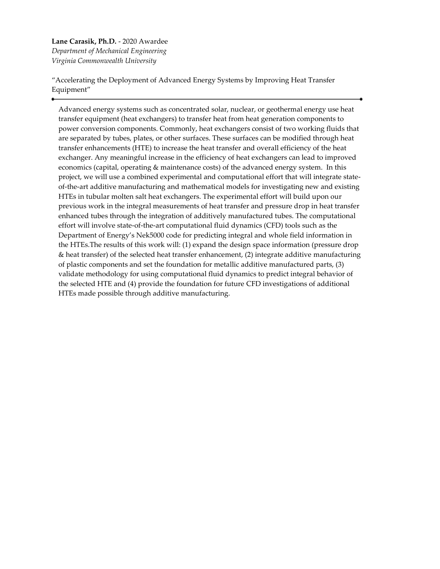## **Lane Carasik, Ph.D.** - 2020 Awardee *Department of Mechanical Engineering Virginia Commonwealth University*

"Accelerating the Deployment of Advanced Energy Systems by Improving Heat Transfer Equipment"

Advanced energy systems such as concentrated solar, nuclear, or geothermal energy use heat transfer equipment (heat exchangers) to transfer heat from heat generation components to power conversion components. Commonly, heat exchangers consist of two working fluids that are separated by tubes, plates, or other surfaces. These surfaces can be modified through heat transfer enhancements (HTE) to increase the heat transfer and overall efficiency of the heat exchanger. Any meaningful increase in the efficiency of heat exchangers can lead to improved economics (capital, operating & maintenance costs) of the advanced energy system. In this project, we will use a combined experimental and computational effort that will integrate stateof-the-art additive manufacturing and mathematical models for investigating new and existing HTEs in tubular molten salt heat exchangers. The experimental effort will build upon our previous work in the integral measurements of heat transfer and pressure drop in heat transfer enhanced tubes through the integration of additively manufactured tubes. The computational effort will involve state-of-the-art computational fluid dynamics (CFD) tools such as the Department of Energy's Nek5000 code for predicting integral and whole field information in the HTEs.The results of this work will: (1) expand the design space information (pressure drop & heat transfer) of the selected heat transfer enhancement, (2) integrate additive manufacturing of plastic components and set the foundation for metallic additive manufactured parts, (3) validate methodology for using computational fluid dynamics to predict integral behavior of the selected HTE and (4) provide the foundation for future CFD investigations of additional HTEs made possible through additive manufacturing.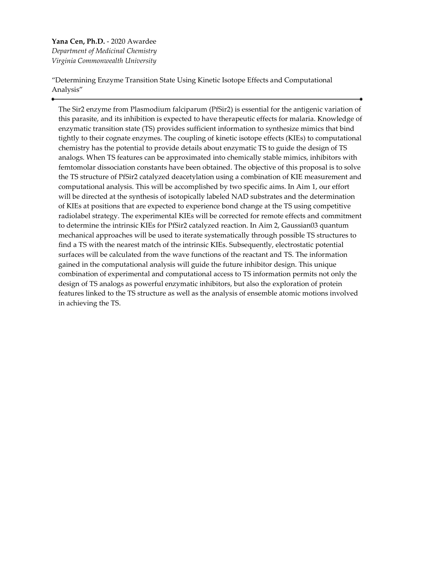**Yana Cen, Ph.D.** - 2020 Awardee *Department of Medicinal Chemistry Virginia Commonwealth University*

"Determining Enzyme Transition State Using Kinetic Isotope Effects and Computational Analysis"

The Sir2 enzyme from Plasmodium falciparum (PfSir2) is essential for the antigenic variation of this parasite, and its inhibition is expected to have therapeutic effects for malaria. Knowledge of enzymatic transition state (TS) provides sufficient information to synthesize mimics that bind tightly to their cognate enzymes. The coupling of kinetic isotope effects (KIEs) to computational chemistry has the potential to provide details about enzymatic TS to guide the design of TS analogs. When TS features can be approximated into chemically stable mimics, inhibitors with femtomolar dissociation constants have been obtained. The objective of this proposal is to solve the TS structure of PfSir2 catalyzed deacetylation using a combination of KIE measurement and computational analysis. This will be accomplished by two specific aims. In Aim 1, our effort will be directed at the synthesis of isotopically labeled NAD substrates and the determination of KIEs at positions that are expected to experience bond change at the TS using competitive radiolabel strategy. The experimental KIEs will be corrected for remote effects and commitment to determine the intrinsic KIEs for PfSir2 catalyzed reaction. In Aim 2, Gaussian03 quantum mechanical approaches will be used to iterate systematically through possible TS structures to find a TS with the nearest match of the intrinsic KIEs. Subsequently, electrostatic potential surfaces will be calculated from the wave functions of the reactant and TS. The information gained in the computational analysis will guide the future inhibitor design. This unique combination of experimental and computational access to TS information permits not only the design of TS analogs as powerful enzymatic inhibitors, but also the exploration of protein features linked to the TS structure as well as the analysis of ensemble atomic motions involved in achieving the TS.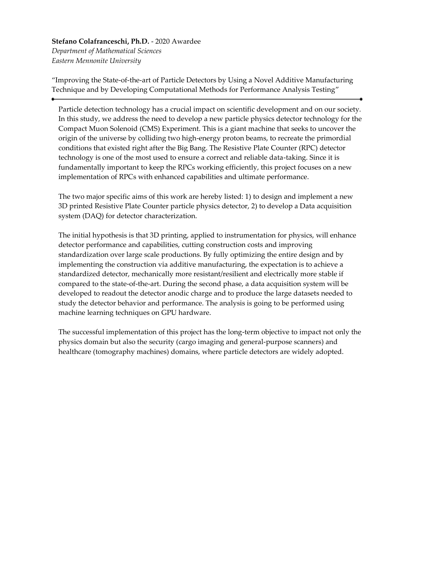**Stefano Colafranceschi, Ph.D.** - 2020 Awardee *Department of Mathematical Sciences Eastern Mennonite University*

"Improving the State-of-the-art of Particle Detectors by Using a Novel Additive Manufacturing Technique and by Developing Computational Methods for Performance Analysis Testing"

Particle detection technology has a crucial impact on scientific development and on our society. In this study, we address the need to develop a new particle physics detector technology for the Compact Muon Solenoid (CMS) Experiment. This is a giant machine that seeks to uncover the origin of the universe by colliding two high-energy proton beams, to recreate the primordial conditions that existed right after the Big Bang. The Resistive Plate Counter (RPC) detector technology is one of the most used to ensure a correct and reliable data-taking. Since it is fundamentally important to keep the RPCs working efficiently, this project focuses on a new implementation of RPCs with enhanced capabilities and ultimate performance.

The two major specific aims of this work are hereby listed: 1) to design and implement a new 3D printed Resistive Plate Counter particle physics detector, 2) to develop a Data acquisition system (DAQ) for detector characterization.

The initial hypothesis is that 3D printing, applied to instrumentation for physics, will enhance detector performance and capabilities, cutting construction costs and improving standardization over large scale productions. By fully optimizing the entire design and by implementing the construction via additive manufacturing, the expectation is to achieve a standardized detector, mechanically more resistant/resilient and electrically more stable if compared to the state-of-the-art. During the second phase, a data acquisition system will be developed to readout the detector anodic charge and to produce the large datasets needed to study the detector behavior and performance. The analysis is going to be performed using machine learning techniques on GPU hardware.

The successful implementation of this project has the long-term objective to impact not only the physics domain but also the security (cargo imaging and general-purpose scanners) and healthcare (tomography machines) domains, where particle detectors are widely adopted.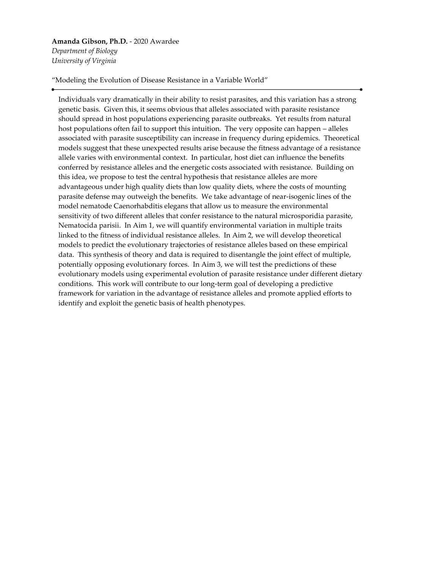## **Amanda Gibson, Ph.D.** - 2020 Awardee

*Department of Biology University of Virginia*

"Modeling the Evolution of Disease Resistance in a Variable World"

Individuals vary dramatically in their ability to resist parasites, and this variation has a strong genetic basis. Given this, it seems obvious that alleles associated with parasite resistance should spread in host populations experiencing parasite outbreaks. Yet results from natural host populations often fail to support this intuition. The very opposite can happen – alleles associated with parasite susceptibility can increase in frequency during epidemics. Theoretical models suggest that these unexpected results arise because the fitness advantage of a resistance allele varies with environmental context. In particular, host diet can influence the benefits conferred by resistance alleles and the energetic costs associated with resistance. Building on this idea, we propose to test the central hypothesis that resistance alleles are more advantageous under high quality diets than low quality diets, where the costs of mounting parasite defense may outweigh the benefits. We take advantage of near-isogenic lines of the model nematode Caenorhabditis elegans that allow us to measure the environmental sensitivity of two different alleles that confer resistance to the natural microsporidia parasite, Nematocida parisii. In Aim 1, we will quantify environmental variation in multiple traits linked to the fitness of individual resistance alleles. In Aim 2, we will develop theoretical models to predict the evolutionary trajectories of resistance alleles based on these empirical data. This synthesis of theory and data is required to disentangle the joint effect of multiple, potentially opposing evolutionary forces. In Aim 3, we will test the predictions of these evolutionary models using experimental evolution of parasite resistance under different dietary conditions. This work will contribute to our long-term goal of developing a predictive framework for variation in the advantage of resistance alleles and promote applied efforts to identify and exploit the genetic basis of health phenotypes.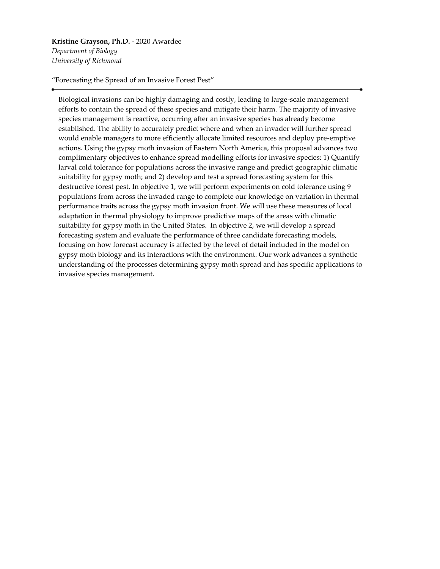**Kristine Grayson, Ph.D.** - 2020 Awardee *Department of Biology*

*University of Richmond*

"Forecasting the Spread of an Invasive Forest Pest"

Biological invasions can be highly damaging and costly, leading to large-scale management efforts to contain the spread of these species and mitigate their harm. The majority of invasive species management is reactive, occurring after an invasive species has already become established. The ability to accurately predict where and when an invader will further spread would enable managers to more efficiently allocate limited resources and deploy pre-emptive actions. Using the gypsy moth invasion of Eastern North America, this proposal advances two complimentary objectives to enhance spread modelling efforts for invasive species: 1) Quantify larval cold tolerance for populations across the invasive range and predict geographic climatic suitability for gypsy moth; and 2) develop and test a spread forecasting system for this destructive forest pest. In objective 1, we will perform experiments on cold tolerance using 9 populations from across the invaded range to complete our knowledge on variation in thermal performance traits across the gypsy moth invasion front. We will use these measures of local adaptation in thermal physiology to improve predictive maps of the areas with climatic suitability for gypsy moth in the United States. In objective 2, we will develop a spread forecasting system and evaluate the performance of three candidate forecasting models, focusing on how forecast accuracy is affected by the level of detail included in the model on gypsy moth biology and its interactions with the environment. Our work advances a synthetic understanding of the processes determining gypsy moth spread and has specific applications to invasive species management.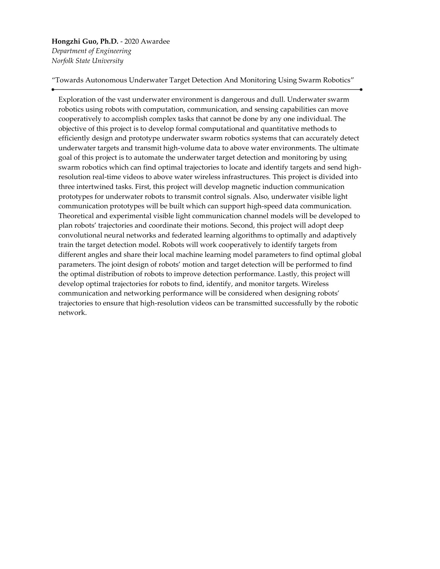**Hongzhi Guo, Ph.D.** - 2020 Awardee *Department of Engineering Norfolk State University*

"Towards Autonomous Underwater Target Detection And Monitoring Using Swarm Robotics"

Exploration of the vast underwater environment is dangerous and dull. Underwater swarm robotics using robots with computation, communication, and sensing capabilities can move cooperatively to accomplish complex tasks that cannot be done by any one individual. The objective of this project is to develop formal computational and quantitative methods to efficiently design and prototype underwater swarm robotics systems that can accurately detect underwater targets and transmit high-volume data to above water environments. The ultimate goal of this project is to automate the underwater target detection and monitoring by using swarm robotics which can find optimal trajectories to locate and identify targets and send highresolution real-time videos to above water wireless infrastructures. This project is divided into three intertwined tasks. First, this project will develop magnetic induction communication prototypes for underwater robots to transmit control signals. Also, underwater visible light communication prototypes will be built which can support high-speed data communication. Theoretical and experimental visible light communication channel models will be developed to plan robots' trajectories and coordinate their motions. Second, this project will adopt deep convolutional neural networks and federated learning algorithms to optimally and adaptively train the target detection model. Robots will work cooperatively to identify targets from different angles and share their local machine learning model parameters to find optimal global parameters. The joint design of robots' motion and target detection will be performed to find the optimal distribution of robots to improve detection performance. Lastly, this project will develop optimal trajectories for robots to find, identify, and monitor targets. Wireless communication and networking performance will be considered when designing robots' trajectories to ensure that high-resolution videos can be transmitted successfully by the robotic network.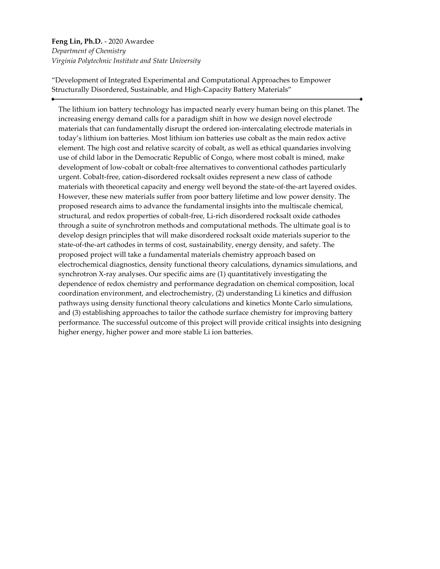# **Feng Lin, Ph.D.** - 2020 Awardee *Department of Chemistry Virginia Polytechnic Institute and State University*

"Development of Integrated Experimental and Computational Approaches to Empower Structurally Disordered, Sustainable, and High-Capacity Battery Materials"

The lithium ion battery technology has impacted nearly every human being on this planet. The increasing energy demand calls for a paradigm shift in how we design novel electrode materials that can fundamentally disrupt the ordered ion-intercalating electrode materials in today's lithium ion batteries. Most lithium ion batteries use cobalt as the main redox active element. The high cost and relative scarcity of cobalt, as well as ethical quandaries involving use of child labor in the Democratic Republic of Congo, where most cobalt is mined, make development of low-cobalt or cobalt-free alternatives to conventional cathodes particularly urgent. Cobalt-free, cation-disordered rocksalt oxides represent a new class of cathode materials with theoretical capacity and energy well beyond the state-of-the-art layered oxides. However, these new materials suffer from poor battery lifetime and low power density. The proposed research aims to advance the fundamental insights into the multiscale chemical, structural, and redox properties of cobalt-free, Li-rich disordered rocksalt oxide cathodes through a suite of synchrotron methods and computational methods. The ultimate goal is to develop design principles that will make disordered rocksalt oxide materials superior to the state-of-the-art cathodes in terms of cost, sustainability, energy density, and safety. The proposed project will take a fundamental materials chemistry approach based on electrochemical diagnostics, density functional theory calculations, dynamics simulations, and synchrotron X-ray analyses. Our specific aims are (1) quantitatively investigating the dependence of redox chemistry and performance degradation on chemical composition, local coordination environment, and electrochemistry, (2) understanding Li kinetics and diffusion pathways using density functional theory calculations and kinetics Monte Carlo simulations, and (3) establishing approaches to tailor the cathode surface chemistry for improving battery performance. The successful outcome of this project will provide critical insights into designing higher energy, higher power and more stable Li ion batteries.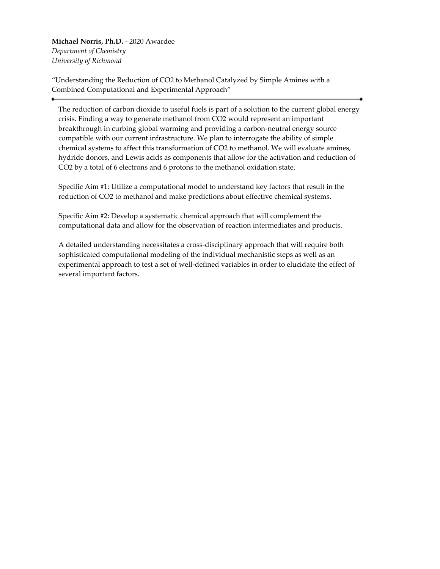**Michael Norris, Ph.D.** - 2020 Awardee *Department of Chemistry University of Richmond*

"Understanding the Reduction of CO2 to Methanol Catalyzed by Simple Amines with a Combined Computational and Experimental Approach"

The reduction of carbon dioxide to useful fuels is part of a solution to the current global energy crisis. Finding a way to generate methanol from CO2 would represent an important breakthrough in curbing global warming and providing a carbon-neutral energy source compatible with our current infrastructure. We plan to interrogate the ability of simple chemical systems to affect this transformation of CO2 to methanol. We will evaluate amines, hydride donors, and Lewis acids as components that allow for the activation and reduction of CO2 by a total of 6 electrons and 6 protons to the methanol oxidation state.

Specific Aim #1: Utilize a computational model to understand key factors that result in the reduction of CO2 to methanol and make predictions about effective chemical systems.

Specific Aim #2: Develop a systematic chemical approach that will complement the computational data and allow for the observation of reaction intermediates and products.

A detailed understanding necessitates a cross-disciplinary approach that will require both sophisticated computational modeling of the individual mechanistic steps as well as an experimental approach to test a set of well-defined variables in order to elucidate the effect of several important factors.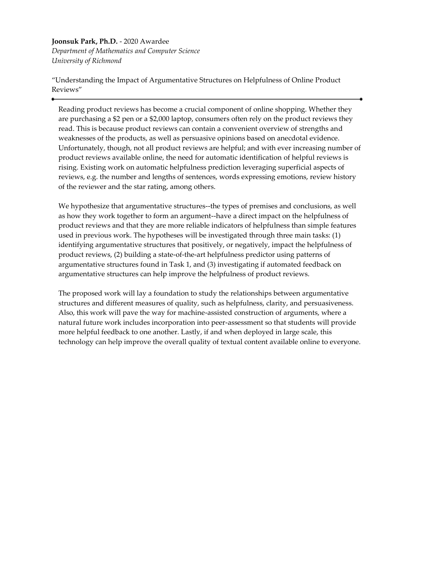## **Joonsuk Park, Ph.D.** - 2020 Awardee

*Department of Mathematics and Computer Science University of Richmond*

"Understanding the Impact of Argumentative Structures on Helpfulness of Online Product Reviews"

Reading product reviews has become a crucial component of online shopping. Whether they are purchasing a \$2 pen or a \$2,000 laptop, consumers often rely on the product reviews they read. This is because product reviews can contain a convenient overview of strengths and weaknesses of the products, as well as persuasive opinions based on anecdotal evidence. Unfortunately, though, not all product reviews are helpful; and with ever increasing number of product reviews available online, the need for automatic identification of helpful reviews is rising. Existing work on automatic helpfulness prediction leveraging superficial aspects of reviews, e.g. the number and lengths of sentences, words expressing emotions, review history of the reviewer and the star rating, among others.

We hypothesize that argumentative structures--the types of premises and conclusions, as well as how they work together to form an argument--have a direct impact on the helpfulness of product reviews and that they are more reliable indicators of helpfulness than simple features used in previous work. The hypotheses will be investigated through three main tasks: (1) identifying argumentative structures that positively, or negatively, impact the helpfulness of product reviews, (2) building a state-of-the-art helpfulness predictor using patterns of argumentative structures found in Task 1, and (3) investigating if automated feedback on argumentative structures can help improve the helpfulness of product reviews.

The proposed work will lay a foundation to study the relationships between argumentative structures and different measures of quality, such as helpfulness, clarity, and persuasiveness. Also, this work will pave the way for machine-assisted construction of arguments, where a natural future work includes incorporation into peer-assessment so that students will provide more helpful feedback to one another. Lastly, if and when deployed in large scale, this technology can help improve the overall quality of textual content available online to everyone.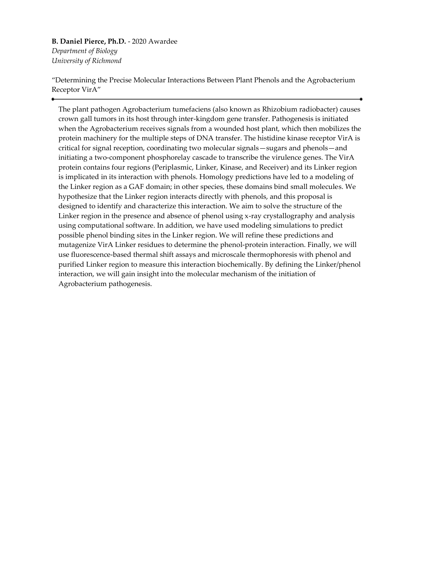**B. Daniel Pierce, Ph.D.** - 2020 Awardee *Department of Biology University of Richmond*

"Determining the Precise Molecular Interactions Between Plant Phenols and the Agrobacterium Receptor VirA"

The plant pathogen Agrobacterium tumefaciens (also known as Rhizobium radiobacter) causes crown gall tumors in its host through inter-kingdom gene transfer. Pathogenesis is initiated when the Agrobacterium receives signals from a wounded host plant, which then mobilizes the protein machinery for the multiple steps of DNA transfer. The histidine kinase receptor VirA is critical for signal reception, coordinating two molecular signals—sugars and phenols—and initiating a two-component phosphorelay cascade to transcribe the virulence genes. The VirA protein contains four regions (Periplasmic, Linker, Kinase, and Receiver) and its Linker region is implicated in its interaction with phenols. Homology predictions have led to a modeling of the Linker region as a GAF domain; in other species, these domains bind small molecules. We hypothesize that the Linker region interacts directly with phenols, and this proposal is designed to identify and characterize this interaction. We aim to solve the structure of the Linker region in the presence and absence of phenol using x-ray crystallography and analysis using computational software. In addition, we have used modeling simulations to predict possible phenol binding sites in the Linker region. We will refine these predictions and mutagenize VirA Linker residues to determine the phenol-protein interaction. Finally, we will use fluorescence-based thermal shift assays and microscale thermophoresis with phenol and purified Linker region to measure this interaction biochemically. By defining the Linker/phenol interaction, we will gain insight into the molecular mechanism of the initiation of Agrobacterium pathogenesis.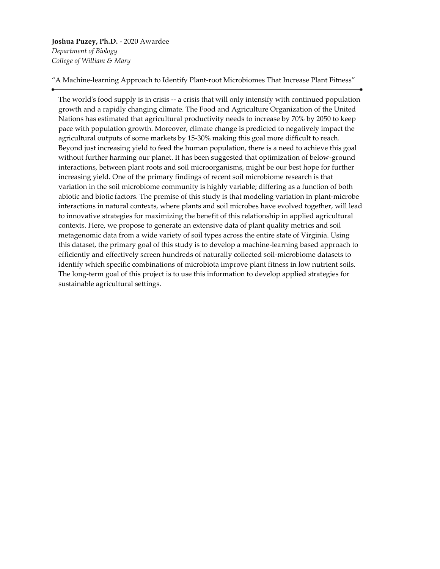**Joshua Puzey, Ph.D.** - 2020 Awardee *Department of Biology College of William & Mary*

"A Machine-learning Approach to Identify Plant-root Microbiomes That Increase Plant Fitness"

The world's food supply is in crisis -- a crisis that will only intensify with continued population growth and a rapidly changing climate. The Food and Agriculture Organization of the United Nations has estimated that agricultural productivity needs to increase by 70% by 2050 to keep pace with population growth. Moreover, climate change is predicted to negatively impact the agricultural outputs of some markets by 15-30% making this goal more difficult to reach. Beyond just increasing yield to feed the human population, there is a need to achieve this goal without further harming our planet. It has been suggested that optimization of below-ground interactions, between plant roots and soil microorganisms, might be our best hope for further increasing yield. One of the primary findings of recent soil microbiome research is that variation in the soil microbiome community is highly variable; differing as a function of both abiotic and biotic factors. The premise of this study is that modeling variation in plant-microbe interactions in natural contexts, where plants and soil microbes have evolved together, will lead to innovative strategies for maximizing the benefit of this relationship in applied agricultural contexts. Here, we propose to generate an extensive data of plant quality metrics and soil metagenomic data from a wide variety of soil types across the entire state of Virginia. Using this dataset, the primary goal of this study is to develop a machine-learning based approach to efficiently and effectively screen hundreds of naturally collected soil-microbiome datasets to identify which specific combinations of microbiota improve plant fitness in low nutrient soils. The long-term goal of this project is to use this information to develop applied strategies for sustainable agricultural settings.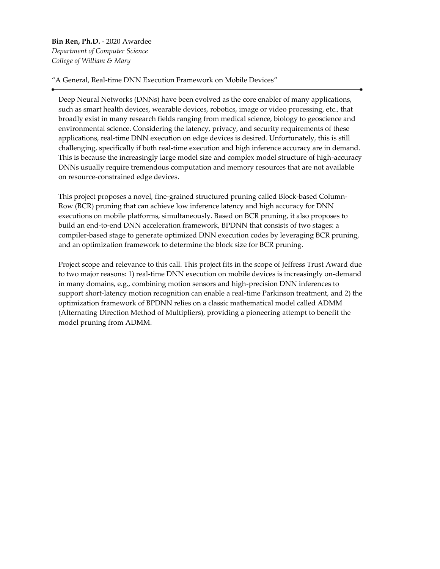**Bin Ren, Ph.D.** - 2020 Awardee *Department of Computer Science College of William & Mary*

"A General, Real-time DNN Execution Framework on Mobile Devices"

Deep Neural Networks (DNNs) have been evolved as the core enabler of many applications, such as smart health devices, wearable devices, robotics, image or video processing, etc., that broadly exist in many research fields ranging from medical science, biology to geoscience and environmental science. Considering the latency, privacy, and security requirements of these applications, real-time DNN execution on edge devices is desired. Unfortunately, this is still challenging, specifically if both real-time execution and high inference accuracy are in demand. This is because the increasingly large model size and complex model structure of high-accuracy DNNs usually require tremendous computation and memory resources that are not available on resource-constrained edge devices.

This project proposes a novel, fine-grained structured pruning called Block-based Column-Row (BCR) pruning that can achieve low inference latency and high accuracy for DNN executions on mobile platforms, simultaneously. Based on BCR pruning, it also proposes to build an end-to-end DNN acceleration framework, BPDNN that consists of two stages: a compiler-based stage to generate optimized DNN execution codes by leveraging BCR pruning, and an optimization framework to determine the block size for BCR pruning.

Project scope and relevance to this call. This project fits in the scope of Jeffress Trust Award due to two major reasons: 1) real-time DNN execution on mobile devices is increasingly on-demand in many domains, e.g., combining motion sensors and high-precision DNN inferences to support short-latency motion recognition can enable a real-time Parkinson treatment, and 2) the optimization framework of BPDNN relies on a classic mathematical model called ADMM (Alternating Direction Method of Multipliers), providing a pioneering attempt to benefit the model pruning from ADMM.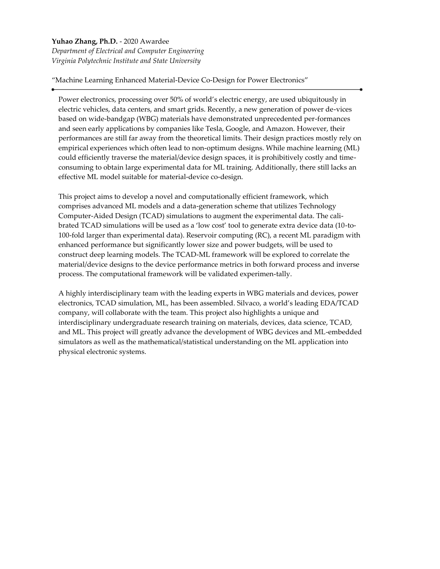## **Yuhao Zhang, Ph.D.** - 2020 Awardee

*Department of Electrical and Computer Engineering Virginia Polytechnic Institute and State University*

"Machine Learning Enhanced Material-Device Co-Design for Power Electronics"

Power electronics, processing over 50% of world's electric energy, are used ubiquitously in electric vehicles, data centers, and smart grids. Recently, a new generation of power de-vices based on wide-bandgap (WBG) materials have demonstrated unprecedented per-formances and seen early applications by companies like Tesla, Google, and Amazon. However, their performances are still far away from the theoretical limits. Their design practices mostly rely on empirical experiences which often lead to non-optimum designs. While machine learning (ML) could efficiently traverse the material/device design spaces, it is prohibitively costly and timeconsuming to obtain large experimental data for ML training. Additionally, there still lacks an effective ML model suitable for material-device co-design.

This project aims to develop a novel and computationally efficient framework, which comprises advanced ML models and a data-generation scheme that utilizes Technology Computer-Aided Design (TCAD) simulations to augment the experimental data. The calibrated TCAD simulations will be used as a 'low cost' tool to generate extra device data (10-to-100-fold larger than experimental data). Reservoir computing (RC), a recent ML paradigm with enhanced performance but significantly lower size and power budgets, will be used to construct deep learning models. The TCAD-ML framework will be explored to correlate the material/device designs to the device performance metrics in both forward process and inverse process. The computational framework will be validated experimen-tally.

A highly interdisciplinary team with the leading experts in WBG materials and devices, power electronics, TCAD simulation, ML, has been assembled. Silvaco, a world's leading EDA/TCAD company, will collaborate with the team. This project also highlights a unique and interdisciplinary undergraduate research training on materials, devices, data science, TCAD, and ML. This project will greatly advance the development of WBG devices and ML-embedded simulators as well as the mathematical/statistical understanding on the ML application into physical electronic systems.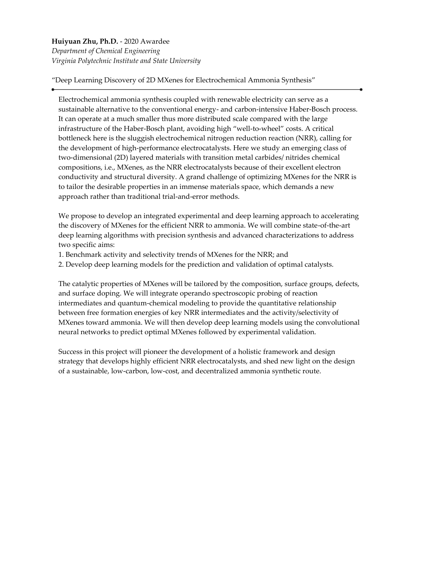# **Huiyuan Zhu, Ph.D.** - 2020 Awardee *Department of Chemical Engineering Virginia Polytechnic Institute and State University*

"Deep Learning Discovery of 2D MXenes for Electrochemical Ammonia Synthesis"

Electrochemical ammonia synthesis coupled with renewable electricity can serve as a sustainable alternative to the conventional energy- and carbon-intensive Haber-Bosch process. It can operate at a much smaller thus more distributed scale compared with the large infrastructure of the Haber-Bosch plant, avoiding high "well-to-wheel" costs. A critical bottleneck here is the sluggish electrochemical nitrogen reduction reaction (NRR), calling for the development of high-performance electrocatalysts. Here we study an emerging class of two-dimensional (2D) layered materials with transition metal carbides/ nitrides chemical compositions, i.e., MXenes, as the NRR electrocatalysts because of their excellent electron conductivity and structural diversity. A grand challenge of optimizing MXenes for the NRR is to tailor the desirable properties in an immense materials space, which demands a new approach rather than traditional trial-and-error methods.

We propose to develop an integrated experimental and deep learning approach to accelerating the discovery of MXenes for the efficient NRR to ammonia. We will combine state-of-the-art deep learning algorithms with precision synthesis and advanced characterizations to address two specific aims:

- 1. Benchmark activity and selectivity trends of MXenes for the NRR; and
- 2. Develop deep learning models for the prediction and validation of optimal catalysts.

The catalytic properties of MXenes will be tailored by the composition, surface groups, defects, and surface doping. We will integrate operando spectroscopic probing of reaction intermediates and quantum-chemical modeling to provide the quantitative relationship between free formation energies of key NRR intermediates and the activity/selectivity of MXenes toward ammonia. We will then develop deep learning models using the convolutional neural networks to predict optimal MXenes followed by experimental validation.

Success in this project will pioneer the development of a holistic framework and design strategy that develops highly efficient NRR electrocatalysts, and shed new light on the design of a sustainable, low-carbon, low-cost, and decentralized ammonia synthetic route.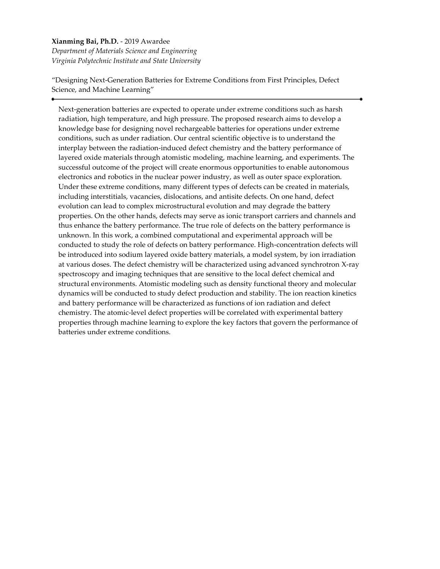# **Xianming Bai, Ph.D.** - 2019 Awardee *Department of Materials Science and Engineering*

*Virginia Polytechnic Institute and State University*

"Designing Next-Generation Batteries for Extreme Conditions from First Principles, Defect Science, and Machine Learning"

Next-generation batteries are expected to operate under extreme conditions such as harsh radiation, high temperature, and high pressure. The proposed research aims to develop a knowledge base for designing novel rechargeable batteries for operations under extreme conditions, such as under radiation. Our central scientific objective is to understand the interplay between the radiation-induced defect chemistry and the battery performance of layered oxide materials through atomistic modeling, machine learning, and experiments. The successful outcome of the project will create enormous opportunities to enable autonomous electronics and robotics in the nuclear power industry, as well as outer space exploration. Under these extreme conditions, many different types of defects can be created in materials, including interstitials, vacancies, dislocations, and antisite defects. On one hand, defect evolution can lead to complex microstructural evolution and may degrade the battery properties. On the other hands, defects may serve as ionic transport carriers and channels and thus enhance the battery performance. The true role of defects on the battery performance is unknown. In this work, a combined computational and experimental approach will be conducted to study the role of defects on battery performance. High-concentration defects will be introduced into sodium layered oxide battery materials, a model system, by ion irradiation at various doses. The defect chemistry will be characterized using advanced synchrotron X-ray spectroscopy and imaging techniques that are sensitive to the local defect chemical and structural environments. Atomistic modeling such as density functional theory and molecular dynamics will be conducted to study defect production and stability. The ion reaction kinetics and battery performance will be characterized as functions of ion radiation and defect chemistry. The atomic-level defect properties will be correlated with experimental battery properties through machine learning to explore the key factors that govern the performance of batteries under extreme conditions.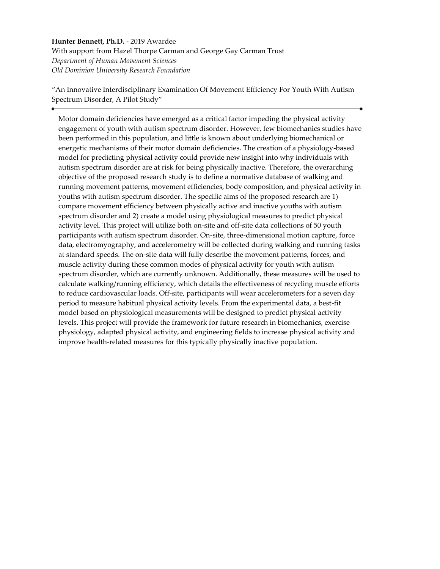# **Hunter Bennett, Ph.D.** - 2019 Awardee With support from Hazel Thorpe Carman and George Gay Carman Trust *Department of Human Movement Sciences Old Dominion University Research Foundation*

"An Innovative Interdisciplinary Examination Of Movement Efficiency For Youth With Autism Spectrum Disorder, A Pilot Study"

Motor domain deficiencies have emerged as a critical factor impeding the physical activity engagement of youth with autism spectrum disorder. However, few biomechanics studies have been performed in this population, and little is known about underlying biomechanical or energetic mechanisms of their motor domain deficiencies. The creation of a physiology-based model for predicting physical activity could provide new insight into why individuals with autism spectrum disorder are at risk for being physically inactive. Therefore, the overarching objective of the proposed research study is to define a normative database of walking and running movement patterns, movement efficiencies, body composition, and physical activity in youths with autism spectrum disorder. The specific aims of the proposed research are 1) compare movement efficiency between physically active and inactive youths with autism spectrum disorder and 2) create a model using physiological measures to predict physical activity level. This project will utilize both on-site and off-site data collections of 50 youth participants with autism spectrum disorder. On-site, three-dimensional motion capture, force data, electromyography, and accelerometry will be collected during walking and running tasks at standard speeds. The on-site data will fully describe the movement patterns, forces, and muscle activity during these common modes of physical activity for youth with autism spectrum disorder, which are currently unknown. Additionally, these measures will be used to calculate walking/running efficiency, which details the effectiveness of recycling muscle efforts to reduce cardiovascular loads. Off-site, participants will wear accelerometers for a seven day period to measure habitual physical activity levels. From the experimental data, a best-fit model based on physiological measurements will be designed to predict physical activity levels. This project will provide the framework for future research in biomechanics, exercise physiology, adapted physical activity, and engineering fields to increase physical activity and improve health-related measures for this typically physically inactive population.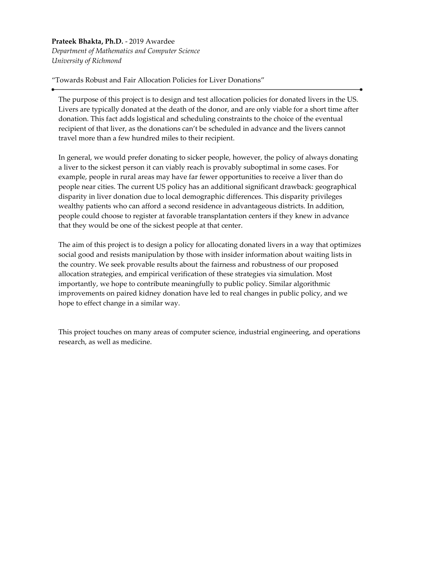**Prateek Bhakta, Ph.D.** - 2019 Awardee *Department of Mathematics and Computer Science University of Richmond*

"Towards Robust and Fair Allocation Policies for Liver Donations"

The purpose of this project is to design and test allocation policies for donated livers in the US. Livers are typically donated at the death of the donor, and are only viable for a short time after donation. This fact adds logistical and scheduling constraints to the choice of the eventual recipient of that liver, as the donations can't be scheduled in advance and the livers cannot travel more than a few hundred miles to their recipient.

In general, we would prefer donating to sicker people, however, the policy of always donating a liver to the sickest person it can viably reach is provably suboptimal in some cases. For example, people in rural areas may have far fewer opportunities to receive a liver than do people near cities. The current US policy has an additional significant drawback: geographical disparity in liver donation due to local demographic differences. This disparity privileges wealthy patients who can afford a second residence in advantageous districts. In addition, people could choose to register at favorable transplantation centers if they knew in advance that they would be one of the sickest people at that center.

The aim of this project is to design a policy for allocating donated livers in a way that optimizes social good and resists manipulation by those with insider information about waiting lists in the country. We seek provable results about the fairness and robustness of our proposed allocation strategies, and empirical verification of these strategies via simulation. Most importantly, we hope to contribute meaningfully to public policy. Similar algorithmic improvements on paired kidney donation have led to real changes in public policy, and we hope to effect change in a similar way.

This project touches on many areas of computer science, industrial engineering, and operations research, as well as medicine.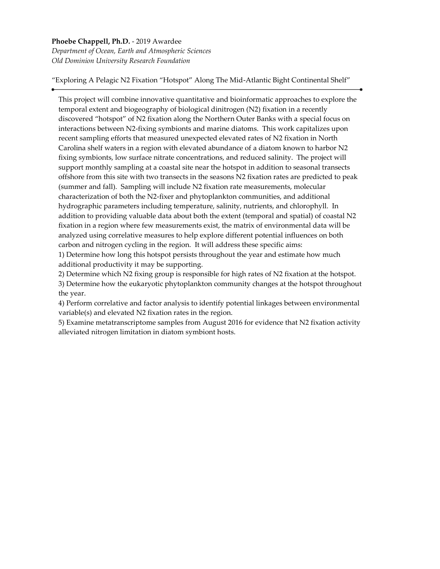## **Phoebe Chappell, Ph.D.** - 2019 Awardee *Department of Ocean, Earth and Atmospheric Sciences Old Dominion University Research Foundation*

"Exploring A Pelagic N2 Fixation "Hotspot" Along The Mid-Atlantic Bight Continental Shelf"

This project will combine innovative quantitative and bioinformatic approaches to explore the temporal extent and biogeography of biological dinitrogen (N2) fixation in a recently discovered "hotspot" of N2 fixation along the Northern Outer Banks with a special focus on interactions between N2-fixing symbionts and marine diatoms. This work capitalizes upon recent sampling efforts that measured unexpected elevated rates of N2 fixation in North Carolina shelf waters in a region with elevated abundance of a diatom known to harbor N2 fixing symbionts, low surface nitrate concentrations, and reduced salinity. The project will support monthly sampling at a coastal site near the hotspot in addition to seasonal transects offshore from this site with two transects in the seasons N2 fixation rates are predicted to peak (summer and fall). Sampling will include N2 fixation rate measurements, molecular characterization of both the N2-fixer and phytoplankton communities, and additional hydrographic parameters including temperature, salinity, nutrients, and chlorophyll. In addition to providing valuable data about both the extent (temporal and spatial) of coastal N2 fixation in a region where few measurements exist, the matrix of environmental data will be analyzed using correlative measures to help explore different potential influences on both carbon and nitrogen cycling in the region. It will address these specific aims:

1) Determine how long this hotspot persists throughout the year and estimate how much additional productivity it may be supporting.

2) Determine which N2 fixing group is responsible for high rates of N2 fixation at the hotspot.

3) Determine how the eukaryotic phytoplankton community changes at the hotspot throughout the year.

4) Perform correlative and factor analysis to identify potential linkages between environmental variable(s) and elevated N2 fixation rates in the region.

5) Examine metatranscriptome samples from August 2016 for evidence that N2 fixation activity alleviated nitrogen limitation in diatom symbiont hosts.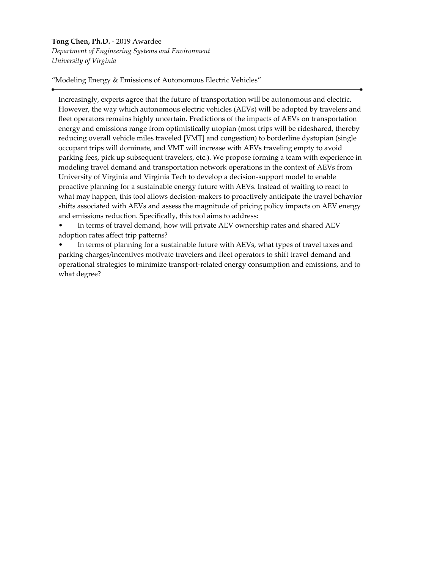## **Tong Chen, Ph.D.** - 2019 Awardee

*Department of Engineering Systems and Environment University of Virginia*

"Modeling Energy & Emissions of Autonomous Electric Vehicles"

Increasingly, experts agree that the future of transportation will be autonomous and electric. However, the way which autonomous electric vehicles (AEVs) will be adopted by travelers and fleet operators remains highly uncertain. Predictions of the impacts of AEVs on transportation energy and emissions range from optimistically utopian (most trips will be rideshared, thereby reducing overall vehicle miles traveled [VMT] and congestion) to borderline dystopian (single occupant trips will dominate, and VMT will increase with AEVs traveling empty to avoid parking fees, pick up subsequent travelers, etc.). We propose forming a team with experience in modeling travel demand and transportation network operations in the context of AEVs from University of Virginia and Virginia Tech to develop a decision-support model to enable proactive planning for a sustainable energy future with AEVs. Instead of waiting to react to what may happen, this tool allows decision-makers to proactively anticipate the travel behavior shifts associated with AEVs and assess the magnitude of pricing policy impacts on AEV energy and emissions reduction. Specifically, this tool aims to address:

• In terms of travel demand, how will private AEV ownership rates and shared AEV adoption rates affect trip patterns?

In terms of planning for a sustainable future with AEVs, what types of travel taxes and parking charges/incentives motivate travelers and fleet operators to shift travel demand and operational strategies to minimize transport-related energy consumption and emissions, and to what degree?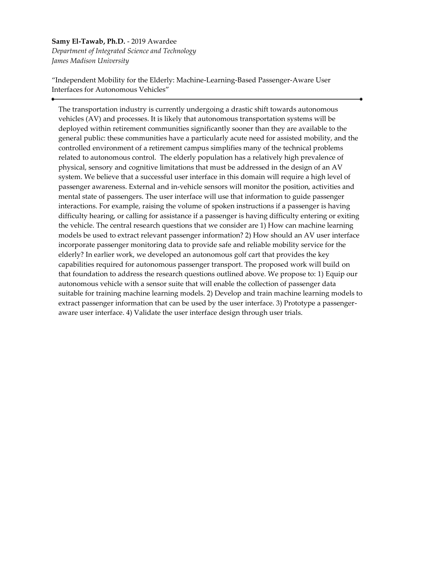## **Samy El-Tawab, Ph.D.** - 2019 Awardee *Department of Integrated Science and Technology James Madison University*

"Independent Mobility for the Elderly: Machine-Learning-Based Passenger-Aware User Interfaces for Autonomous Vehicles"

The transportation industry is currently undergoing a drastic shift towards autonomous vehicles (AV) and processes. It is likely that autonomous transportation systems will be deployed within retirement communities significantly sooner than they are available to the general public: these communities have a particularly acute need for assisted mobility, and the controlled environment of a retirement campus simplifies many of the technical problems related to autonomous control. The elderly population has a relatively high prevalence of physical, sensory and cognitive limitations that must be addressed in the design of an AV system. We believe that a successful user interface in this domain will require a high level of passenger awareness. External and in-vehicle sensors will monitor the position, activities and mental state of passengers. The user interface will use that information to guide passenger interactions. For example, raising the volume of spoken instructions if a passenger is having difficulty hearing, or calling for assistance if a passenger is having difficulty entering or exiting the vehicle. The central research questions that we consider are 1) How can machine learning models be used to extract relevant passenger information? 2) How should an AV user interface incorporate passenger monitoring data to provide safe and reliable mobility service for the elderly? In earlier work, we developed an autonomous golf cart that provides the key capabilities required for autonomous passenger transport. The proposed work will build on that foundation to address the research questions outlined above. We propose to: 1) Equip our autonomous vehicle with a sensor suite that will enable the collection of passenger data suitable for training machine learning models. 2) Develop and train machine learning models to extract passenger information that can be used by the user interface. 3) Prototype a passengeraware user interface. 4) Validate the user interface design through user trials.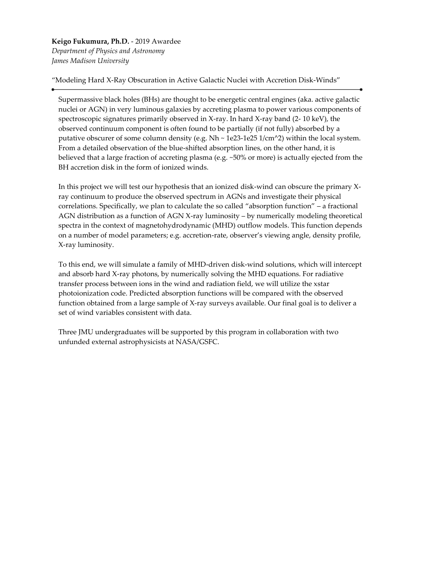**Keigo Fukumura, Ph.D.** - 2019 Awardee *Department of Physics and Astronomy James Madison University*

"Modeling Hard X-Ray Obscuration in Active Galactic Nuclei with Accretion Disk-Winds"

Supermassive black holes (BHs) are thought to be energetic central engines (aka. active galactic nuclei or AGN) in very luminous galaxies by accreting plasma to power various components of spectroscopic signatures primarily observed in X-ray. In hard X-ray band (2- 10 keV), the observed continuum component is often found to be partially (if not fully) absorbed by a putative obscurer of some column density (e.g.  $Nh \sim 1e23-1e25$  1/cm^2) within the local system. From a detailed observation of the blue-shifted absorption lines, on the other hand, it is believed that a large fraction of accreting plasma (e.g. ~50% or more) is actually ejected from the BH accretion disk in the form of ionized winds.

In this project we will test our hypothesis that an ionized disk-wind can obscure the primary Xray continuum to produce the observed spectrum in AGNs and investigate their physical correlations. Specifically, we plan to calculate the so called "absorption function" – a fractional AGN distribution as a function of AGN X-ray luminosity – by numerically modeling theoretical spectra in the context of magnetohydrodynamic (MHD) outflow models. This function depends on a number of model parameters; e.g. accretion-rate, observer's viewing angle, density profile, X-ray luminosity.

To this end, we will simulate a family of MHD-driven disk-wind solutions, which will intercept and absorb hard X-ray photons, by numerically solving the MHD equations. For radiative transfer process between ions in the wind and radiation field, we will utilize the xstar photoionization code. Predicted absorption functions will be compared with the observed function obtained from a large sample of X-ray surveys available. Our final goal is to deliver a set of wind variables consistent with data.

Three JMU undergraduates will be supported by this program in collaboration with two unfunded external astrophysicists at NASA/GSFC.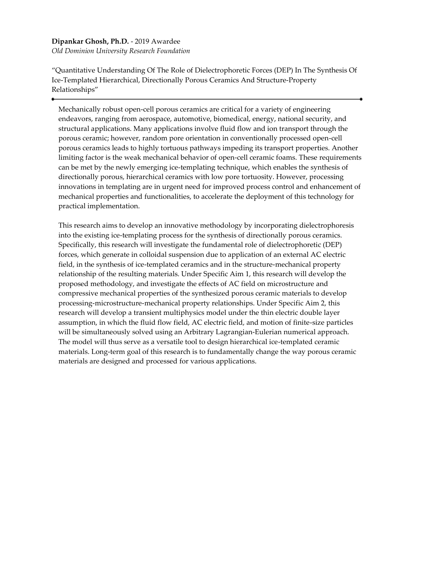# **Dipankar Ghosh, Ph.D.** - 2019 Awardee

*Old Dominion University Research Foundation*

"Quantitative Understanding Of The Role of Dielectrophoretic Forces (DEP) In The Synthesis Of Ice-Templated Hierarchical, Directionally Porous Ceramics And Structure-Property Relationships"

Mechanically robust open-cell porous ceramics are critical for a variety of engineering endeavors, ranging from aerospace, automotive, biomedical, energy, national security, and structural applications. Many applications involve fluid flow and ion transport through the porous ceramic; however, random pore orientation in conventionally processed open-cell porous ceramics leads to highly tortuous pathways impeding its transport properties. Another limiting factor is the weak mechanical behavior of open-cell ceramic foams. These requirements can be met by the newly emerging ice-templating technique, which enables the synthesis of directionally porous, hierarchical ceramics with low pore tortuosity. However, processing innovations in templating are in urgent need for improved process control and enhancement of mechanical properties and functionalities, to accelerate the deployment of this technology for practical implementation.

This research aims to develop an innovative methodology by incorporating dielectrophoresis into the existing ice-templating process for the synthesis of directionally porous ceramics. Specifically, this research will investigate the fundamental role of dielectrophoretic (DEP) forces, which generate in colloidal suspension due to application of an external AC electric field, in the synthesis of ice-templated ceramics and in the structure-mechanical property relationship of the resulting materials. Under Specific Aim 1, this research will develop the proposed methodology, and investigate the effects of AC field on microstructure and compressive mechanical properties of the synthesized porous ceramic materials to develop processing-microstructure-mechanical property relationships. Under Specific Aim 2, this research will develop a transient multiphysics model under the thin electric double layer assumption, in which the fluid flow field, AC electric field, and motion of finite-size particles will be simultaneously solved using an Arbitrary Lagrangian-Eulerian numerical approach. The model will thus serve as a versatile tool to design hierarchical ice-templated ceramic materials. Long-term goal of this research is to fundamentally change the way porous ceramic materials are designed and processed for various applications.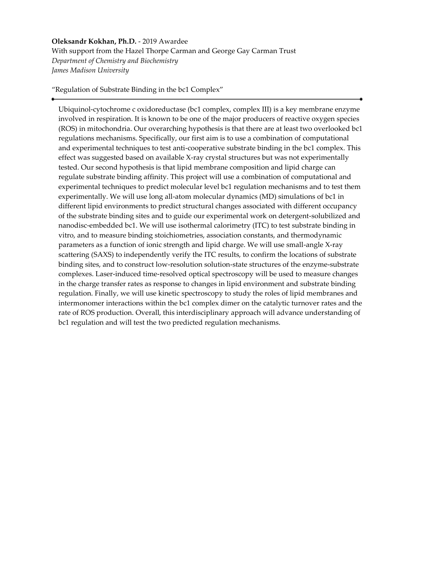# **Oleksandr Kokhan, Ph.D.** - 2019 Awardee With support from the Hazel Thorpe Carman and George Gay Carman Trust *Department of Chemistry and Biochemistry James Madison University*

"Regulation of Substrate Binding in the bc1 Complex"

Ubiquinol-cytochrome c oxidoreductase (bc1 complex, complex III) is a key membrane enzyme involved in respiration. It is known to be one of the major producers of reactive oxygen species (ROS) in mitochondria. Our overarching hypothesis is that there are at least two overlooked bc1 regulations mechanisms. Specifically, our first aim is to use a combination of computational and experimental techniques to test anti-cooperative substrate binding in the bc1 complex. This effect was suggested based on available X-ray crystal structures but was not experimentally tested. Our second hypothesis is that lipid membrane composition and lipid charge can regulate substrate binding affinity. This project will use a combination of computational and experimental techniques to predict molecular level bc1 regulation mechanisms and to test them experimentally. We will use long all-atom molecular dynamics (MD) simulations of bc1 in different lipid environments to predict structural changes associated with different occupancy of the substrate binding sites and to guide our experimental work on detergent-solubilized and nanodisc-embedded bc1. We will use isothermal calorimetry (ITC) to test substrate binding in vitro, and to measure binding stoichiometries, association constants, and thermodynamic parameters as a function of ionic strength and lipid charge. We will use small-angle X-ray scattering (SAXS) to independently verify the ITC results, to confirm the locations of substrate binding sites, and to construct low-resolution solution-state structures of the enzyme-substrate complexes. Laser-induced time-resolved optical spectroscopy will be used to measure changes in the charge transfer rates as response to changes in lipid environment and substrate binding regulation. Finally, we will use kinetic spectroscopy to study the roles of lipid membranes and intermonomer interactions within the bc1 complex dimer on the catalytic turnover rates and the rate of ROS production. Overall, this interdisciplinary approach will advance understanding of bc1 regulation and will test the two predicted regulation mechanisms.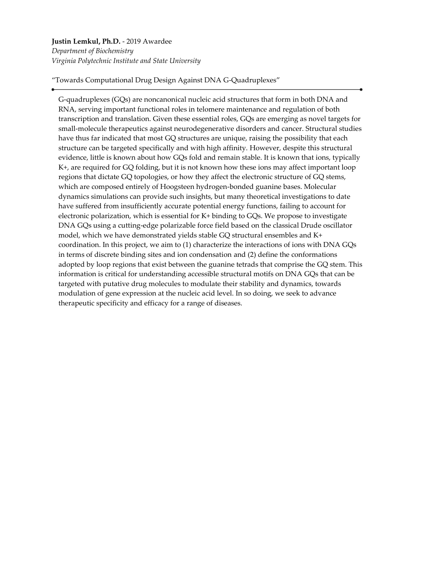# **Justin Lemkul, Ph.D.** - 2019 Awardee *Department of Biochemistry Virginia Polytechnic Institute and State University*

"Towards Computational Drug Design Against DNA G-Quadruplexes"

G-quadruplexes (GQs) are noncanonical nucleic acid structures that form in both DNA and RNA, serving important functional roles in telomere maintenance and regulation of both transcription and translation. Given these essential roles, GQs are emerging as novel targets for small-molecule therapeutics against neurodegenerative disorders and cancer. Structural studies have thus far indicated that most GQ structures are unique, raising the possibility that each structure can be targeted specifically and with high affinity. However, despite this structural evidence, little is known about how GQs fold and remain stable. It is known that ions, typically K+, are required for GQ folding, but it is not known how these ions may affect important loop regions that dictate GQ topologies, or how they affect the electronic structure of GQ stems, which are composed entirely of Hoogsteen hydrogen-bonded guanine bases. Molecular dynamics simulations can provide such insights, but many theoretical investigations to date have suffered from insufficiently accurate potential energy functions, failing to account for electronic polarization, which is essential for K+ binding to GQs. We propose to investigate DNA GQs using a cutting-edge polarizable force field based on the classical Drude oscillator model, which we have demonstrated yields stable GQ structural ensembles and K+ coordination. In this project, we aim to (1) characterize the interactions of ions with DNA GQs in terms of discrete binding sites and ion condensation and (2) define the conformations adopted by loop regions that exist between the guanine tetrads that comprise the GQ stem. This information is critical for understanding accessible structural motifs on DNA GQs that can be targeted with putative drug molecules to modulate their stability and dynamics, towards modulation of gene expression at the nucleic acid level. In so doing, we seek to advance therapeutic specificity and efficacy for a range of diseases.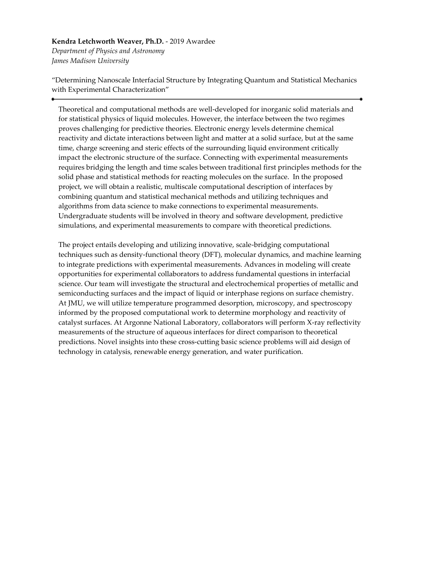#### **Kendra Letchworth Weaver, Ph.D.** - 2019 Awardee

*Department of Physics and Astronomy James Madison University*

"Determining Nanoscale Interfacial Structure by Integrating Quantum and Statistical Mechanics with Experimental Characterization"

Theoretical and computational methods are well-developed for inorganic solid materials and for statistical physics of liquid molecules. However, the interface between the two regimes proves challenging for predictive theories. Electronic energy levels determine chemical reactivity and dictate interactions between light and matter at a solid surface, but at the same time, charge screening and steric effects of the surrounding liquid environment critically impact the electronic structure of the surface. Connecting with experimental measurements requires bridging the length and time scales between traditional first principles methods for the solid phase and statistical methods for reacting molecules on the surface. In the proposed project, we will obtain a realistic, multiscale computational description of interfaces by combining quantum and statistical mechanical methods and utilizing techniques and algorithms from data science to make connections to experimental measurements. Undergraduate students will be involved in theory and software development, predictive simulations, and experimental measurements to compare with theoretical predictions.

The project entails developing and utilizing innovative, scale-bridging computational techniques such as density-functional theory (DFT), molecular dynamics, and machine learning to integrate predictions with experimental measurements. Advances in modeling will create opportunities for experimental collaborators to address fundamental questions in interfacial science. Our team will investigate the structural and electrochemical properties of metallic and semiconducting surfaces and the impact of liquid or interphase regions on surface chemistry. At JMU, we will utilize temperature programmed desorption, microscopy, and spectroscopy informed by the proposed computational work to determine morphology and reactivity of catalyst surfaces. At Argonne National Laboratory, collaborators will perform X-ray reflectivity measurements of the structure of aqueous interfaces for direct comparison to theoretical predictions. Novel insights into these cross-cutting basic science problems will aid design of technology in catalysis, renewable energy generation, and water purification.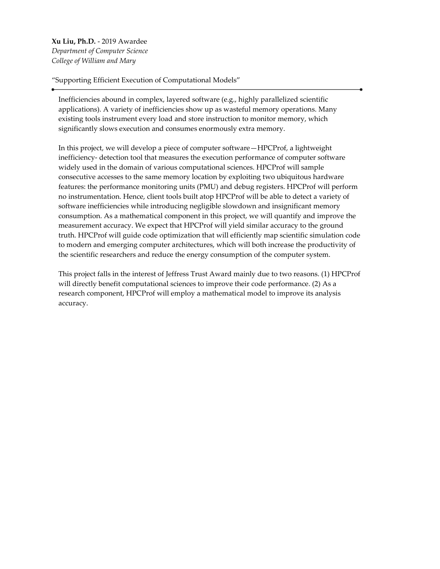**Xu Liu, Ph.D.** - 2019 Awardee *Department of Computer Science College of William and Mary*

"Supporting Efficient Execution of Computational Models"

Inefficiencies abound in complex, layered software (e.g., highly parallelized scientific applications). A variety of inefficiencies show up as wasteful memory operations. Many existing tools instrument every load and store instruction to monitor memory, which significantly slows execution and consumes enormously extra memory.

In this project, we will develop a piece of computer software—HPCProf, a lightweight inefficiency- detection tool that measures the execution performance of computer software widely used in the domain of various computational sciences. HPCProf will sample consecutive accesses to the same memory location by exploiting two ubiquitous hardware features: the performance monitoring units (PMU) and debug registers. HPCProf will perform no instrumentation. Hence, client tools built atop HPCProf will be able to detect a variety of software inefficiencies while introducing negligible slowdown and insignificant memory consumption. As a mathematical component in this project, we will quantify and improve the measurement accuracy. We expect that HPCProf will yield similar accuracy to the ground truth. HPCProf will guide code optimization that will efficiently map scientific simulation code to modern and emerging computer architectures, which will both increase the productivity of the scientific researchers and reduce the energy consumption of the computer system.

This project falls in the interest of Jeffress Trust Award mainly due to two reasons. (1) HPCProf will directly benefit computational sciences to improve their code performance. (2) As a research component, HPCProf will employ a mathematical model to improve its analysis accuracy.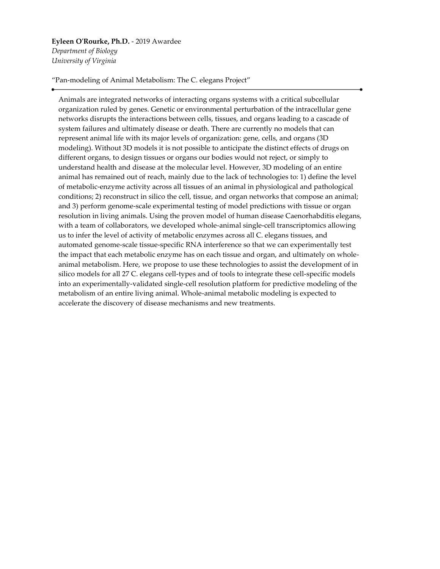#### **Eyleen O'Rourke, Ph.D.** - 2019 Awardee

*Department of Biology University of Virginia*

"Pan-modeling of Animal Metabolism: The C. elegans Project"

Animals are integrated networks of interacting organs systems with a critical subcellular organization ruled by genes. Genetic or environmental perturbation of the intracellular gene networks disrupts the interactions between cells, tissues, and organs leading to a cascade of system failures and ultimately disease or death. There are currently no models that can represent animal life with its major levels of organization: gene, cells, and organs (3D modeling). Without 3D models it is not possible to anticipate the distinct effects of drugs on different organs, to design tissues or organs our bodies would not reject, or simply to understand health and disease at the molecular level. However, 3D modeling of an entire animal has remained out of reach, mainly due to the lack of technologies to: 1) define the level of metabolic-enzyme activity across all tissues of an animal in physiological and pathological conditions; 2) reconstruct in silico the cell, tissue, and organ networks that compose an animal; and 3) perform genome-scale experimental testing of model predictions with tissue or organ resolution in living animals. Using the proven model of human disease Caenorhabditis elegans, with a team of collaborators, we developed whole-animal single-cell transcriptomics allowing us to infer the level of activity of metabolic enzymes across all C. elegans tissues, and automated genome-scale tissue-specific RNA interference so that we can experimentally test the impact that each metabolic enzyme has on each tissue and organ, and ultimately on wholeanimal metabolism. Here, we propose to use these technologies to assist the development of in silico models for all 27 C. elegans cell-types and of tools to integrate these cell-specific models into an experimentally-validated single-cell resolution platform for predictive modeling of the metabolism of an entire living animal. Whole-animal metabolic modeling is expected to accelerate the discovery of disease mechanisms and new treatments.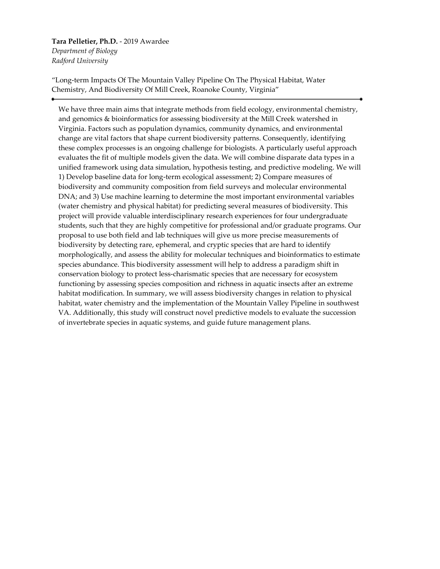#### **Tara Pelletier, Ph.D.** - 2019 Awardee *Department of Biology Radford University*

"Long-term Impacts Of The Mountain Valley Pipeline On The Physical Habitat, Water Chemistry, And Biodiversity Of Mill Creek, Roanoke County, Virginia"

We have three main aims that integrate methods from field ecology, environmental chemistry, and genomics & bioinformatics for assessing biodiversity at the Mill Creek watershed in Virginia. Factors such as population dynamics, community dynamics, and environmental change are vital factors that shape current biodiversity patterns. Consequently, identifying these complex processes is an ongoing challenge for biologists. A particularly useful approach evaluates the fit of multiple models given the data. We will combine disparate data types in a unified framework using data simulation, hypothesis testing, and predictive modeling. We will 1) Develop baseline data for long-term ecological assessment; 2) Compare measures of biodiversity and community composition from field surveys and molecular environmental DNA; and 3) Use machine learning to determine the most important environmental variables (water chemistry and physical habitat) for predicting several measures of biodiversity. This project will provide valuable interdisciplinary research experiences for four undergraduate students, such that they are highly competitive for professional and/or graduate programs. Our proposal to use both field and lab techniques will give us more precise measurements of biodiversity by detecting rare, ephemeral, and cryptic species that are hard to identify morphologically, and assess the ability for molecular techniques and bioinformatics to estimate species abundance. This biodiversity assessment will help to address a paradigm shift in conservation biology to protect less-charismatic species that are necessary for ecosystem functioning by assessing species composition and richness in aquatic insects after an extreme habitat modification. In summary, we will assess biodiversity changes in relation to physical habitat, water chemistry and the implementation of the Mountain Valley Pipeline in southwest VA. Additionally, this study will construct novel predictive models to evaluate the succession of invertebrate species in aquatic systems, and guide future management plans.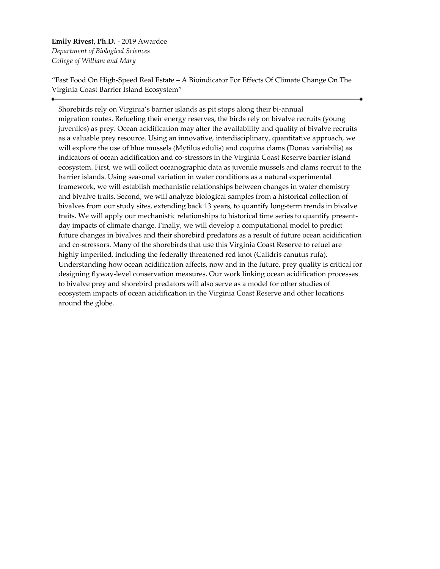**Emily Rivest, Ph.D.** - 2019 Awardee *Department of Biological Sciences College of William and Mary*

"Fast Food On High-Speed Real Estate – A Bioindicator For Effects Of Climate Change On The Virginia Coast Barrier Island Ecosystem"

Shorebirds rely on Virginia's barrier islands as pit stops along their bi-annual migration routes. Refueling their energy reserves, the birds rely on bivalve recruits (young juveniles) as prey. Ocean acidification may alter the availability and quality of bivalve recruits as a valuable prey resource. Using an innovative, interdisciplinary, quantitative approach, we will explore the use of blue mussels (Mytilus edulis) and coquina clams (Donax variabilis) as indicators of ocean acidification and co-stressors in the Virginia Coast Reserve barrier island ecosystem. First, we will collect oceanographic data as juvenile mussels and clams recruit to the barrier islands. Using seasonal variation in water conditions as a natural experimental framework, we will establish mechanistic relationships between changes in water chemistry and bivalve traits. Second, we will analyze biological samples from a historical collection of bivalves from our study sites, extending back 13 years, to quantify long-term trends in bivalve traits. We will apply our mechanistic relationships to historical time series to quantify presentday impacts of climate change. Finally, we will develop a computational model to predict future changes in bivalves and their shorebird predators as a result of future ocean acidification and co-stressors. Many of the shorebirds that use this Virginia Coast Reserve to refuel are highly imperiled, including the federally threatened red knot (Calidris canutus rufa). Understanding how ocean acidification affects, now and in the future, prey quality is critical for designing flyway-level conservation measures. Our work linking ocean acidification processes to bivalve prey and shorebird predators will also serve as a model for other studies of ecosystem impacts of ocean acidification in the Virginia Coast Reserve and other locations around the globe.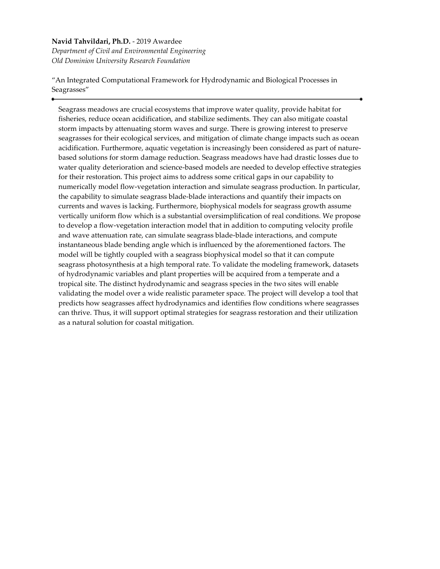#### **Navid Tahvildari, Ph.D.** - 2019 Awardee

*Department of Civil and Environmental Engineering Old Dominion University Research Foundation*

"An Integrated Computational Framework for Hydrodynamic and Biological Processes in Seagrasses"

Seagrass meadows are crucial ecosystems that improve water quality, provide habitat for fisheries, reduce ocean acidification, and stabilize sediments. They can also mitigate coastal storm impacts by attenuating storm waves and surge. There is growing interest to preserve seagrasses for their ecological services, and mitigation of climate change impacts such as ocean acidification. Furthermore, aquatic vegetation is increasingly been considered as part of naturebased solutions for storm damage reduction. Seagrass meadows have had drastic losses due to water quality deterioration and science-based models are needed to develop effective strategies for their restoration. This project aims to address some critical gaps in our capability to numerically model flow-vegetation interaction and simulate seagrass production. In particular, the capability to simulate seagrass blade-blade interactions and quantify their impacts on currents and waves is lacking. Furthermore, biophysical models for seagrass growth assume vertically uniform flow which is a substantial oversimplification of real conditions. We propose to develop a flow-vegetation interaction model that in addition to computing velocity profile and wave attenuation rate, can simulate seagrass blade-blade interactions, and compute instantaneous blade bending angle which is influenced by the aforementioned factors. The model will be tightly coupled with a seagrass biophysical model so that it can compute seagrass photosynthesis at a high temporal rate. To validate the modeling framework, datasets of hydrodynamic variables and plant properties will be acquired from a temperate and a tropical site. The distinct hydrodynamic and seagrass species in the two sites will enable validating the model over a wide realistic parameter space. The project will develop a tool that predicts how seagrasses affect hydrodynamics and identifies flow conditions where seagrasses can thrive. Thus, it will support optimal strategies for seagrass restoration and their utilization as a natural solution for coastal mitigation.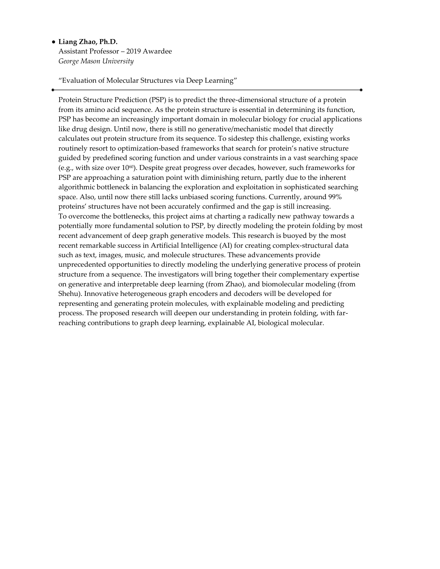#### • **Liang Zhao, Ph.D.**

Assistant Professor – 2019 Awardee *George Mason University*

"Evaluation of Molecular Structures via Deep Learning"

Protein Structure Prediction (PSP) is to predict the three-dimensional structure of a protein from its amino acid sequence. As the protein structure is essential in determining its function, PSP has become an increasingly important domain in molecular biology for crucial applications like drug design. Until now, there is still no generative/mechanistic model that directly calculates out protein structure from its sequence. To sidestep this challenge, existing works routinely resort to optimization-based frameworks that search for protein's native structure guided by predefined scoring function and under various constraints in a vast searching space (e.g., with size over 1060). Despite great progress over decades, however, such frameworks for PSP are approaching a saturation point with diminishing return, partly due to the inherent algorithmic bottleneck in balancing the exploration and exploitation in sophisticated searching space. Also, until now there still lacks unbiased scoring functions. Currently, around 99% proteins' structures have not been accurately confirmed and the gap is still increasing. To overcome the bottlenecks, this project aims at charting a radically new pathway towards a potentially more fundamental solution to PSP, by directly modeling the protein folding by most recent advancement of deep graph generative models. This research is buoyed by the most recent remarkable success in Artificial Intelligence (AI) for creating complex-structural data such as text, images, music, and molecule structures. These advancements provide unprecedented opportunities to directly modeling the underlying generative process of protein structure from a sequence. The investigators will bring together their complementary expertise on generative and interpretable deep learning (from Zhao), and biomolecular modeling (from Shehu). Innovative heterogeneous graph encoders and decoders will be developed for representing and generating protein molecules, with explainable modeling and predicting process. The proposed research will deepen our understanding in protein folding, with farreaching contributions to graph deep learning, explainable AI, biological molecular.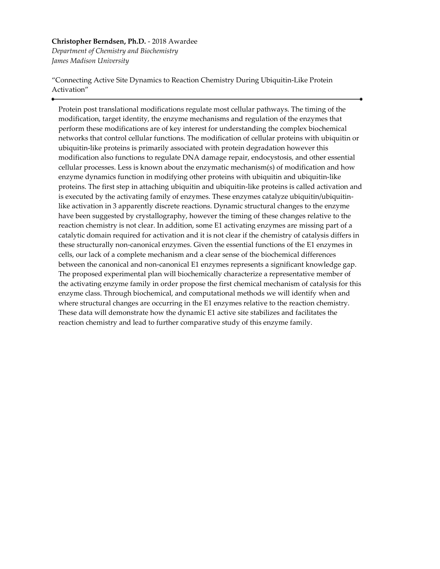#### **Christopher Berndsen, Ph.D.** - 2018 Awardee *Department of Chemistry and Biochemistry*

*James Madison University*

"Connecting Active Site Dynamics to Reaction Chemistry During Ubiquitin-Like Protein Activation"

Protein post translational modifications regulate most cellular pathways. The timing of the modification, target identity, the enzyme mechanisms and regulation of the enzymes that perform these modifications are of key interest for understanding the complex biochemical networks that control cellular functions. The modification of cellular proteins with ubiquitin or ubiquitin-like proteins is primarily associated with protein degradation however this modification also functions to regulate DNA damage repair, endocystosis, and other essential cellular processes. Less is known about the enzymatic mechanism(s) of modification and how enzyme dynamics function in modifying other proteins with ubiquitin and ubiquitin-like proteins. The first step in attaching ubiquitin and ubiquitin-like proteins is called activation and is executed by the activating family of enzymes. These enzymes catalyze ubiquitin/ubiquitinlike activation in 3 apparently discrete reactions. Dynamic structural changes to the enzyme have been suggested by crystallography, however the timing of these changes relative to the reaction chemistry is not clear. In addition, some E1 activating enzymes are missing part of a catalytic domain required for activation and it is not clear if the chemistry of catalysis differs in these structurally non-canonical enzymes. Given the essential functions of the E1 enzymes in cells, our lack of a complete mechanism and a clear sense of the biochemical differences between the canonical and non-canonical E1 enzymes represents a significant knowledge gap. The proposed experimental plan will biochemically characterize a representative member of the activating enzyme family in order propose the first chemical mechanism of catalysis for this enzyme class. Through biochemical, and computational methods we will identify when and where structural changes are occurring in the E1 enzymes relative to the reaction chemistry. These data will demonstrate how the dynamic E1 active site stabilizes and facilitates the reaction chemistry and lead to further comparative study of this enzyme family.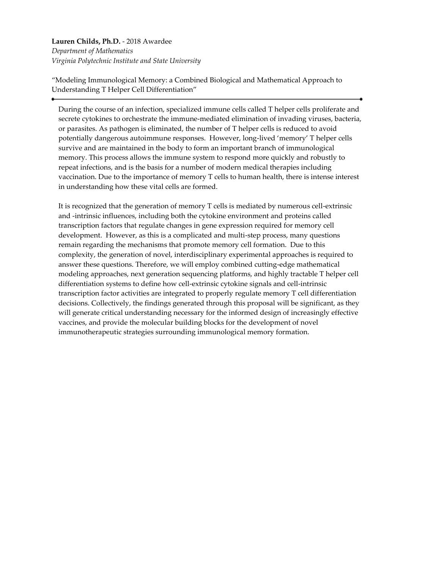**Lauren Childs, Ph.D.** - 2018 Awardee *Department of Mathematics Virginia Polytechnic Institute and State University*

"Modeling Immunological Memory: a Combined Biological and Mathematical Approach to Understanding T Helper Cell Differentiation"

During the course of an infection, specialized immune cells called T helper cells proliferate and secrete cytokines to orchestrate the immune-mediated elimination of invading viruses, bacteria, or parasites. As pathogen is eliminated, the number of T helper cells is reduced to avoid potentially dangerous autoimmune responses. However, long-lived 'memory' T helper cells survive and are maintained in the body to form an important branch of immunological memory. This process allows the immune system to respond more quickly and robustly to repeat infections, and is the basis for a number of modern medical therapies including vaccination. Due to the importance of memory T cells to human health, there is intense interest in understanding how these vital cells are formed.

It is recognized that the generation of memory T cells is mediated by numerous cell-extrinsic and -intrinsic influences, including both the cytokine environment and proteins called transcription factors that regulate changes in gene expression required for memory cell development. However, as this is a complicated and multi-step process, many questions remain regarding the mechanisms that promote memory cell formation. Due to this complexity, the generation of novel, interdisciplinary experimental approaches is required to answer these questions. Therefore, we will employ combined cutting-edge mathematical modeling approaches, next generation sequencing platforms, and highly tractable T helper cell differentiation systems to define how cell-extrinsic cytokine signals and cell-intrinsic transcription factor activities are integrated to properly regulate memory T cell differentiation decisions. Collectively, the findings generated through this proposal will be significant, as they will generate critical understanding necessary for the informed design of increasingly effective vaccines, and provide the molecular building blocks for the development of novel immunotherapeutic strategies surrounding immunological memory formation.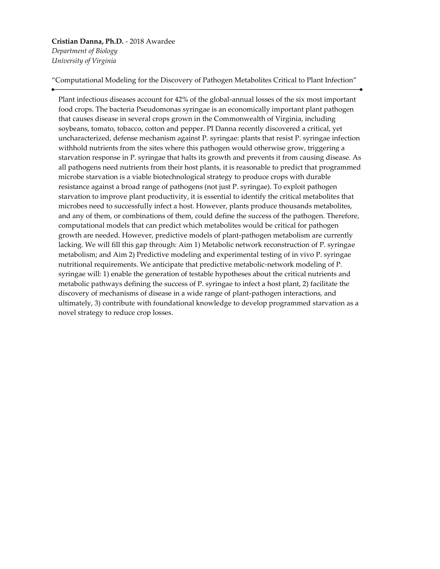# **Cristian Danna, Ph.D.** - 2018 Awardee

*Department of Biology University of Virginia*

"Computational Modeling for the Discovery of Pathogen Metabolites Critical to Plant Infection"

Plant infectious diseases account for 42% of the global-annual losses of the six most important food crops. The bacteria Pseudomonas syringae is an economically important plant pathogen that causes disease in several crops grown in the Commonwealth of Virginia, including soybeans, tomato, tobacco, cotton and pepper. PI Danna recently discovered a critical, yet uncharacterized, defense mechanism against P. syringae: plants that resist P. syringae infection withhold nutrients from the sites where this pathogen would otherwise grow, triggering a starvation response in P. syringae that halts its growth and prevents it from causing disease. As all pathogens need nutrients from their host plants, it is reasonable to predict that programmed microbe starvation is a viable biotechnological strategy to produce crops with durable resistance against a broad range of pathogens (not just P. syringae). To exploit pathogen starvation to improve plant productivity, it is essential to identify the critical metabolites that microbes need to successfully infect a host. However, plants produce thousands metabolites, and any of them, or combinations of them, could define the success of the pathogen. Therefore, computational models that can predict which metabolites would be critical for pathogen growth are needed. However, predictive models of plant-pathogen metabolism are currently lacking. We will fill this gap through: Aim 1) Metabolic network reconstruction of P. syringae metabolism; and Aim 2) Predictive modeling and experimental testing of in vivo P. syringae nutritional requirements. We anticipate that predictive metabolic-network modeling of P. syringae will: 1) enable the generation of testable hypotheses about the critical nutrients and metabolic pathways defining the success of P. syringae to infect a host plant, 2) facilitate the discovery of mechanisms of disease in a wide range of plant-pathogen interactions, and ultimately, 3) contribute with foundational knowledge to develop programmed starvation as a novel strategy to reduce crop losses.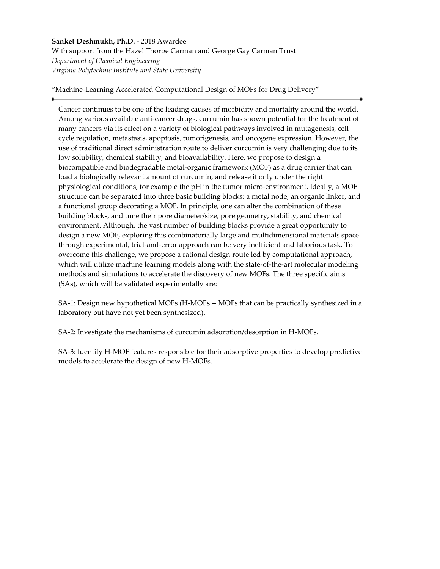**Sanket Deshmukh, Ph.D.** - 2018 Awardee With support from the Hazel Thorpe Carman and George Gay Carman Trust *Department of Chemical Engineering Virginia Polytechnic Institute and State University*

"Machine-Learning Accelerated Computational Design of MOFs for Drug Delivery"

Cancer continues to be one of the leading causes of morbidity and mortality around the world. Among various available anti-cancer drugs, curcumin has shown potential for the treatment of many cancers via its effect on a variety of biological pathways involved in mutagenesis, cell cycle regulation, metastasis, apoptosis, tumorigenesis, and oncogene expression. However, the use of traditional direct administration route to deliver curcumin is very challenging due to its low solubility, chemical stability, and bioavailability. Here, we propose to design a biocompatible and biodegradable metal-organic framework (MOF) as a drug carrier that can load a biologically relevant amount of curcumin, and release it only under the right physiological conditions, for example the pH in the tumor micro-environment. Ideally, a MOF structure can be separated into three basic building blocks: a metal node, an organic linker, and a functional group decorating a MOF. In principle, one can alter the combination of these building blocks, and tune their pore diameter/size, pore geometry, stability, and chemical environment. Although, the vast number of building blocks provide a great opportunity to design a new MOF, exploring this combinatorially large and multidimensional materials space through experimental, trial-and-error approach can be very inefficient and laborious task. To overcome this challenge, we propose a rational design route led by computational approach, which will utilize machine learning models along with the state-of-the-art molecular modeling methods and simulations to accelerate the discovery of new MOFs. The three specific aims (SAs), which will be validated experimentally are:

SA-1: Design new hypothetical MOFs (H-MOFs -- MOFs that can be practically synthesized in a laboratory but have not yet been synthesized).

SA-2: Investigate the mechanisms of curcumin adsorption/desorption in H-MOFs.

SA-3: Identify H-MOF features responsible for their adsorptive properties to develop predictive models to accelerate the design of new H-MOFs.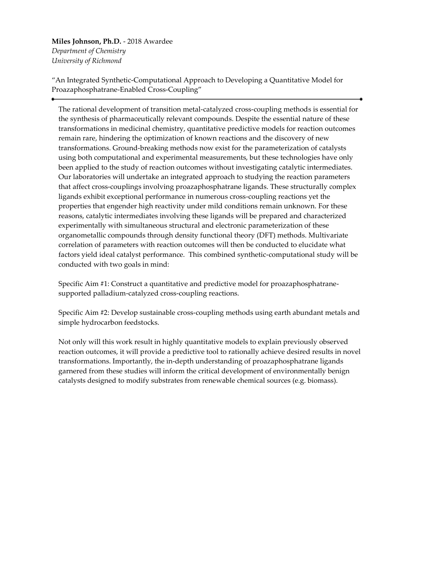**Miles Johnson, Ph.D.** - 2018 Awardee *Department of Chemistry University of Richmond*

"An Integrated Synthetic-Computational Approach to Developing a Quantitative Model for Proazaphosphatrane-Enabled Cross-Coupling"

The rational development of transition metal-catalyzed cross-coupling methods is essential for the synthesis of pharmaceutically relevant compounds. Despite the essential nature of these transformations in medicinal chemistry, quantitative predictive models for reaction outcomes remain rare, hindering the optimization of known reactions and the discovery of new transformations. Ground-breaking methods now exist for the parameterization of catalysts using both computational and experimental measurements, but these technologies have only been applied to the study of reaction outcomes without investigating catalytic intermediates. Our laboratories will undertake an integrated approach to studying the reaction parameters that affect cross-couplings involving proazaphosphatrane ligands. These structurally complex ligands exhibit exceptional performance in numerous cross-coupling reactions yet the properties that engender high reactivity under mild conditions remain unknown. For these reasons, catalytic intermediates involving these ligands will be prepared and characterized experimentally with simultaneous structural and electronic parameterization of these organometallic compounds through density functional theory (DFT) methods. Multivariate correlation of parameters with reaction outcomes will then be conducted to elucidate what factors yield ideal catalyst performance. This combined synthetic-computational study will be conducted with two goals in mind:

Specific Aim #1: Construct a quantitative and predictive model for proazaphosphatranesupported palladium-catalyzed cross-coupling reactions.

Specific Aim #2: Develop sustainable cross-coupling methods using earth abundant metals and simple hydrocarbon feedstocks.

Not only will this work result in highly quantitative models to explain previously observed reaction outcomes, it will provide a predictive tool to rationally achieve desired results in novel transformations. Importantly, the in-depth understanding of proazaphosphatrane ligands garnered from these studies will inform the critical development of environmentally benign catalysts designed to modify substrates from renewable chemical sources (e.g. biomass).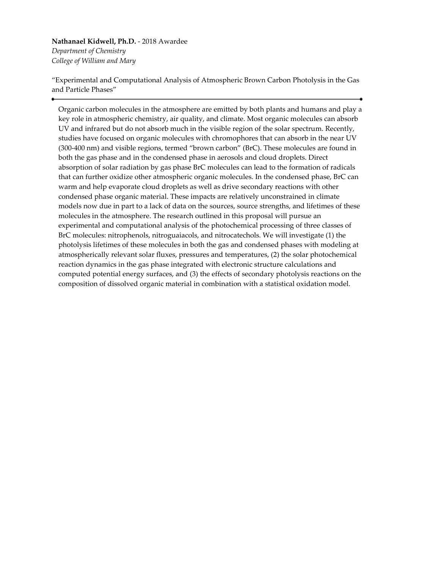#### **Nathanael Kidwell, Ph.D.** - 2018 Awardee *Department of Chemistry College of William and Mary*

"Experimental and Computational Analysis of Atmospheric Brown Carbon Photolysis in the Gas and Particle Phases"

Organic carbon molecules in the atmosphere are emitted by both plants and humans and play a key role in atmospheric chemistry, air quality, and climate. Most organic molecules can absorb UV and infrared but do not absorb much in the visible region of the solar spectrum. Recently, studies have focused on organic molecules with chromophores that can absorb in the near UV (300-400 nm) and visible regions, termed "brown carbon" (BrC). These molecules are found in both the gas phase and in the condensed phase in aerosols and cloud droplets. Direct absorption of solar radiation by gas phase BrC molecules can lead to the formation of radicals that can further oxidize other atmospheric organic molecules. In the condensed phase, BrC can warm and help evaporate cloud droplets as well as drive secondary reactions with other condensed phase organic material. These impacts are relatively unconstrained in climate models now due in part to a lack of data on the sources, source strengths, and lifetimes of these molecules in the atmosphere. The research outlined in this proposal will pursue an experimental and computational analysis of the photochemical processing of three classes of BrC molecules: nitrophenols, nitroguaiacols, and nitrocatechols. We will investigate (1) the photolysis lifetimes of these molecules in both the gas and condensed phases with modeling at atmospherically relevant solar fluxes, pressures and temperatures, (2) the solar photochemical reaction dynamics in the gas phase integrated with electronic structure calculations and computed potential energy surfaces, and (3) the effects of secondary photolysis reactions on the composition of dissolved organic material in combination with a statistical oxidation model.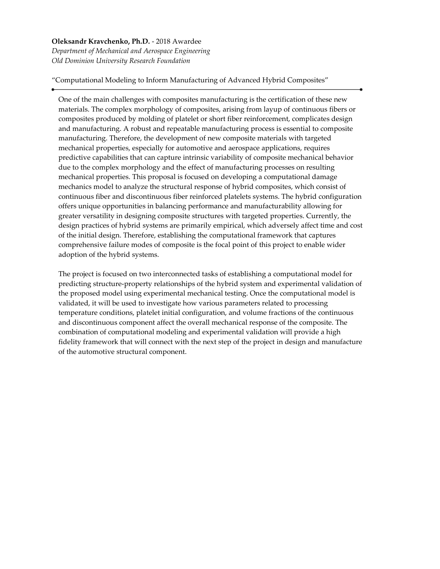**Oleksandr Kravchenko, Ph.D.** - 2018 Awardee *Department of Mechanical and Aerospace Engineering Old Dominion University Research Foundation*

"Computational Modeling to Inform Manufacturing of Advanced Hybrid Composites"

One of the main challenges with composites manufacturing is the certification of these new materials. The complex morphology of composites, arising from layup of continuous fibers or composites produced by molding of platelet or short fiber reinforcement, complicates design and manufacturing. A robust and repeatable manufacturing process is essential to composite manufacturing. Therefore, the development of new composite materials with targeted mechanical properties, especially for automotive and aerospace applications, requires predictive capabilities that can capture intrinsic variability of composite mechanical behavior due to the complex morphology and the effect of manufacturing processes on resulting mechanical properties. This proposal is focused on developing a computational damage mechanics model to analyze the structural response of hybrid composites, which consist of continuous fiber and discontinuous fiber reinforced platelets systems. The hybrid configuration offers unique opportunities in balancing performance and manufacturability allowing for greater versatility in designing composite structures with targeted properties. Currently, the design practices of hybrid systems are primarily empirical, which adversely affect time and cost of the initial design. Therefore, establishing the computational framework that captures comprehensive failure modes of composite is the focal point of this project to enable wider adoption of the hybrid systems.

The project is focused on two interconnected tasks of establishing a computational model for predicting structure-property relationships of the hybrid system and experimental validation of the proposed model using experimental mechanical testing. Once the computational model is validated, it will be used to investigate how various parameters related to processing temperature conditions, platelet initial configuration, and volume fractions of the continuous and discontinuous component affect the overall mechanical response of the composite. The combination of computational modeling and experimental validation will provide a high fidelity framework that will connect with the next step of the project in design and manufacture of the automotive structural component.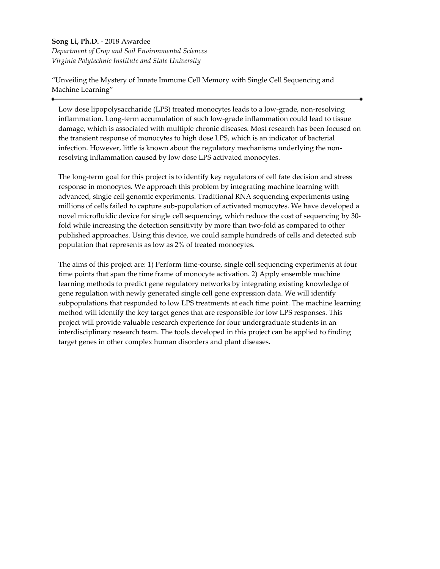# **Song Li, Ph.D.** - 2018 Awardee

*Department of Crop and Soil Environmental Sciences Virginia Polytechnic Institute and State University*

"Unveiling the Mystery of Innate Immune Cell Memory with Single Cell Sequencing and Machine Learning"

Low dose lipopolysaccharide (LPS) treated monocytes leads to a low-grade, non-resolving inflammation. Long-term accumulation of such low-grade inflammation could lead to tissue damage, which is associated with multiple chronic diseases. Most research has been focused on the transient response of monocytes to high dose LPS, which is an indicator of bacterial infection. However, little is known about the regulatory mechanisms underlying the nonresolving inflammation caused by low dose LPS activated monocytes.

The long-term goal for this project is to identify key regulators of cell fate decision and stress response in monocytes. We approach this problem by integrating machine learning with advanced, single cell genomic experiments. Traditional RNA sequencing experiments using millions of cells failed to capture sub-population of activated monocytes. We have developed a novel microfluidic device for single cell sequencing, which reduce the cost of sequencing by 30 fold while increasing the detection sensitivity by more than two-fold as compared to other published approaches. Using this device, we could sample hundreds of cells and detected sub population that represents as low as 2% of treated monocytes.

The aims of this project are: 1) Perform time-course, single cell sequencing experiments at four time points that span the time frame of monocyte activation. 2) Apply ensemble machine learning methods to predict gene regulatory networks by integrating existing knowledge of gene regulation with newly generated single cell gene expression data. We will identify subpopulations that responded to low LPS treatments at each time point. The machine learning method will identify the key target genes that are responsible for low LPS responses. This project will provide valuable research experience for four undergraduate students in an interdisciplinary research team. The tools developed in this project can be applied to finding target genes in other complex human disorders and plant diseases.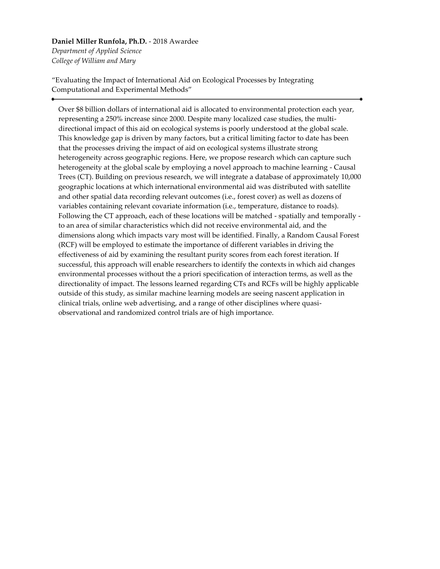#### **Daniel Miller Runfola, Ph.D.** - 2018 Awardee *Department of Applied Science*

*College of William and Mary*

"Evaluating the Impact of International Aid on Ecological Processes by Integrating Computational and Experimental Methods"

Over \$8 billion dollars of international aid is allocated to environmental protection each year, representing a 250% increase since 2000. Despite many localized case studies, the multidirectional impact of this aid on ecological systems is poorly understood at the global scale. This knowledge gap is driven by many factors, but a critical limiting factor to date has been that the processes driving the impact of aid on ecological systems illustrate strong heterogeneity across geographic regions. Here, we propose research which can capture such heterogeneity at the global scale by employing a novel approach to machine learning - Causal Trees (CT). Building on previous research, we will integrate a database of approximately 10,000 geographic locations at which international environmental aid was distributed with satellite and other spatial data recording relevant outcomes (i.e., forest cover) as well as dozens of variables containing relevant covariate information (i.e., temperature, distance to roads). Following the CT approach, each of these locations will be matched - spatially and temporally to an area of similar characteristics which did not receive environmental aid, and the dimensions along which impacts vary most will be identified. Finally, a Random Causal Forest (RCF) will be employed to estimate the importance of different variables in driving the effectiveness of aid by examining the resultant purity scores from each forest iteration. If successful, this approach will enable researchers to identify the contexts in which aid changes environmental processes without the a priori specification of interaction terms, as well as the directionality of impact. The lessons learned regarding CTs and RCFs will be highly applicable outside of this study, as similar machine learning models are seeing nascent application in clinical trials, online web advertising, and a range of other disciplines where quasiobservational and randomized control trials are of high importance.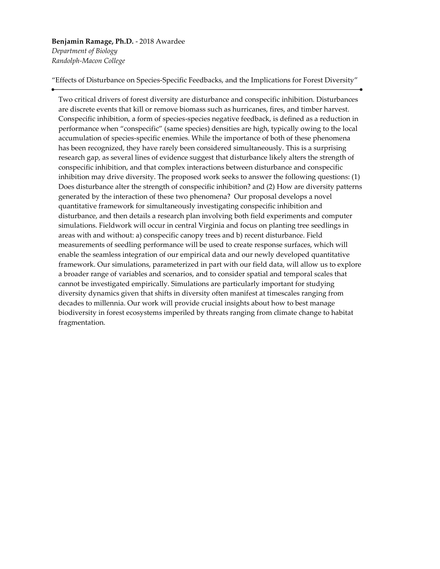#### **Benjamin Ramage, Ph.D.** - 2018 Awardee *Department of Biology*

*Randolph-Macon College*

"Effects of Disturbance on Species-Specific Feedbacks, and the Implications for Forest Diversity"

Two critical drivers of forest diversity are disturbance and conspecific inhibition. Disturbances are discrete events that kill or remove biomass such as hurricanes, fires, and timber harvest. Conspecific inhibition, a form of species-species negative feedback, is defined as a reduction in performance when "conspecific" (same species) densities are high, typically owing to the local accumulation of species-specific enemies. While the importance of both of these phenomena has been recognized, they have rarely been considered simultaneously. This is a surprising research gap, as several lines of evidence suggest that disturbance likely alters the strength of conspecific inhibition, and that complex interactions between disturbance and conspecific inhibition may drive diversity. The proposed work seeks to answer the following questions: (1) Does disturbance alter the strength of conspecific inhibition? and (2) How are diversity patterns generated by the interaction of these two phenomena? Our proposal develops a novel quantitative framework for simultaneously investigating conspecific inhibition and disturbance, and then details a research plan involving both field experiments and computer simulations. Fieldwork will occur in central Virginia and focus on planting tree seedlings in areas with and without: a) conspecific canopy trees and b) recent disturbance. Field measurements of seedling performance will be used to create response surfaces, which will enable the seamless integration of our empirical data and our newly developed quantitative framework. Our simulations, parameterized in part with our field data, will allow us to explore a broader range of variables and scenarios, and to consider spatial and temporal scales that cannot be investigated empirically. Simulations are particularly important for studying diversity dynamics given that shifts in diversity often manifest at timescales ranging from decades to millennia. Our work will provide crucial insights about how to best manage biodiversity in forest ecosystems imperiled by threats ranging from climate change to habitat fragmentation.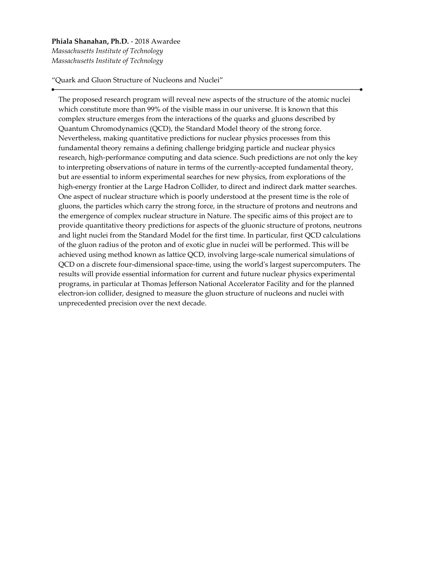#### **Phiala Shanahan, Ph.D.** - 2018 Awardee *Massachusetts Institute of Technology Massachusetts Institute of Technology*

"Quark and Gluon Structure of Nucleons and Nuclei"

The proposed research program will reveal new aspects of the structure of the atomic nuclei which constitute more than 99% of the visible mass in our universe. It is known that this complex structure emerges from the interactions of the quarks and gluons described by Quantum Chromodynamics (QCD), the Standard Model theory of the strong force. Nevertheless, making quantitative predictions for nuclear physics processes from this fundamental theory remains a defining challenge bridging particle and nuclear physics research, high-performance computing and data science. Such predictions are not only the key to interpreting observations of nature in terms of the currently-accepted fundamental theory, but are essential to inform experimental searches for new physics, from explorations of the high-energy frontier at the Large Hadron Collider, to direct and indirect dark matter searches. One aspect of nuclear structure which is poorly understood at the present time is the role of gluons, the particles which carry the strong force, in the structure of protons and neutrons and the emergence of complex nuclear structure in Nature. The specific aims of this project are to provide quantitative theory predictions for aspects of the gluonic structure of protons, neutrons and light nuclei from the Standard Model for the first time. In particular, first QCD calculations of the gluon radius of the proton and of exotic glue in nuclei will be performed. This will be achieved using method known as lattice QCD, involving large-scale numerical simulations of QCD on a discrete four-dimensional space-time, using the world's largest supercomputers. The results will provide essential information for current and future nuclear physics experimental programs, in particular at Thomas Jefferson National Accelerator Facility and for the planned electron-ion collider, designed to measure the gluon structure of nucleons and nuclei with unprecedented precision over the next decade.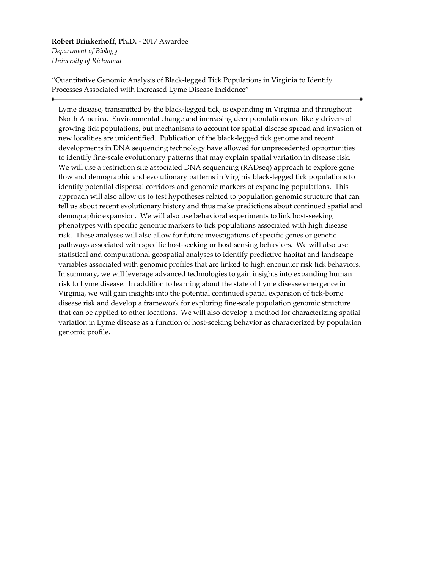# **Robert Brinkerhoff, Ph.D.** - 2017 Awardee

*Department of Biology University of Richmond*

"Quantitative Genomic Analysis of Black-legged Tick Populations in Virginia to Identify Processes Associated with Increased Lyme Disease Incidence"

Lyme disease, transmitted by the black-legged tick, is expanding in Virginia and throughout North America. Environmental change and increasing deer populations are likely drivers of growing tick populations, but mechanisms to account for spatial disease spread and invasion of new localities are unidentified. Publication of the black-legged tick genome and recent developments in DNA sequencing technology have allowed for unprecedented opportunities to identify fine-scale evolutionary patterns that may explain spatial variation in disease risk. We will use a restriction site associated DNA sequencing (RADseq) approach to explore gene flow and demographic and evolutionary patterns in Virginia black-legged tick populations to identify potential dispersal corridors and genomic markers of expanding populations. This approach will also allow us to test hypotheses related to population genomic structure that can tell us about recent evolutionary history and thus make predictions about continued spatial and demographic expansion. We will also use behavioral experiments to link host-seeking phenotypes with specific genomic markers to tick populations associated with high disease risk. These analyses will also allow for future investigations of specific genes or genetic pathways associated with specific host-seeking or host-sensing behaviors. We will also use statistical and computational geospatial analyses to identify predictive habitat and landscape variables associated with genomic profiles that are linked to high encounter risk tick behaviors. In summary, we will leverage advanced technologies to gain insights into expanding human risk to Lyme disease. In addition to learning about the state of Lyme disease emergence in Virginia, we will gain insights into the potential continued spatial expansion of tick-borne disease risk and develop a framework for exploring fine-scale population genomic structure that can be applied to other locations. We will also develop a method for characterizing spatial variation in Lyme disease as a function of host-seeking behavior as characterized by population genomic profile.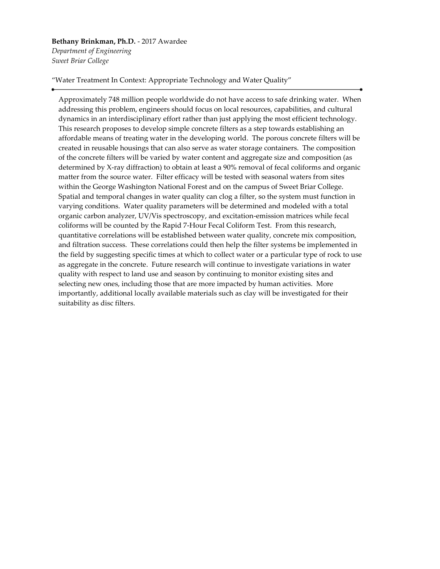#### **Bethany Brinkman, Ph.D.** - 2017 Awardee *Department of Engineering Sweet Briar College*

"Water Treatment In Context: Appropriate Technology and Water Quality"

Approximately 748 million people worldwide do not have access to safe drinking water. When addressing this problem, engineers should focus on local resources, capabilities, and cultural dynamics in an interdisciplinary effort rather than just applying the most efficient technology. This research proposes to develop simple concrete filters as a step towards establishing an affordable means of treating water in the developing world. The porous concrete filters will be created in reusable housings that can also serve as water storage containers. The composition of the concrete filters will be varied by water content and aggregate size and composition (as determined by X-ray diffraction) to obtain at least a 90% removal of fecal coliforms and organic matter from the source water. Filter efficacy will be tested with seasonal waters from sites within the George Washington National Forest and on the campus of Sweet Briar College. Spatial and temporal changes in water quality can clog a filter, so the system must function in varying conditions. Water quality parameters will be determined and modeled with a total organic carbon analyzer, UV/Vis spectroscopy, and excitation-emission matrices while fecal coliforms will be counted by the Rapid 7-Hour Fecal Coliform Test. From this research, quantitative correlations will be established between water quality, concrete mix composition, and filtration success. These correlations could then help the filter systems be implemented in the field by suggesting specific times at which to collect water or a particular type of rock to use as aggregate in the concrete. Future research will continue to investigate variations in water quality with respect to land use and season by continuing to monitor existing sites and selecting new ones, including those that are more impacted by human activities. More importantly, additional locally available materials such as clay will be investigated for their suitability as disc filters.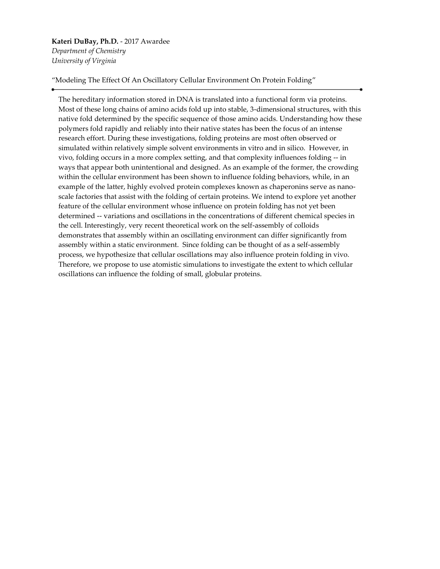# **Kateri DuBay, Ph.D.** - 2017 Awardee *Department of Chemistry University of Virginia*

"Modeling The Effect Of An Oscillatory Cellular Environment On Protein Folding"

The hereditary information stored in DNA is translated into a functional form via proteins. Most of these long chains of amino acids fold up into stable, 3-dimensional structures, with this native fold determined by the specific sequence of those amino acids. Understanding how these polymers fold rapidly and reliably into their native states has been the focus of an intense research effort. During these investigations, folding proteins are most often observed or simulated within relatively simple solvent environments in vitro and in silico. However, in vivo, folding occurs in a more complex setting, and that complexity influences folding -- in ways that appear both unintentional and designed. As an example of the former, the crowding within the cellular environment has been shown to influence folding behaviors, while, in an example of the latter, highly evolved protein complexes known as chaperonins serve as nanoscale factories that assist with the folding of certain proteins. We intend to explore yet another feature of the cellular environment whose influence on protein folding has not yet been determined -- variations and oscillations in the concentrations of different chemical species in the cell. Interestingly, very recent theoretical work on the self-assembly of colloids demonstrates that assembly within an oscillating environment can differ significantly from assembly within a static environment. Since folding can be thought of as a self-assembly process, we hypothesize that cellular oscillations may also influence protein folding in vivo. Therefore, we propose to use atomistic simulations to investigate the extent to which cellular oscillations can influence the folding of small, globular proteins.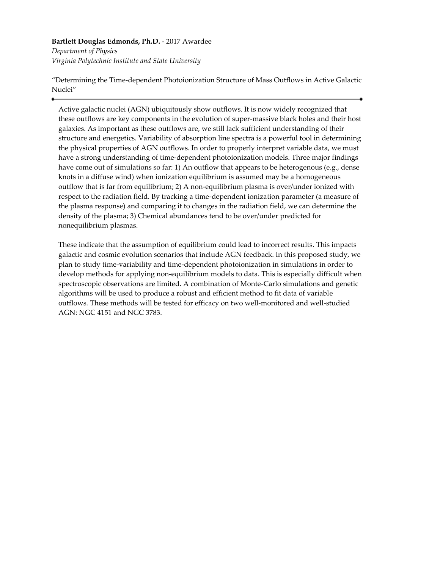#### **Bartlett Douglas Edmonds, Ph.D.** - 2017 Awardee

*Department of Physics Virginia Polytechnic Institute and State University*

"Determining the Time-dependent Photoionization Structure of Mass Outflows in Active Galactic Nuclei"

Active galactic nuclei (AGN) ubiquitously show outflows. It is now widely recognized that these outflows are key components in the evolution of super-massive black holes and their host galaxies. As important as these outflows are, we still lack sufficient understanding of their structure and energetics. Variability of absorption line spectra is a powerful tool in determining the physical properties of AGN outflows. In order to properly interpret variable data, we must have a strong understanding of time-dependent photoionization models. Three major findings have come out of simulations so far: 1) An outflow that appears to be heterogenous (e.g., dense knots in a diffuse wind) when ionization equilibrium is assumed may be a homogeneous outflow that is far from equilibrium; 2) A non-equilibrium plasma is over/under ionized with respect to the radiation field. By tracking a time-dependent ionization parameter (a measure of the plasma response) and comparing it to changes in the radiation field, we can determine the density of the plasma; 3) Chemical abundances tend to be over/under predicted for nonequilibrium plasmas.

These indicate that the assumption of equilibrium could lead to incorrect results. This impacts galactic and cosmic evolution scenarios that include AGN feedback. In this proposed study, we plan to study time-variability and time-dependent photoionization in simulations in order to develop methods for applying non-equilibrium models to data. This is especially difficult when spectroscopic observations are limited. A combination of Monte-Carlo simulations and genetic algorithms will be used to produce a robust and efficient method to fit data of variable outflows. These methods will be tested for efficacy on two well-monitored and well-studied AGN: NGC 4151 and NGC 3783.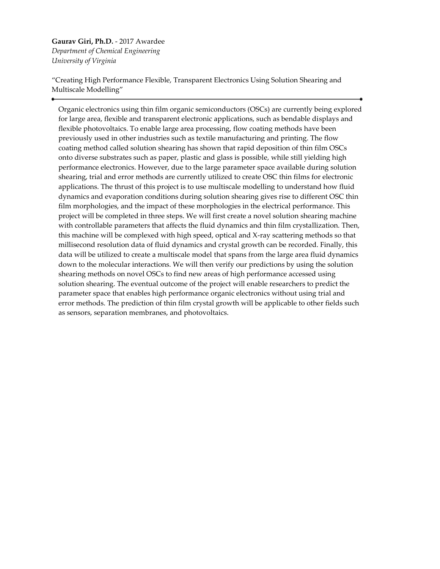**Gaurav Giri, Ph.D.** - 2017 Awardee *Department of Chemical Engineering University of Virginia*

"Creating High Performance Flexible, Transparent Electronics Using Solution Shearing and Multiscale Modelling"

Organic electronics using thin film organic semiconductors (OSCs) are currently being explored for large area, flexible and transparent electronic applications, such as bendable displays and flexible photovoltaics. To enable large area processing, flow coating methods have been previously used in other industries such as textile manufacturing and printing. The flow coating method called solution shearing has shown that rapid deposition of thin film OSCs onto diverse substrates such as paper, plastic and glass is possible, while still yielding high performance electronics. However, due to the large parameter space available during solution shearing, trial and error methods are currently utilized to create OSC thin films for electronic applications. The thrust of this project is to use multiscale modelling to understand how fluid dynamics and evaporation conditions during solution shearing gives rise to different OSC thin film morphologies, and the impact of these morphologies in the electrical performance. This project will be completed in three steps. We will first create a novel solution shearing machine with controllable parameters that affects the fluid dynamics and thin film crystallization. Then, this machine will be complexed with high speed, optical and X-ray scattering methods so that millisecond resolution data of fluid dynamics and crystal growth can be recorded. Finally, this data will be utilized to create a multiscale model that spans from the large area fluid dynamics down to the molecular interactions. We will then verify our predictions by using the solution shearing methods on novel OSCs to find new areas of high performance accessed using solution shearing. The eventual outcome of the project will enable researchers to predict the parameter space that enables high performance organic electronics without using trial and error methods. The prediction of thin film crystal growth will be applicable to other fields such as sensors, separation membranes, and photovoltaics.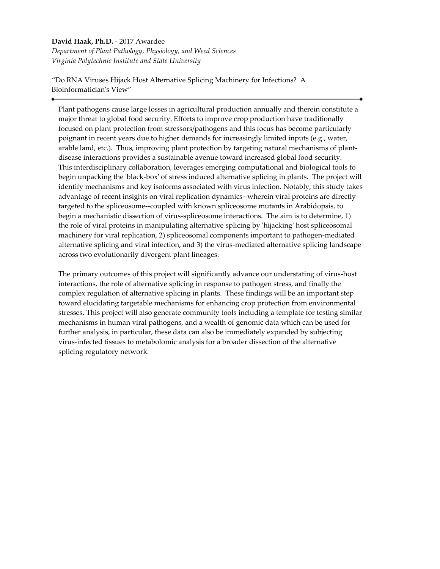#### **David Haak, Ph.D.** - 2017 Awardee

*Department of Plant Pathology, Physiology, and Weed Sciences Virginia Polytechnic Institute and State University*

"Do RNA Viruses Hijack Host Alternative Splicing Machinery for Infections? A Bioinformatician's View"

Plant pathogens cause large losses in agricultural production annually and therein constitute a major threat to global food security. Efforts to improve crop production have traditionally focused on plant protection from stressors/pathogens and this focus has become particularly poignant in recent years due to higher demands for increasingly limited inputs (e.g., water, arable land, etc.). Thus, improving plant protection by targeting natural mechanisms of plantdisease interactions provides a sustainable avenue toward increased global food security. This interdisciplinary collaboration, leverages emerging computational and biological tools to begin unpacking the 'black-box' of stress induced alternative splicing in plants. The project will identify mechanisms and key isoforms associated with virus infection. Notably, this study takes advantage of recent insights on viral replication dynamics--wherein viral proteins are directly targeted to the spliceosome--coupled with known spliceosome mutants in Arabidopsis, to begin a mechanistic dissection of virus-spliceosome interactions. The aim is to determine, 1) the role of viral proteins in manipulating alternative splicing by 'hijacking' host spliceosomal machinery for viral replication, 2) spliceosomal components important to pathogen-mediated alternative splicing and viral infection, and 3) the virus-mediated alternative splicing landscape across two evolutionarily divergent plant lineages.

The primary outcomes of this project will significantly advance our understating of virus-host interactions, the role of alternative splicing in response to pathogen stress, and finally the complex regulation of alternative splicing in plants. These findings will be an important step toward elucidating targetable mechanisms for enhancing crop protection from environmental stresses. This project will also generate community tools including a template for testing similar mechanisms in human viral pathogens, and a wealth of genomic data which can be used for further analysis, in particular, these data can also be immediately expanded by subjecting virus-infected tissues to metabolomic analysis for a broader dissection of the alternative splicing regulatory network.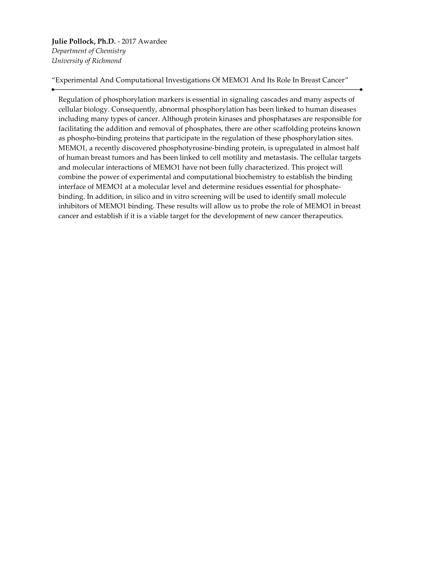**Julie Pollock, Ph.D.** - 2017 Awardee *Department of Chemistry University of Richmond*

"Experimental And Computational Investigations Of MEMO1 And Its Role In Breast Cancer"

Regulation of phosphorylation markers is essential in signaling cascades and many aspects of cellular biology. Consequently, abnormal phosphorylation has been linked to human diseases including many types of cancer. Although protein kinases and phosphatases are responsible for facilitating the addition and removal of phosphates, there are other scaffolding proteins known as phospho-binding proteins that participate in the regulation of these phosphorylation sites. MEMO1, a recently discovered phosphotyrosine-binding protein, is upregulated in almost half of human breast tumors and has been linked to cell motility and metastasis. The cellular targets and molecular interactions of MEMO1 have not been fully characterized. This project will combine the power of experimental and computational biochemistry to establish the binding interface of MEMO1 at a molecular level and determine residues essential for phosphatebinding. In addition, in silico and in vitro screening will be used to identify small molecule inhibitors of MEMO1 binding. These results will allow us to probe the role of MEMO1 in breast cancer and establish if it is a viable target for the development of new cancer therapeutics.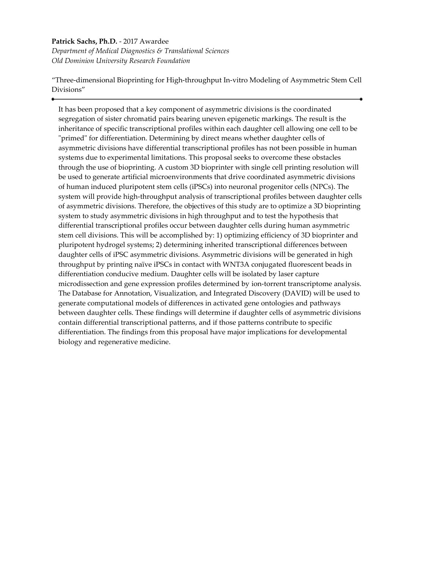#### **Patrick Sachs, Ph.D.** - 2017 Awardee

*Department of Medical Diagnostics & Translational Sciences Old Dominion University Research Foundation*

"Three-dimensional Bioprinting for High-throughput In-vitro Modeling of Asymmetric Stem Cell Divisions"

It has been proposed that a key component of asymmetric divisions is the coordinated segregation of sister chromatid pairs bearing uneven epigenetic markings. The result is the inheritance of specific transcriptional profiles within each daughter cell allowing one cell to be "primed" for differentiation. Determining by direct means whether daughter cells of asymmetric divisions have differential transcriptional profiles has not been possible in human systems due to experimental limitations. This proposal seeks to overcome these obstacles through the use of bioprinting. A custom 3D bioprinter with single cell printing resolution will be used to generate artificial microenvironments that drive coordinated asymmetric divisions of human induced pluripotent stem cells (iPSCs) into neuronal progenitor cells (NPCs). The system will provide high-throughput analysis of transcriptional profiles between daughter cells of asymmetric divisions. Therefore, the objectives of this study are to optimize a 3D bioprinting system to study asymmetric divisions in high throughput and to test the hypothesis that differential transcriptional profiles occur between daughter cells during human asymmetric stem cell divisions. This will be accomplished by: 1) optimizing efficiency of 3D bioprinter and pluripotent hydrogel systems; 2) determining inherited transcriptional differences between daughter cells of iPSC asymmetric divisions. Asymmetric divisions will be generated in high throughput by printing naïve iPSCs in contact with WNT3A conjugated fluorescent beads in differentiation conducive medium. Daughter cells will be isolated by laser capture microdissection and gene expression profiles determined by ion-torrent transcriptome analysis. The Database for Annotation, Visualization, and Integrated Discovery (DAVID) will be used to generate computational models of differences in activated gene ontologies and pathways between daughter cells. These findings will determine if daughter cells of asymmetric divisions contain differential transcriptional patterns, and if those patterns contribute to specific differentiation. The findings from this proposal have major implications for developmental biology and regenerative medicine.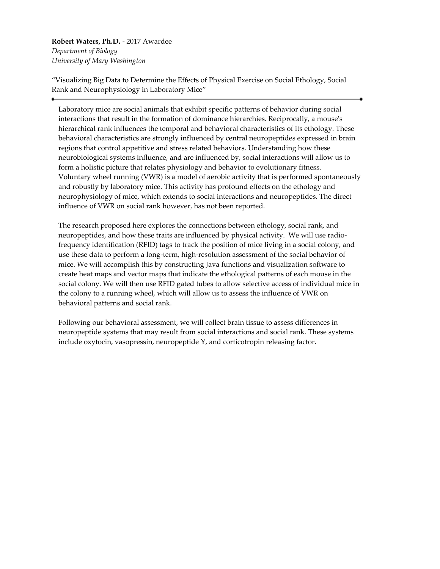**Robert Waters, Ph.D.** - 2017 Awardee *Department of Biology University of Mary Washington*

"Visualizing Big Data to Determine the Effects of Physical Exercise on Social Ethology, Social Rank and Neurophysiology in Laboratory Mice"

Laboratory mice are social animals that exhibit specific patterns of behavior during social interactions that result in the formation of dominance hierarchies. Reciprocally, a mouse's hierarchical rank influences the temporal and behavioral characteristics of its ethology. These behavioral characteristics are strongly influenced by central neuropeptides expressed in brain regions that control appetitive and stress related behaviors. Understanding how these neurobiological systems influence, and are influenced by, social interactions will allow us to form a holistic picture that relates physiology and behavior to evolutionary fitness. Voluntary wheel running (VWR) is a model of aerobic activity that is performed spontaneously and robustly by laboratory mice. This activity has profound effects on the ethology and neurophysiology of mice, which extends to social interactions and neuropeptides. The direct influence of VWR on social rank however, has not been reported.

The research proposed here explores the connections between ethology, social rank, and neuropeptides, and how these traits are influenced by physical activity. We will use radiofrequency identification (RFID) tags to track the position of mice living in a social colony, and use these data to perform a long-term, high-resolution assessment of the social behavior of mice. We will accomplish this by constructing Java functions and visualization software to create heat maps and vector maps that indicate the ethological patterns of each mouse in the social colony. We will then use RFID gated tubes to allow selective access of individual mice in the colony to a running wheel, which will allow us to assess the influence of VWR on behavioral patterns and social rank.

Following our behavioral assessment, we will collect brain tissue to assess differences in neuropeptide systems that may result from social interactions and social rank. These systems include oxytocin, vasopressin, neuropeptide Y, and corticotropin releasing factor.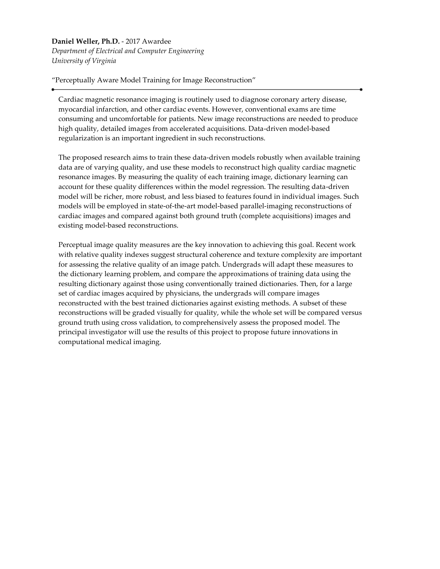#### **Daniel Weller, Ph.D.** - 2017 Awardee

*Department of Electrical and Computer Engineering University of Virginia*

"Perceptually Aware Model Training for Image Reconstruction"

Cardiac magnetic resonance imaging is routinely used to diagnose coronary artery disease, myocardial infarction, and other cardiac events. However, conventional exams are time consuming and uncomfortable for patients. New image reconstructions are needed to produce high quality, detailed images from accelerated acquisitions. Data-driven model-based regularization is an important ingredient in such reconstructions.

The proposed research aims to train these data-driven models robustly when available training data are of varying quality, and use these models to reconstruct high quality cardiac magnetic resonance images. By measuring the quality of each training image, dictionary learning can account for these quality differences within the model regression. The resulting data-driven model will be richer, more robust, and less biased to features found in individual images. Such models will be employed in state-of-the-art model-based parallel-imaging reconstructions of cardiac images and compared against both ground truth (complete acquisitions) images and existing model-based reconstructions.

Perceptual image quality measures are the key innovation to achieving this goal. Recent work with relative quality indexes suggest structural coherence and texture complexity are important for assessing the relative quality of an image patch. Undergrads will adapt these measures to the dictionary learning problem, and compare the approximations of training data using the resulting dictionary against those using conventionally trained dictionaries. Then, for a large set of cardiac images acquired by physicians, the undergrads will compare images reconstructed with the best trained dictionaries against existing methods. A subset of these reconstructions will be graded visually for quality, while the whole set will be compared versus ground truth using cross validation, to comprehensively assess the proposed model. The principal investigator will use the results of this project to propose future innovations in computational medical imaging.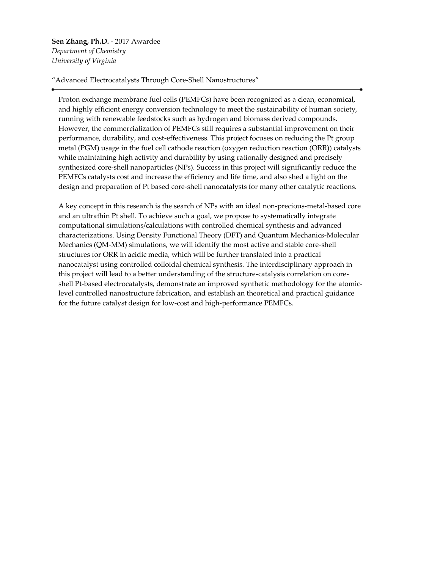**Sen Zhang, Ph.D.** - 2017 Awardee *Department of Chemistry University of Virginia*

"Advanced Electrocatalysts Through Core-Shell Nanostructures"

Proton exchange membrane fuel cells (PEMFCs) have been recognized as a clean, economical, and highly efficient energy conversion technology to meet the sustainability of human society, running with renewable feedstocks such as hydrogen and biomass derived compounds. However, the commercialization of PEMFCs still requires a substantial improvement on their performance, durability, and cost-effectiveness. This project focuses on reducing the Pt group metal (PGM) usage in the fuel cell cathode reaction (oxygen reduction reaction (ORR)) catalysts while maintaining high activity and durability by using rationally designed and precisely synthesized core-shell nanoparticles (NPs). Success in this project will significantly reduce the PEMFCs catalysts cost and increase the efficiency and life time, and also shed a light on the design and preparation of Pt based core-shell nanocatalysts for many other catalytic reactions.

A key concept in this research is the search of NPs with an ideal non-precious-metal-based core and an ultrathin Pt shell. To achieve such a goal, we propose to systematically integrate computational simulations/calculations with controlled chemical synthesis and advanced characterizations. Using Density Functional Theory (DFT) and Quantum Mechanics-Molecular Mechanics (QM-MM) simulations, we will identify the most active and stable core-shell structures for ORR in acidic media, which will be further translated into a practical nanocatalyst using controlled colloidal chemical synthesis. The interdisciplinary approach in this project will lead to a better understanding of the structure-catalysis correlation on coreshell Pt-based electrocatalysts, demonstrate an improved synthetic methodology for the atomiclevel controlled nanostructure fabrication, and establish an theoretical and practical guidance for the future catalyst design for low-cost and high-performance PEMFCs.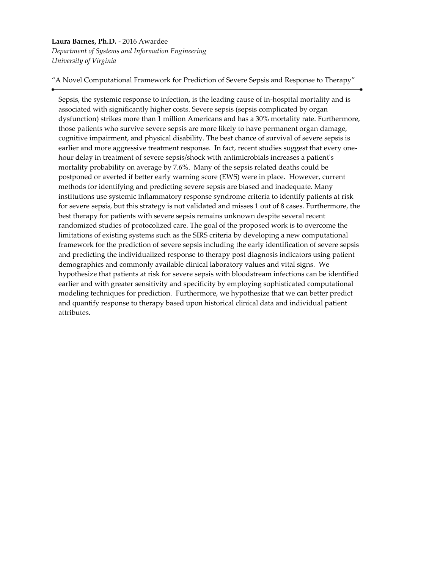#### **Laura Barnes, Ph.D.** - 2016 Awardee

*Department of Systems and Information Engineering University of Virginia*

"A Novel Computational Framework for Prediction of Severe Sepsis and Response to Therapy"

Sepsis, the systemic response to infection, is the leading cause of in-hospital mortality and is associated with significantly higher costs. Severe sepsis (sepsis complicated by organ dysfunction) strikes more than 1 million Americans and has a 30% mortality rate. Furthermore, those patients who survive severe sepsis are more likely to have permanent organ damage, cognitive impairment, and physical disability. The best chance of survival of severe sepsis is earlier and more aggressive treatment response. In fact, recent studies suggest that every onehour delay in treatment of severe sepsis/shock with antimicrobials increases a patient's mortality probability on average by 7.6%. Many of the sepsis related deaths could be postponed or averted if better early warning score (EWS) were in place. However, current methods for identifying and predicting severe sepsis are biased and inadequate. Many institutions use systemic inflammatory response syndrome criteria to identify patients at risk for severe sepsis, but this strategy is not validated and misses 1 out of 8 cases. Furthermore, the best therapy for patients with severe sepsis remains unknown despite several recent randomized studies of protocolized care. The goal of the proposed work is to overcome the limitations of existing systems such as the SIRS criteria by developing a new computational framework for the prediction of severe sepsis including the early identification of severe sepsis and predicting the individualized response to therapy post diagnosis indicators using patient demographics and commonly available clinical laboratory values and vital signs. We hypothesize that patients at risk for severe sepsis with bloodstream infections can be identified earlier and with greater sensitivity and specificity by employing sophisticated computational modeling techniques for prediction. Furthermore, we hypothesize that we can better predict and quantify response to therapy based upon historical clinical data and individual patient attributes.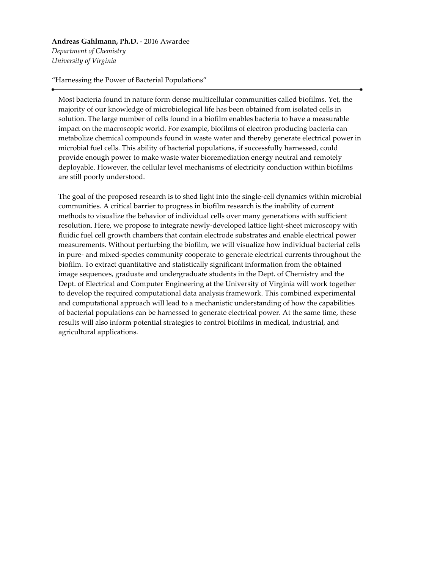**Andreas Gahlmann, Ph.D.** - 2016 Awardee *Department of Chemistry University of Virginia*

"Harnessing the Power of Bacterial Populations"

Most bacteria found in nature form dense multicellular communities called biofilms. Yet, the majority of our knowledge of microbiological life has been obtained from isolated cells in solution. The large number of cells found in a biofilm enables bacteria to have a measurable impact on the macroscopic world. For example, biofilms of electron producing bacteria can metabolize chemical compounds found in waste water and thereby generate electrical power in microbial fuel cells. This ability of bacterial populations, if successfully harnessed, could provide enough power to make waste water bioremediation energy neutral and remotely deployable. However, the cellular level mechanisms of electricity conduction within biofilms are still poorly understood.

The goal of the proposed research is to shed light into the single-cell dynamics within microbial communities. A critical barrier to progress in biofilm research is the inability of current methods to visualize the behavior of individual cells over many generations with sufficient resolution. Here, we propose to integrate newly-developed lattice light-sheet microscopy with fluidic fuel cell growth chambers that contain electrode substrates and enable electrical power measurements. Without perturbing the biofilm, we will visualize how individual bacterial cells in pure- and mixed-species community cooperate to generate electrical currents throughout the biofilm. To extract quantitative and statistically significant information from the obtained image sequences, graduate and undergraduate students in the Dept. of Chemistry and the Dept. of Electrical and Computer Engineering at the University of Virginia will work together to develop the required computational data analysis framework. This combined experimental and computational approach will lead to a mechanistic understanding of how the capabilities of bacterial populations can be harnessed to generate electrical power. At the same time, these results will also inform potential strategies to control biofilms in medical, industrial, and agricultural applications.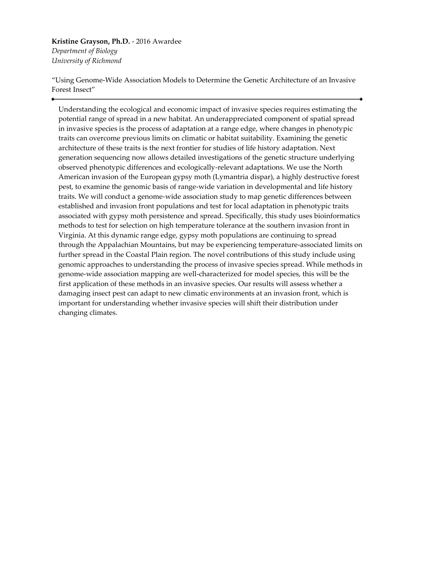#### **Kristine Grayson, Ph.D.** - 2016 Awardee *Department of Biology*

*University of Richmond*

"Using Genome-Wide Association Models to Determine the Genetic Architecture of an Invasive Forest Insect"

Understanding the ecological and economic impact of invasive species requires estimating the potential range of spread in a new habitat. An underappreciated component of spatial spread in invasive species is the process of adaptation at a range edge, where changes in phenotypic traits can overcome previous limits on climatic or habitat suitability. Examining the genetic architecture of these traits is the next frontier for studies of life history adaptation. Next generation sequencing now allows detailed investigations of the genetic structure underlying observed phenotypic differences and ecologically-relevant adaptations. We use the North American invasion of the European gypsy moth (Lymantria dispar), a highly destructive forest pest, to examine the genomic basis of range-wide variation in developmental and life history traits. We will conduct a genome-wide association study to map genetic differences between established and invasion front populations and test for local adaptation in phenotypic traits associated with gypsy moth persistence and spread. Specifically, this study uses bioinformatics methods to test for selection on high temperature tolerance at the southern invasion front in Virginia. At this dynamic range edge, gypsy moth populations are continuing to spread through the Appalachian Mountains, but may be experiencing temperature-associated limits on further spread in the Coastal Plain region. The novel contributions of this study include using genomic approaches to understanding the process of invasive species spread. While methods in genome-wide association mapping are well-characterized for model species, this will be the first application of these methods in an invasive species. Our results will assess whether a damaging insect pest can adapt to new climatic environments at an invasion front, which is important for understanding whether invasive species will shift their distribution under changing climates.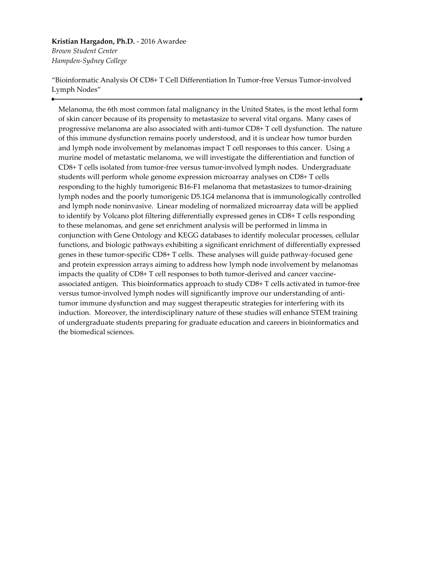#### **Kristian Hargadon, Ph.D.** - 2016 Awardee *Brown Student Center*

*Hampden-Sydney College*

"Bioinformatic Analysis Of CD8+ T Cell Differentiation In Tumor-free Versus Tumor-involved Lymph Nodes"

Melanoma, the 6th most common fatal malignancy in the United States, is the most lethal form of skin cancer because of its propensity to metastasize to several vital organs. Many cases of progressive melanoma are also associated with anti-tumor CD8+ T cell dysfunction. The nature of this immune dysfunction remains poorly understood, and it is unclear how tumor burden and lymph node involvement by melanomas impact T cell responses to this cancer. Using a murine model of metastatic melanoma, we will investigate the differentiation and function of CD8+ T cells isolated from tumor-free versus tumor-involved lymph nodes. Undergraduate students will perform whole genome expression microarray analyses on CD8+ T cells responding to the highly tumorigenic B16-F1 melanoma that metastasizes to tumor-draining lymph nodes and the poorly tumorigenic D5.1G4 melanoma that is immunologically controlled and lymph node noninvasive. Linear modeling of normalized microarray data will be applied to identify by Volcano plot filtering differentially expressed genes in CD8+ T cells responding to these melanomas, and gene set enrichment analysis will be performed in limma in conjunction with Gene Ontology and KEGG databases to identify molecular processes, cellular functions, and biologic pathways exhibiting a significant enrichment of differentially expressed genes in these tumor-specific CD8+ T cells. These analyses will guide pathway-focused gene and protein expression arrays aiming to address how lymph node involvement by melanomas impacts the quality of CD8+ T cell responses to both tumor-derived and cancer vaccineassociated antigen. This bioinformatics approach to study CD8+ T cells activated in tumor-free versus tumor-involved lymph nodes will significantly improve our understanding of antitumor immune dysfunction and may suggest therapeutic strategies for interfering with its induction. Moreover, the interdisciplinary nature of these studies will enhance STEM training of undergraduate students preparing for graduate education and careers in bioinformatics and the biomedical sciences.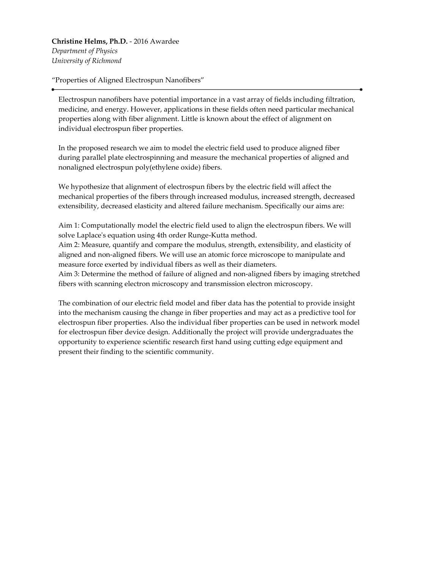**Christine Helms, Ph.D.** - 2016 Awardee *Department of Physics University of Richmond*

"Properties of Aligned Electrospun Nanofibers"

Electrospun nanofibers have potential importance in a vast array of fields including filtration, medicine, and energy. However, applications in these fields often need particular mechanical properties along with fiber alignment. Little is known about the effect of alignment on individual electrospun fiber properties.

In the proposed research we aim to model the electric field used to produce aligned fiber during parallel plate electrospinning and measure the mechanical properties of aligned and nonaligned electrospun poly(ethylene oxide) fibers.

We hypothesize that alignment of electrospun fibers by the electric field will affect the mechanical properties of the fibers through increased modulus, increased strength, decreased extensibility, decreased elasticity and altered failure mechanism. Specifically our aims are:

Aim 1: Computationally model the electric field used to align the electrospun fibers. We will solve Laplace's equation using 4th order Runge-Kutta method.

Aim 2: Measure, quantify and compare the modulus, strength, extensibility, and elasticity of aligned and non-aligned fibers. We will use an atomic force microscope to manipulate and measure force exerted by individual fibers as well as their diameters.

Aim 3: Determine the method of failure of aligned and non-aligned fibers by imaging stretched fibers with scanning electron microscopy and transmission electron microscopy.

The combination of our electric field model and fiber data has the potential to provide insight into the mechanism causing the change in fiber properties and may act as a predictive tool for electrospun fiber properties. Also the individual fiber properties can be used in network model for electrospun fiber device design. Additionally the project will provide undergraduates the opportunity to experience scientific research first hand using cutting edge equipment and present their finding to the scientific community.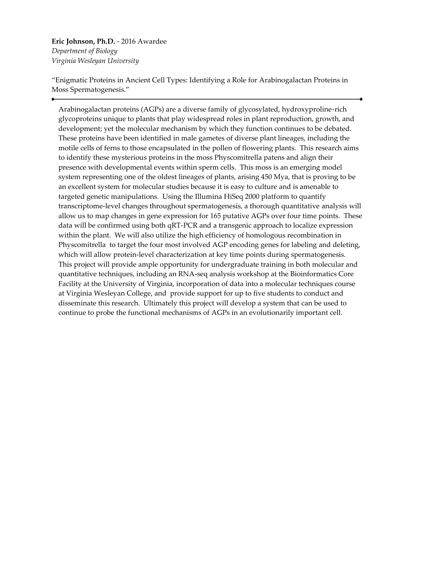**Eric Johnson, Ph.D.** - 2016 Awardee *Department of Biology Virginia Wesleyan University*

"Enigmatic Proteins in Ancient Cell Types: Identifying a Role for Arabinogalactan Proteins in Moss Spermatogenesis."

Arabinogalactan proteins (AGPs) are a diverse family of glycosylated, hydroxyproline-rich glycoproteins unique to plants that play widespread roles in plant reproduction, growth, and development; yet the molecular mechanism by which they function continues to be debated. These proteins have been identified in male gametes of diverse plant lineages, including the motile cells of ferns to those encapsulated in the pollen of flowering plants. This research aims to identify these mysterious proteins in the moss Physcomitrella patens and align their presence with developmental events within sperm cells. This moss is an emerging model system representing one of the oldest lineages of plants, arising 450 Mya, that is proving to be an excellent system for molecular studies because it is easy to culture and is amenable to targeted genetic manipulations. Using the Illumina HiSeq 2000 platform to quantify transcriptome-level changes throughout spermatogenesis, a thorough quantitative analysis will allow us to map changes in gene expression for 165 putative AGPs over four time points. These data will be confirmed using both qRT-PCR and a transgenic approach to localize expression within the plant. We will also utilize the high efficiency of homologous recombination in Physcomitrella to target the four most involved AGP encoding genes for labeling and deleting, which will allow protein-level characterization at key time points during spermatogenesis. This project will provide ample opportunity for undergraduate training in both molecular and quantitative techniques, including an RNA-seq analysis workshop at the Bioinformatics Core Facility at the University of Virginia, incorporation of data into a molecular techniques course at Virginia Wesleyan College, and provide support for up to five students to conduct and disseminate this research. Ultimately this project will develop a system that can be used to continue to probe the functional mechanisms of AGPs in an evolutionarily important cell.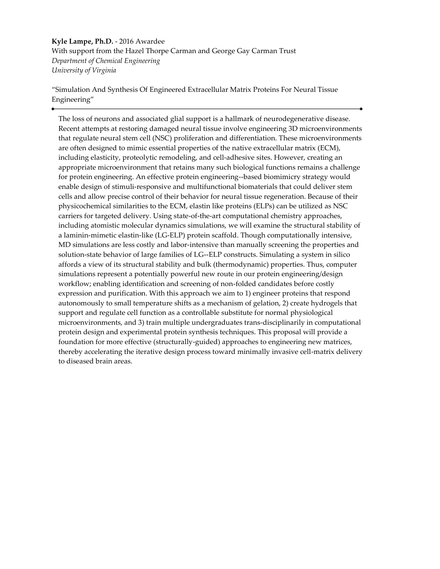**Kyle Lampe, Ph.D.** - 2016 Awardee With support from the Hazel Thorpe Carman and George Gay Carman Trust *Department of Chemical Engineering University of Virginia*

"Simulation And Synthesis Of Engineered Extracellular Matrix Proteins For Neural Tissue Engineering"

The loss of neurons and associated glial support is a hallmark of neurodegenerative disease. Recent attempts at restoring damaged neural tissue involve engineering 3D microenvironments that regulate neural stem cell (NSC) proliferation and differentiation. These microenvironments are often designed to mimic essential properties of the native extracellular matrix (ECM), including elasticity, proteolytic remodeling, and cell-adhesive sites. However, creating an appropriate microenvironment that retains many such biological functions remains a challenge for protein engineering. An effective protein engineering--based biomimicry strategy would enable design of stimuli-responsive and multifunctional biomaterials that could deliver stem cells and allow precise control of their behavior for neural tissue regeneration. Because of their physicochemical similarities to the ECM, elastin like proteins (ELPs) can be utilized as NSC carriers for targeted delivery. Using state-of-the-art computational chemistry approaches, including atomistic molecular dynamics simulations, we will examine the structural stability of a laminin-mimetic elastin-like (LG-ELP) protein scaffold. Though computationally intensive, MD simulations are less costly and labor-intensive than manually screening the properties and solution-state behavior of large families of LG--ELP constructs. Simulating a system in silico affords a view of its structural stability and bulk (thermodynamic) properties. Thus, computer simulations represent a potentially powerful new route in our protein engineering/design workflow; enabling identification and screening of non-folded candidates before costly expression and purification. With this approach we aim to 1) engineer proteins that respond autonomously to small temperature shifts as a mechanism of gelation, 2) create hydrogels that support and regulate cell function as a controllable substitute for normal physiological microenvironments, and 3) train multiple undergraduates trans-disciplinarily in computational protein design and experimental protein synthesis techniques. This proposal will provide a foundation for more effective (structurally-guided) approaches to engineering new matrices, thereby accelerating the iterative design process toward minimally invasive cell-matrix delivery to diseased brain areas.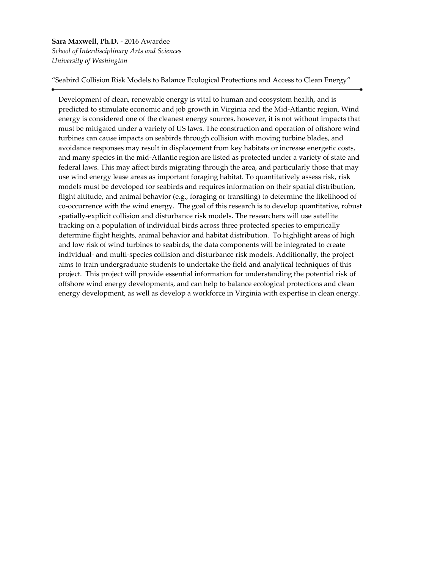### **Sara Maxwell, Ph.D.** - 2016 Awardee *School of Interdisciplinary Arts and Sciences University of Washington*

"Seabird Collision Risk Models to Balance Ecological Protections and Access to Clean Energy"

Development of clean, renewable energy is vital to human and ecosystem health, and is predicted to stimulate economic and job growth in Virginia and the Mid-Atlantic region. Wind energy is considered one of the cleanest energy sources, however, it is not without impacts that must be mitigated under a variety of US laws. The construction and operation of offshore wind turbines can cause impacts on seabirds through collision with moving turbine blades, and avoidance responses may result in displacement from key habitats or increase energetic costs, and many species in the mid-Atlantic region are listed as protected under a variety of state and federal laws. This may affect birds migrating through the area, and particularly those that may use wind energy lease areas as important foraging habitat. To quantitatively assess risk, risk models must be developed for seabirds and requires information on their spatial distribution, flight altitude, and animal behavior (e.g., foraging or transiting) to determine the likelihood of co-occurrence with the wind energy. The goal of this research is to develop quantitative, robust spatially-explicit collision and disturbance risk models. The researchers will use satellite tracking on a population of individual birds across three protected species to empirically determine flight heights, animal behavior and habitat distribution. To highlight areas of high and low risk of wind turbines to seabirds, the data components will be integrated to create individual- and multi-species collision and disturbance risk models. Additionally, the project aims to train undergraduate students to undertake the field and analytical techniques of this project. This project will provide essential information for understanding the potential risk of offshore wind energy developments, and can help to balance ecological protections and clean energy development, as well as develop a workforce in Virginia with expertise in clean energy.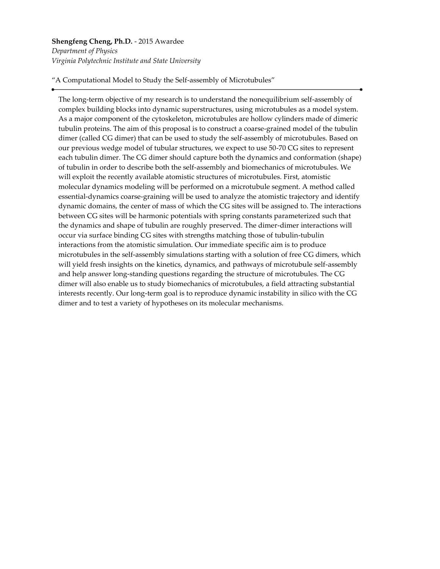## **Shengfeng Cheng, Ph.D.** - 2015 Awardee *Department of Physics Virginia Polytechnic Institute and State University*

"A Computational Model to Study the Self-assembly of Microtubules"

The long-term objective of my research is to understand the nonequilibrium self-assembly of complex building blocks into dynamic superstructures, using microtubules as a model system. As a major component of the cytoskeleton, microtubules are hollow cylinders made of dimeric tubulin proteins. The aim of this proposal is to construct a coarse-grained model of the tubulin dimer (called CG dimer) that can be used to study the self-assembly of microtubules. Based on our previous wedge model of tubular structures, we expect to use 50-70 CG sites to represent each tubulin dimer. The CG dimer should capture both the dynamics and conformation (shape) of tubulin in order to describe both the self-assembly and biomechanics of microtubules. We will exploit the recently available atomistic structures of microtubules. First, atomistic molecular dynamics modeling will be performed on a microtubule segment. A method called essential-dynamics coarse-graining will be used to analyze the atomistic trajectory and identify dynamic domains, the center of mass of which the CG sites will be assigned to. The interactions between CG sites will be harmonic potentials with spring constants parameterized such that the dynamics and shape of tubulin are roughly preserved. The dimer-dimer interactions will occur via surface binding CG sites with strengths matching those of tubulin-tubulin interactions from the atomistic simulation. Our immediate specific aim is to produce microtubules in the self-assembly simulations starting with a solution of free CG dimers, which will yield fresh insights on the kinetics, dynamics, and pathways of microtubule self-assembly and help answer long-standing questions regarding the structure of microtubules. The CG dimer will also enable us to study biomechanics of microtubules, a field attracting substantial interests recently. Our long-term goal is to reproduce dynamic instability in silico with the CG dimer and to test a variety of hypotheses on its molecular mechanisms.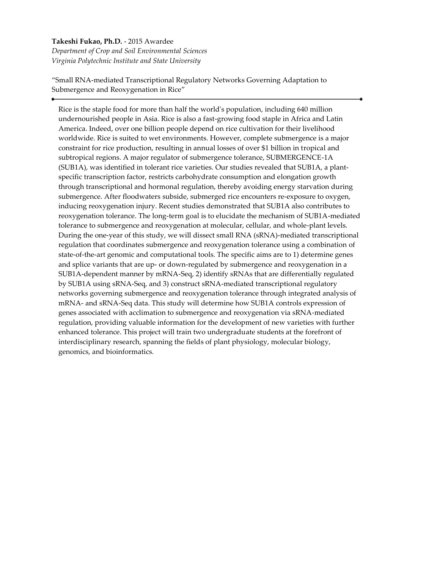### **Takeshi Fukao, Ph.D.** - 2015 Awardee *Department of Crop and Soil Environmental Sciences Virginia Polytechnic Institute and State University*

"Small RNA-mediated Transcriptional Regulatory Networks Governing Adaptation to Submergence and Reoxygenation in Rice"

Rice is the staple food for more than half the world's population, including 640 million undernourished people in Asia. Rice is also a fast-growing food staple in Africa and Latin America. Indeed, over one billion people depend on rice cultivation for their livelihood worldwide. Rice is suited to wet environments. However, complete submergence is a major constraint for rice production, resulting in annual losses of over \$1 billion in tropical and subtropical regions. A major regulator of submergence tolerance, SUBMERGENCE-1A (SUB1A), was identified in tolerant rice varieties. Our studies revealed that SUB1A, a plantspecific transcription factor, restricts carbohydrate consumption and elongation growth through transcriptional and hormonal regulation, thereby avoiding energy starvation during submergence. After floodwaters subside, submerged rice encounters re-exposure to oxygen, inducing reoxygenation injury. Recent studies demonstrated that SUB1A also contributes to reoxygenation tolerance. The long-term goal is to elucidate the mechanism of SUB1A-mediated tolerance to submergence and reoxygenation at molecular, cellular, and whole-plant levels. During the one-year of this study, we will dissect small RNA (sRNA)-mediated transcriptional regulation that coordinates submergence and reoxygenation tolerance using a combination of state-of-the-art genomic and computational tools. The specific aims are to 1) determine genes and splice variants that are up- or down-regulated by submergence and reoxygenation in a SUB1A-dependent manner by mRNA-Seq, 2) identify sRNAs that are differentially regulated by SUB1A using sRNA-Seq, and 3) construct sRNA-mediated transcriptional regulatory networks governing submergence and reoxygenation tolerance through integrated analysis of mRNA- and sRNA-Seq data. This study will determine how SUB1A controls expression of genes associated with acclimation to submergence and reoxygenation via sRNA-mediated regulation, providing valuable information for the development of new varieties with further enhanced tolerance. This project will train two undergraduate students at the forefront of interdisciplinary research, spanning the fields of plant physiology, molecular biology, genomics, and bioinformatics.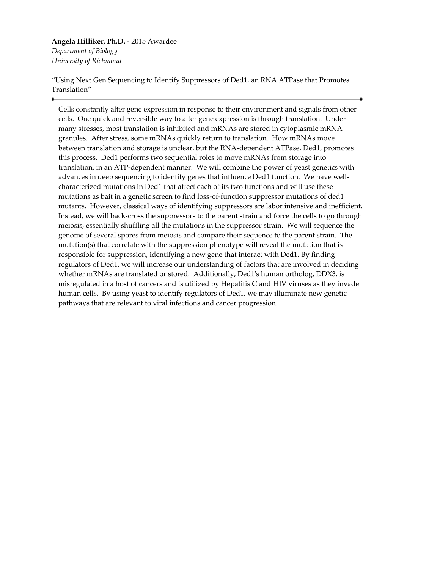#### **Angela Hilliker, Ph.D.** - 2015 Awardee *Department of Biology University of Richmond*

"Using Next Gen Sequencing to Identify Suppressors of Ded1, an RNA ATPase that Promotes Translation"

Cells constantly alter gene expression in response to their environment and signals from other cells. One quick and reversible way to alter gene expression is through translation. Under many stresses, most translation is inhibited and mRNAs are stored in cytoplasmic mRNA granules. After stress, some mRNAs quickly return to translation. How mRNAs move between translation and storage is unclear, but the RNA-dependent ATPase, Ded1, promotes this process. Ded1 performs two sequential roles to move mRNAs from storage into translation, in an ATP-dependent manner. We will combine the power of yeast genetics with advances in deep sequencing to identify genes that influence Ded1 function. We have wellcharacterized mutations in Ded1 that affect each of its two functions and will use these mutations as bait in a genetic screen to find loss-of-function suppressor mutations of ded1 mutants. However, classical ways of identifying suppressors are labor intensive and inefficient. Instead, we will back-cross the suppressors to the parent strain and force the cells to go through meiosis, essentially shuffling all the mutations in the suppressor strain. We will sequence the genome of several spores from meiosis and compare their sequence to the parent strain. The mutation(s) that correlate with the suppression phenotype will reveal the mutation that is responsible for suppression, identifying a new gene that interact with Ded1. By finding regulators of Ded1, we will increase our understanding of factors that are involved in deciding whether mRNAs are translated or stored. Additionally, Ded1's human ortholog, DDX3, is misregulated in a host of cancers and is utilized by Hepatitis C and HIV viruses as they invade human cells. By using yeast to identify regulators of Ded1, we may illuminate new genetic pathways that are relevant to viral infections and cancer progression.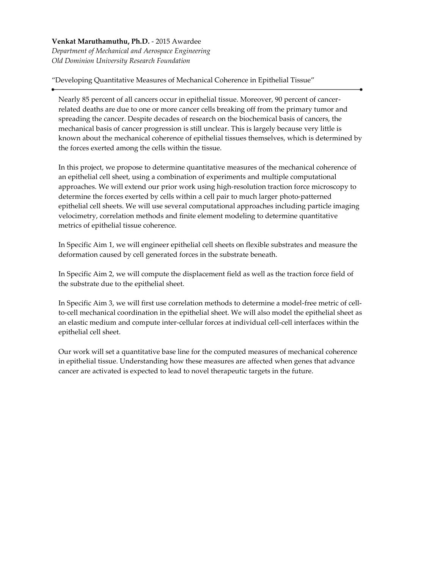**Venkat Maruthamuthu, Ph.D.** - 2015 Awardee *Department of Mechanical and Aerospace Engineering Old Dominion University Research Foundation*

"Developing Quantitative Measures of Mechanical Coherence in Epithelial Tissue"

Nearly 85 percent of all cancers occur in epithelial tissue. Moreover, 90 percent of cancerrelated deaths are due to one or more cancer cells breaking off from the primary tumor and spreading the cancer. Despite decades of research on the biochemical basis of cancers, the mechanical basis of cancer progression is still unclear. This is largely because very little is known about the mechanical coherence of epithelial tissues themselves, which is determined by the forces exerted among the cells within the tissue.

In this project, we propose to determine quantitative measures of the mechanical coherence of an epithelial cell sheet, using a combination of experiments and multiple computational approaches. We will extend our prior work using high-resolution traction force microscopy to determine the forces exerted by cells within a cell pair to much larger photo-patterned epithelial cell sheets. We will use several computational approaches including particle imaging velocimetry, correlation methods and finite element modeling to determine quantitative metrics of epithelial tissue coherence.

In Specific Aim 1, we will engineer epithelial cell sheets on flexible substrates and measure the deformation caused by cell generated forces in the substrate beneath.

In Specific Aim 2, we will compute the displacement field as well as the traction force field of the substrate due to the epithelial sheet.

In Specific Aim 3, we will first use correlation methods to determine a model-free metric of cellto-cell mechanical coordination in the epithelial sheet. We will also model the epithelial sheet as an elastic medium and compute inter-cellular forces at individual cell-cell interfaces within the epithelial cell sheet.

Our work will set a quantitative base line for the computed measures of mechanical coherence in epithelial tissue. Understanding how these measures are affected when genes that advance cancer are activated is expected to lead to novel therapeutic targets in the future.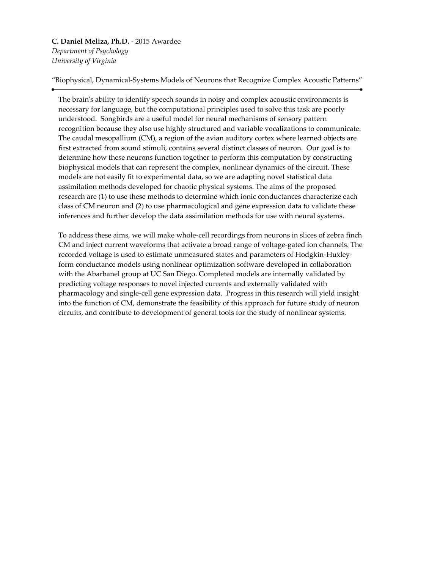**C. Daniel Meliza, Ph.D.** - 2015 Awardee *Department of Psychology University of Virginia*

"Biophysical, Dynamical-Systems Models of Neurons that Recognize Complex Acoustic Patterns"

The brain's ability to identify speech sounds in noisy and complex acoustic environments is necessary for language, but the computational principles used to solve this task are poorly understood. Songbirds are a useful model for neural mechanisms of sensory pattern recognition because they also use highly structured and variable vocalizations to communicate. The caudal mesopallium (CM), a region of the avian auditory cortex where learned objects are first extracted from sound stimuli, contains several distinct classes of neuron. Our goal is to determine how these neurons function together to perform this computation by constructing biophysical models that can represent the complex, nonlinear dynamics of the circuit. These models are not easily fit to experimental data, so we are adapting novel statistical data assimilation methods developed for chaotic physical systems. The aims of the proposed research are (1) to use these methods to determine which ionic conductances characterize each class of CM neuron and (2) to use pharmacological and gene expression data to validate these inferences and further develop the data assimilation methods for use with neural systems.

To address these aims, we will make whole-cell recordings from neurons in slices of zebra finch CM and inject current waveforms that activate a broad range of voltage-gated ion channels. The recorded voltage is used to estimate unmeasured states and parameters of Hodgkin-Huxleyform conductance models using nonlinear optimization software developed in collaboration with the Abarbanel group at UC San Diego. Completed models are internally validated by predicting voltage responses to novel injected currents and externally validated with pharmacology and single-cell gene expression data. Progress in this research will yield insight into the function of CM, demonstrate the feasibility of this approach for future study of neuron circuits, and contribute to development of general tools for the study of nonlinear systems.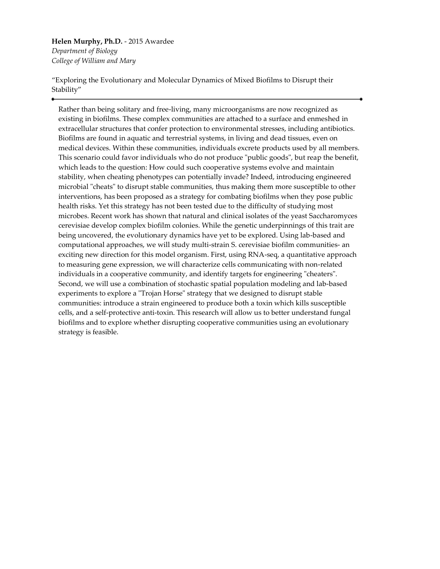**Helen Murphy, Ph.D.** - 2015 Awardee *Department of Biology College of William and Mary*

"Exploring the Evolutionary and Molecular Dynamics of Mixed Biofilms to Disrupt their Stability"

Rather than being solitary and free-living, many microorganisms are now recognized as existing in biofilms. These complex communities are attached to a surface and enmeshed in extracellular structures that confer protection to environmental stresses, including antibiotics. Biofilms are found in aquatic and terrestrial systems, in living and dead tissues, even on medical devices. Within these communities, individuals excrete products used by all members. This scenario could favor individuals who do not produce "public goods", but reap the benefit, which leads to the question: How could such cooperative systems evolve and maintain stability, when cheating phenotypes can potentially invade? Indeed, introducing engineered microbial "cheats" to disrupt stable communities, thus making them more susceptible to other interventions, has been proposed as a strategy for combating biofilms when they pose public health risks. Yet this strategy has not been tested due to the difficulty of studying most microbes. Recent work has shown that natural and clinical isolates of the yeast Saccharomyces cerevisiae develop complex biofilm colonies. While the genetic underpinnings of this trait are being uncovered, the evolutionary dynamics have yet to be explored. Using lab-based and computational approaches, we will study multi-strain S. cerevisiae biofilm communities- an exciting new direction for this model organism. First, using RNA-seq, a quantitative approach to measuring gene expression, we will characterize cells communicating with non-related individuals in a cooperative community, and identify targets for engineering "cheaters". Second, we will use a combination of stochastic spatial population modeling and lab-based experiments to explore a "Trojan Horse" strategy that we designed to disrupt stable communities: introduce a strain engineered to produce both a toxin which kills susceptible cells, and a self-protective anti-toxin. This research will allow us to better understand fungal biofilms and to explore whether disrupting cooperative communities using an evolutionary strategy is feasible.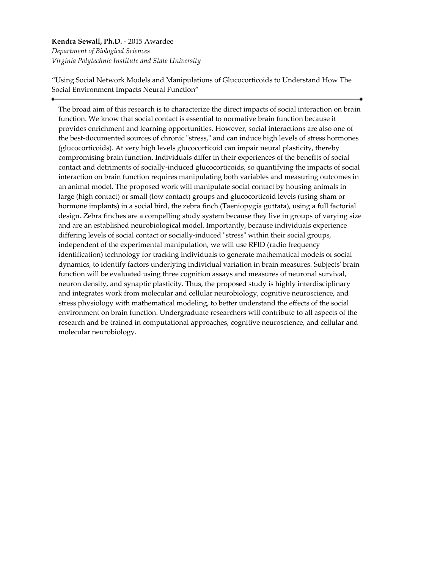## **Kendra Sewall, Ph.D.** - 2015 Awardee *Department of Biological Sciences Virginia Polytechnic Institute and State University*

"Using Social Network Models and Manipulations of Glucocorticoids to Understand How The Social Environment Impacts Neural Function"

The broad aim of this research is to characterize the direct impacts of social interaction on brain function. We know that social contact is essential to normative brain function because it provides enrichment and learning opportunities. However, social interactions are also one of the best-documented sources of chronic "stress," and can induce high levels of stress hormones (glucocorticoids). At very high levels glucocorticoid can impair neural plasticity, thereby compromising brain function. Individuals differ in their experiences of the benefits of social contact and detriments of socially-induced glucocorticoids, so quantifying the impacts of social interaction on brain function requires manipulating both variables and measuring outcomes in an animal model. The proposed work will manipulate social contact by housing animals in large (high contact) or small (low contact) groups and glucocorticoid levels (using sham or hormone implants) in a social bird, the zebra finch (Taeniopygia guttata), using a full factorial design. Zebra finches are a compelling study system because they live in groups of varying size and are an established neurobiological model. Importantly, because individuals experience differing levels of social contact or socially-induced "stress" within their social groups, independent of the experimental manipulation, we will use RFID (radio frequency identification) technology for tracking individuals to generate mathematical models of social dynamics, to identify factors underlying individual variation in brain measures. Subjects' brain function will be evaluated using three cognition assays and measures of neuronal survival, neuron density, and synaptic plasticity. Thus, the proposed study is highly interdisciplinary and integrates work from molecular and cellular neurobiology, cognitive neuroscience, and stress physiology with mathematical modeling, to better understand the effects of the social environment on brain function. Undergraduate researchers will contribute to all aspects of the research and be trained in computational approaches, cognitive neuroscience, and cellular and molecular neurobiology.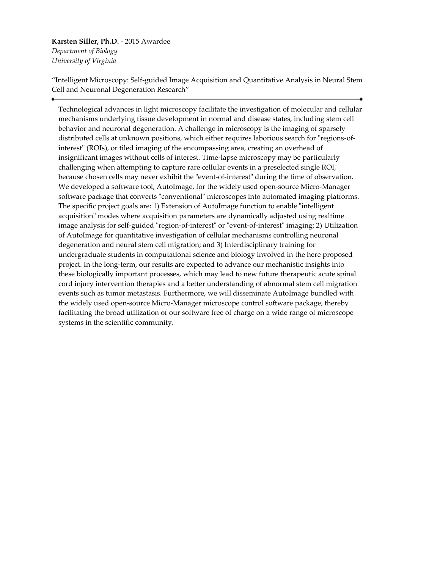## **Karsten Siller, Ph.D.** - 2015 Awardee *Department of Biology University of Virginia*

"Intelligent Microscopy: Self-guided Image Acquisition and Quantitative Analysis in Neural Stem Cell and Neuronal Degeneration Research"

Technological advances in light microscopy facilitate the investigation of molecular and cellular mechanisms underlying tissue development in normal and disease states, including stem cell behavior and neuronal degeneration. A challenge in microscopy is the imaging of sparsely distributed cells at unknown positions, which either requires laborious search for "regions-ofinterest" (ROIs), or tiled imaging of the encompassing area, creating an overhead of insignificant images without cells of interest. Time-lapse microscopy may be particularly challenging when attempting to capture rare cellular events in a preselected single ROI, because chosen cells may never exhibit the "event-of-interest" during the time of observation. We developed a software tool, AutoImage, for the widely used open-source Micro-Manager software package that converts "conventional" microscopes into automated imaging platforms. The specific project goals are: 1) Extension of AutoImage function to enable "intelligent acquisition" modes where acquisition parameters are dynamically adjusted using realtime image analysis for self-guided "region-of-interest" or "event-of-interest" imaging; 2) Utilization of AutoImage for quantitative investigation of cellular mechanisms controlling neuronal degeneration and neural stem cell migration; and 3) Interdisciplinary training for undergraduate students in computational science and biology involved in the here proposed project. In the long-term, our results are expected to advance our mechanistic insights into these biologically important processes, which may lead to new future therapeutic acute spinal cord injury intervention therapies and a better understanding of abnormal stem cell migration events such as tumor metastasis. Furthermore, we will disseminate AutoImage bundled with the widely used open-source Micro-Manager microscope control software package, thereby facilitating the broad utilization of our software free of charge on a wide range of microscope systems in the scientific community.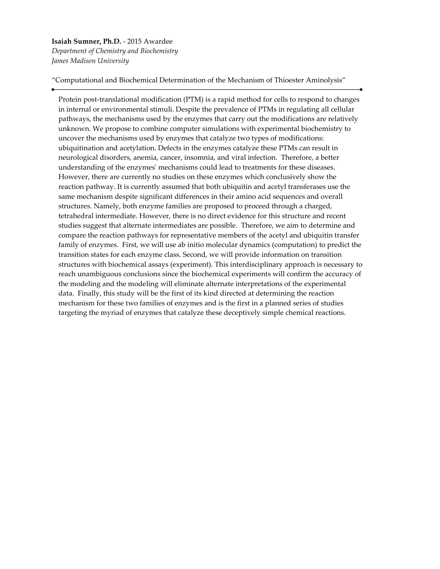**Isaiah Sumner, Ph.D.** - 2015 Awardee *Department of Chemistry and Biochemistry James Madison University*

"Computational and Biochemical Determination of the Mechanism of Thioester Aminolysis"

Protein post-translational modification (PTM) is a rapid method for cells to respond to changes in internal or environmental stimuli. Despite the prevalence of PTMs in regulating all cellular pathways, the mechanisms used by the enzymes that carry out the modifications are relatively unknown. We propose to combine computer simulations with experimental biochemistry to uncover the mechanisms used by enzymes that catalyze two types of modifications: ubiquitination and acetylation. Defects in the enzymes catalyze these PTMs can result in neurological disorders, anemia, cancer, insomnia, and viral infection. Therefore, a better understanding of the enzymes' mechanisms could lead to treatments for these diseases. However, there are currently no studies on these enzymes which conclusively show the reaction pathway. It is currently assumed that both ubiquitin and acetyl transferases use the same mechanism despite significant differences in their amino acid sequences and overall structures. Namely, both enzyme families are proposed to proceed through a charged, tetrahedral intermediate. However, there is no direct evidence for this structure and recent studies suggest that alternate intermediates are possible. Therefore, we aim to determine and compare the reaction pathways for representative members of the acetyl and ubiquitin transfer family of enzymes. First, we will use ab initio molecular dynamics (computation) to predict the transition states for each enzyme class. Second, we will provide information on transition structures with biochemical assays (experiment). This interdisciplinary approach is necessary to reach unambiguous conclusions since the biochemical experiments will confirm the accuracy of the modeling and the modeling will eliminate alternate interpretations of the experimental data. Finally, this study will be the first of its kind directed at determining the reaction mechanism for these two families of enzymes and is the first in a planned series of studies targeting the myriad of enzymes that catalyze these deceptively simple chemical reactions.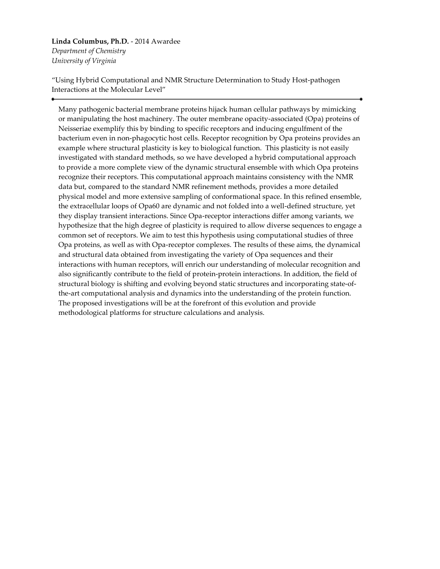**Linda Columbus, Ph.D.** - 2014 Awardee *Department of Chemistry University of Virginia*

"Using Hybrid Computational and NMR Structure Determination to Study Host-pathogen Interactions at the Molecular Level"

Many pathogenic bacterial membrane proteins hijack human cellular pathways by mimicking or manipulating the host machinery. The outer membrane opacity-associated (Opa) proteins of Neisseriae exemplify this by binding to specific receptors and inducing engulfment of the bacterium even in non-phagocytic host cells. Receptor recognition by Opa proteins provides an example where structural plasticity is key to biological function. This plasticity is not easily investigated with standard methods, so we have developed a hybrid computational approach to provide a more complete view of the dynamic structural ensemble with which Opa proteins recognize their receptors. This computational approach maintains consistency with the NMR data but, compared to the standard NMR refinement methods, provides a more detailed physical model and more extensive sampling of conformational space. In this refined ensemble, the extracellular loops of Opa60 are dynamic and not folded into a well-defined structure, yet they display transient interactions. Since Opa-receptor interactions differ among variants, we hypothesize that the high degree of plasticity is required to allow diverse sequences to engage a common set of receptors. We aim to test this hypothesis using computational studies of three Opa proteins, as well as with Opa-receptor complexes. The results of these aims, the dynamical and structural data obtained from investigating the variety of Opa sequences and their interactions with human receptors, will enrich our understanding of molecular recognition and also significantly contribute to the field of protein-protein interactions. In addition, the field of structural biology is shifting and evolving beyond static structures and incorporating state-ofthe-art computational analysis and dynamics into the understanding of the protein function. The proposed investigations will be at the forefront of this evolution and provide methodological platforms for structure calculations and analysis.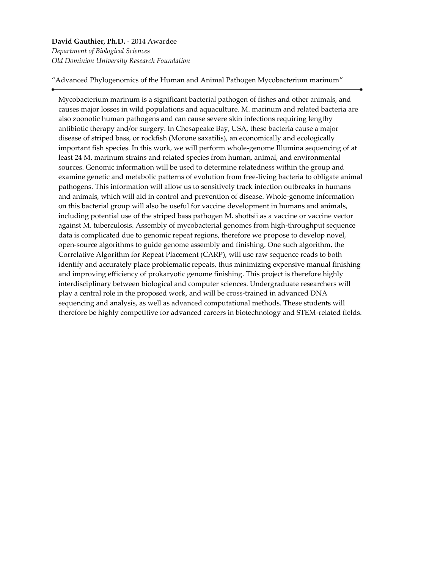## **David Gauthier, Ph.D.** - 2014 Awardee *Department of Biological Sciences Old Dominion University Research Foundation*

"Advanced Phylogenomics of the Human and Animal Pathogen Mycobacterium marinum"

Mycobacterium marinum is a significant bacterial pathogen of fishes and other animals, and causes major losses in wild populations and aquaculture. M. marinum and related bacteria are also zoonotic human pathogens and can cause severe skin infections requiring lengthy antibiotic therapy and/or surgery. In Chesapeake Bay, USA, these bacteria cause a major disease of striped bass, or rockfish (Morone saxatilis), an economically and ecologically important fish species. In this work, we will perform whole-genome Illumina sequencing of at least 24 M. marinum strains and related species from human, animal, and environmental sources. Genomic information will be used to determine relatedness within the group and examine genetic and metabolic patterns of evolution from free-living bacteria to obligate animal pathogens. This information will allow us to sensitively track infection outbreaks in humans and animals, which will aid in control and prevention of disease. Whole-genome information on this bacterial group will also be useful for vaccine development in humans and animals, including potential use of the striped bass pathogen M. shottsii as a vaccine or vaccine vector against M. tuberculosis. Assembly of mycobacterial genomes from high-throughput sequence data is complicated due to genomic repeat regions, therefore we propose to develop novel, open-source algorithms to guide genome assembly and finishing. One such algorithm, the Correlative Algorithm for Repeat Placement (CARP), will use raw sequence reads to both identify and accurately place problematic repeats, thus minimizing expensive manual finishing and improving efficiency of prokaryotic genome finishing. This project is therefore highly interdisciplinary between biological and computer sciences. Undergraduate researchers will play a central role in the proposed work, and will be cross-trained in advanced DNA sequencing and analysis, as well as advanced computational methods. These students will therefore be highly competitive for advanced careers in biotechnology and STEM-related fields.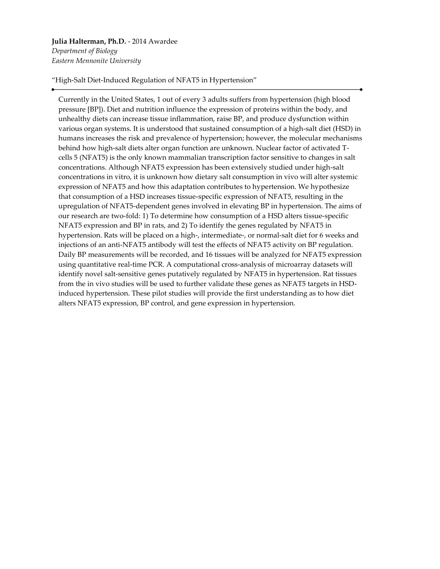# **Julia Halterman, Ph.D.** - 2014 Awardee

*Department of Biology Eastern Mennonite University*

"High-Salt Diet-Induced Regulation of NFAT5 in Hypertension"

Currently in the United States, 1 out of every 3 adults suffers from hypertension (high blood pressure [BP]). Diet and nutrition influence the expression of proteins within the body, and unhealthy diets can increase tissue inflammation, raise BP, and produce dysfunction within various organ systems. It is understood that sustained consumption of a high-salt diet (HSD) in humans increases the risk and prevalence of hypertension; however, the molecular mechanisms behind how high-salt diets alter organ function are unknown. Nuclear factor of activated Tcells 5 (NFAT5) is the only known mammalian transcription factor sensitive to changes in salt concentrations. Although NFAT5 expression has been extensively studied under high-salt concentrations in vitro, it is unknown how dietary salt consumption in vivo will alter systemic expression of NFAT5 and how this adaptation contributes to hypertension. We hypothesize that consumption of a HSD increases tissue-specific expression of NFAT5, resulting in the upregulation of NFAT5-dependent genes involved in elevating BP in hypertension. The aims of our research are two-fold: 1) To determine how consumption of a HSD alters tissue-specific NFAT5 expression and BP in rats, and 2) To identify the genes regulated by NFAT5 in hypertension. Rats will be placed on a high-, intermediate-, or normal-salt diet for 6 weeks and injections of an anti-NFAT5 antibody will test the effects of NFAT5 activity on BP regulation. Daily BP measurements will be recorded, and 16 tissues will be analyzed for NFAT5 expression using quantitative real-time PCR. A computational cross-analysis of microarray datasets will identify novel salt-sensitive genes putatively regulated by NFAT5 in hypertension. Rat tissues from the in vivo studies will be used to further validate these genes as NFAT5 targets in HSDinduced hypertension. These pilot studies will provide the first understanding as to how diet alters NFAT5 expression, BP control, and gene expression in hypertension.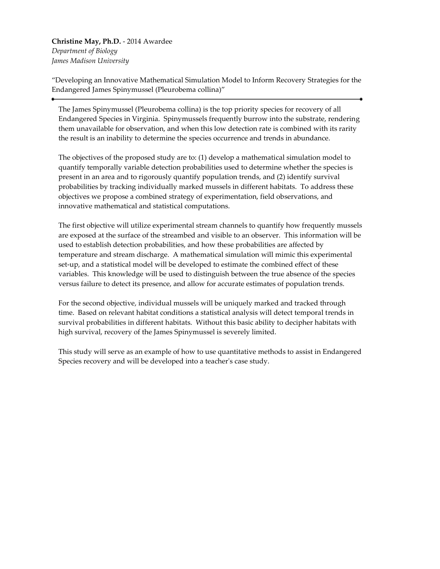**Christine May, Ph.D.** - 2014 Awardee *Department of Biology James Madison University*

"Developing an Innovative Mathematical Simulation Model to Inform Recovery Strategies for the Endangered James Spinymussel (Pleurobema collina)"

The James Spinymussel (Pleurobema collina) is the top priority species for recovery of all Endangered Species in Virginia. Spinymussels frequently burrow into the substrate, rendering them unavailable for observation, and when this low detection rate is combined with its rarity the result is an inability to determine the species occurrence and trends in abundance.

The objectives of the proposed study are to: (1) develop a mathematical simulation model to quantify temporally variable detection probabilities used to determine whether the species is present in an area and to rigorously quantify population trends, and (2) identify survival probabilities by tracking individually marked mussels in different habitats. To address these objectives we propose a combined strategy of experimentation, field observations, and innovative mathematical and statistical computations.

The first objective will utilize experimental stream channels to quantify how frequently mussels are exposed at the surface of the streambed and visible to an observer. This information will be used to establish detection probabilities, and how these probabilities are affected by temperature and stream discharge. A mathematical simulation will mimic this experimental set-up, and a statistical model will be developed to estimate the combined effect of these variables. This knowledge will be used to distinguish between the true absence of the species versus failure to detect its presence, and allow for accurate estimates of population trends.

For the second objective, individual mussels will be uniquely marked and tracked through time. Based on relevant habitat conditions a statistical analysis will detect temporal trends in survival probabilities in different habitats. Without this basic ability to decipher habitats with high survival, recovery of the James Spinymussel is severely limited.

This study will serve as an example of how to use quantitative methods to assist in Endangered Species recovery and will be developed into a teacher's case study.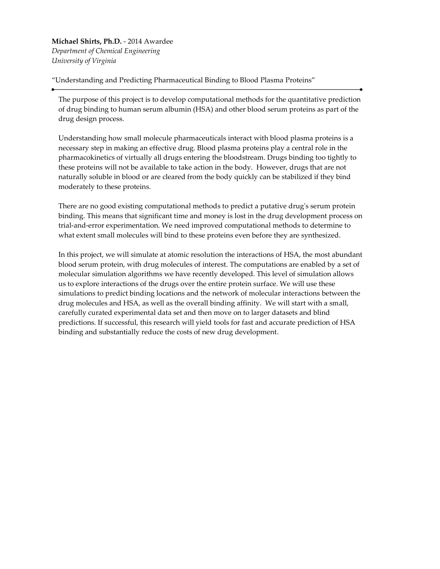**Michael Shirts, Ph.D.** - 2014 Awardee *Department of Chemical Engineering University of Virginia*

"Understanding and Predicting Pharmaceutical Binding to Blood Plasma Proteins"

The purpose of this project is to develop computational methods for the quantitative prediction of drug binding to human serum albumin (HSA) and other blood serum proteins as part of the drug design process.

Understanding how small molecule pharmaceuticals interact with blood plasma proteins is a necessary step in making an effective drug. Blood plasma proteins play a central role in the pharmacokinetics of virtually all drugs entering the bloodstream. Drugs binding too tightly to these proteins will not be available to take action in the body. However, drugs that are not naturally soluble in blood or are cleared from the body quickly can be stabilized if they bind moderately to these proteins.

There are no good existing computational methods to predict a putative drug's serum protein binding. This means that significant time and money is lost in the drug development process on trial-and-error experimentation. We need improved computational methods to determine to what extent small molecules will bind to these proteins even before they are synthesized.

In this project, we will simulate at atomic resolution the interactions of HSA, the most abundant blood serum protein, with drug molecules of interest. The computations are enabled by a set of molecular simulation algorithms we have recently developed. This level of simulation allows us to explore interactions of the drugs over the entire protein surface. We will use these simulations to predict binding locations and the network of molecular interactions between the drug molecules and HSA, as well as the overall binding affinity. We will start with a small, carefully curated experimental data set and then move on to larger datasets and blind predictions. If successful, this research will yield tools for fast and accurate prediction of HSA binding and substantially reduce the costs of new drug development.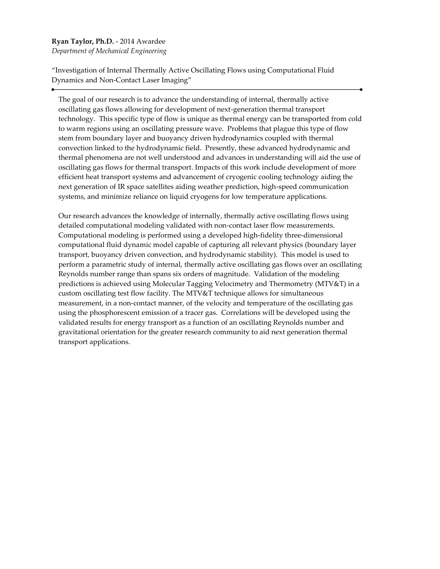#### **Ryan Taylor, Ph.D.** - 2014 Awardee

*Department of Mechanical Engineering*

"Investigation of Internal Thermally Active Oscillating Flows using Computational Fluid Dynamics and Non-Contact Laser Imaging"

The goal of our research is to advance the understanding of internal, thermally active oscillating gas flows allowing for development of next-generation thermal transport technology. This specific type of flow is unique as thermal energy can be transported from cold to warm regions using an oscillating pressure wave. Problems that plague this type of flow stem from boundary layer and buoyancy driven hydrodynamics coupled with thermal convection linked to the hydrodynamic field. Presently, these advanced hydrodynamic and thermal phenomena are not well understood and advances in understanding will aid the use of oscillating gas flows for thermal transport. Impacts of this work include development of more efficient heat transport systems and advancement of cryogenic cooling technology aiding the next generation of IR space satellites aiding weather prediction, high-speed communication systems, and minimize reliance on liquid cryogens for low temperature applications.

Our research advances the knowledge of internally, thermally active oscillating flows using detailed computational modeling validated with non-contact laser flow measurements. Computational modeling is performed using a developed high-fidelity three-dimensional computational fluid dynamic model capable of capturing all relevant physics (boundary layer transport, buoyancy driven convection, and hydrodynamic stability). This model is used to perform a parametric study of internal, thermally active oscillating gas flows over an oscillating Reynolds number range than spans six orders of magnitude. Validation of the modeling predictions is achieved using Molecular Tagging Velocimetry and Thermometry (MTV&T) in a custom oscillating test flow facility. The MTV&T technique allows for simultaneous measurement, in a non-contact manner, of the velocity and temperature of the oscillating gas using the phosphorescent emission of a tracer gas. Correlations will be developed using the validated results for energy transport as a function of an oscillating Reynolds number and gravitational orientation for the greater research community to aid next generation thermal transport applications.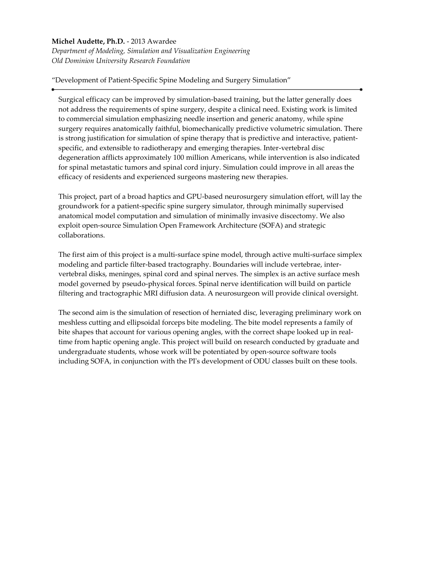#### **Michel Audette, Ph.D.** - 2013 Awardee

*Department of Modeling, Simulation and Visualization Engineering Old Dominion University Research Foundation*

"Development of Patient-Specific Spine Modeling and Surgery Simulation"

Surgical efficacy can be improved by simulation-based training, but the latter generally does not address the requirements of spine surgery, despite a clinical need. Existing work is limited to commercial simulation emphasizing needle insertion and generic anatomy, while spine surgery requires anatomically faithful, biomechanically predictive volumetric simulation. There is strong justification for simulation of spine therapy that is predictive and interactive, patientspecific, and extensible to radiotherapy and emerging therapies. Inter-vertebral disc degeneration afflicts approximately 100 million Americans, while intervention is also indicated for spinal metastatic tumors and spinal cord injury. Simulation could improve in all areas the efficacy of residents and experienced surgeons mastering new therapies.

This project, part of a broad haptics and GPU-based neurosurgery simulation effort, will lay the groundwork for a patient-specific spine surgery simulator, through minimally supervised anatomical model computation and simulation of minimally invasive discectomy. We also exploit open-source Simulation Open Framework Architecture (SOFA) and strategic collaborations.

The first aim of this project is a multi-surface spine model, through active multi-surface simplex modeling and particle filter-based tractography. Boundaries will include vertebrae, intervertebral disks, meninges, spinal cord and spinal nerves. The simplex is an active surface mesh model governed by pseudo-physical forces. Spinal nerve identification will build on particle filtering and tractographic MRI diffusion data. A neurosurgeon will provide clinical oversight.

The second aim is the simulation of resection of herniated disc, leveraging preliminary work on meshless cutting and ellipsoidal forceps bite modeling. The bite model represents a family of bite shapes that account for various opening angles, with the correct shape looked up in realtime from haptic opening angle. This project will build on research conducted by graduate and undergraduate students, whose work will be potentiated by open-source software tools including SOFA, in conjunction with the PI's development of ODU classes built on these tools.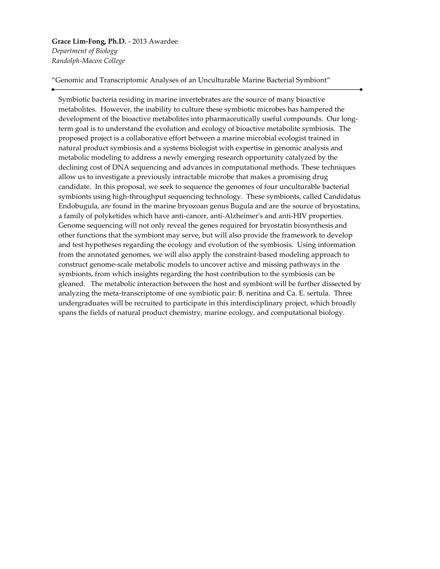#### **Grace Lim-Fong, Ph.D.** - 2013 Awardee *Department of Biology*

*Randolph-Macon College*

"Genomic and Transcriptomic Analyses of an Unculturable Marine Bacterial Symbiont"

Symbiotic bacteria residing in marine invertebrates are the source of many bioactive metabolites. However, the inability to culture these symbiotic microbes has hampered the development of the bioactive metabolites into pharmaceutically useful compounds. Our longterm goal is to understand the evolution and ecology of bioactive metabolite symbiosis. The proposed project is a collaborative effort between a marine microbial ecologist trained in natural product symbiosis and a systems biologist with expertise in genomic analysis and metabolic modeling to address a newly emerging research opportunity catalyzed by the declining cost of DNA sequencing and advances in computational methods. These techniques allow us to investigate a previously intractable microbe that makes a promising drug candidate. In this proposal, we seek to sequence the genomes of four unculturable bacterial symbionts using high-throughput sequencing technology. These symbionts, called Candidatus Endobugula, are found in the marine bryozoan genus Bugula and are the source of bryostatins, a family of polyketides which have anti-cancer, anti-Alzheimer's and anti-HIV properties. Genome sequencing will not only reveal the genes required for bryostatin biosynthesis and other functions that the symbiont may serve, but will also provide the framework to develop and test hypotheses regarding the ecology and evolution of the symbiosis. Using information from the annotated genomes, we will also apply the constraint-based modeling approach to construct genome-scale metabolic models to uncover active and missing pathways in the symbionts, from which insights regarding the host contribution to the symbiosis can be gleaned. The metabolic interaction between the host and symbiont will be further dissected by analyzing the meta-transcriptome of one symbiotic pair: B. neritina and Ca. E. sertula. Three undergraduates will be recruited to participate in this interdisciplinary project, which broadly spans the fields of natural product chemistry, marine ecology, and computational biology.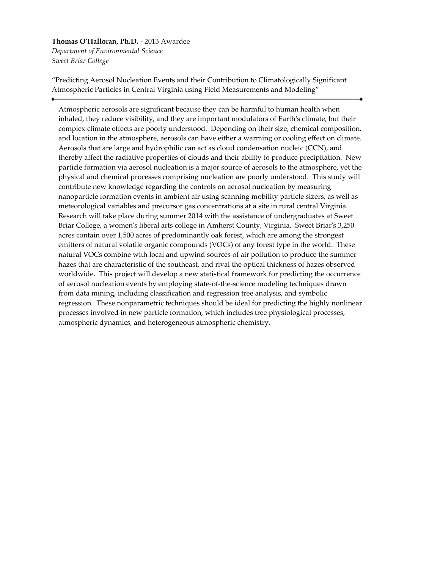## **Thomas O'Halloran, Ph.D.** - 2013 Awardee *Department of Environmental Science*

*Sweet Briar College*

"Predicting Aerosol Nucleation Events and their Contribution to Climatologically Significant Atmospheric Particles in Central Virginia using Field Measurements and Modeling"

Atmospheric aerosols are significant because they can be harmful to human health when inhaled, they reduce visibility, and they are important modulators of Earth's climate, but their complex climate effects are poorly understood. Depending on their size, chemical composition, and location in the atmosphere, aerosols can have either a warming or cooling effect on climate. Aerosols that are large and hydrophilic can act as cloud condensation nucleic (CCN), and thereby affect the radiative properties of clouds and their ability to produce precipitation. New particle formation via aerosol nucleation is a major source of aerosols to the atmosphere, yet the physical and chemical processes comprising nucleation are poorly understood. This study will contribute new knowledge regarding the controls on aerosol nucleation by measuring nanoparticle formation events in ambient air using scanning mobility particle sizers, as well as meteorological variables and precursor gas concentrations at a site in rural central Virginia. Research will take place during summer 2014 with the assistance of undergraduates at Sweet Briar College, a women's liberal arts college in Amherst County, Virginia. Sweet Briar's 3,250 acres contain over 1,500 acres of predominantly oak forest, which are among the strongest emitters of natural volatile organic compounds (VOCs) of any forest type in the world. These natural VOCs combine with local and upwind sources of air pollution to produce the summer hazes that are characteristic of the southeast, and rival the optical thickness of hazes observed worldwide. This project will develop a new statistical framework for predicting the occurrence of aerosol nucleation events by employing state-of-the-science modeling techniques drawn from data mining, including classification and regression tree analysis, and symbolic regression. These nonparametric techniques should be ideal for predicting the highly nonlinear processes involved in new particle formation, which includes tree physiological processes, atmospheric dynamics, and heterogeneous atmospheric chemistry.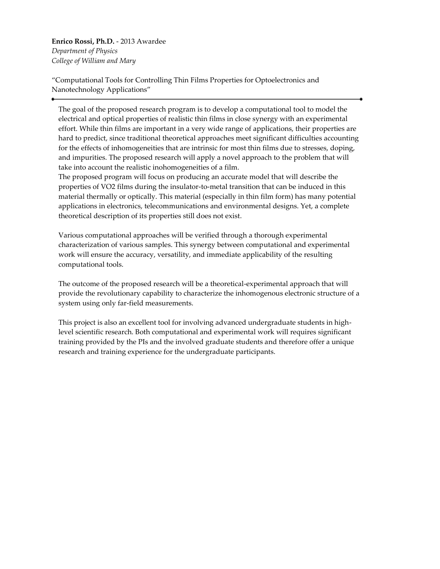**Enrico Rossi, Ph.D.** - 2013 Awardee *Department of Physics College of William and Mary*

"Computational Tools for Controlling Thin Films Properties for Optoelectronics and Nanotechnology Applications"

The goal of the proposed research program is to develop a computational tool to model the electrical and optical properties of realistic thin films in close synergy with an experimental effort. While thin films are important in a very wide range of applications, their properties are hard to predict, since traditional theoretical approaches meet significant difficulties accounting for the effects of inhomogeneities that are intrinsic for most thin films due to stresses, doping, and impurities. The proposed research will apply a novel approach to the problem that will take into account the realistic inohomogeneities of a film.

The proposed program will focus on producing an accurate model that will describe the properties of VO2 films during the insulator-to-metal transition that can be induced in this material thermally or optically. This material (especially in thin film form) has many potential applications in electronics, telecommunications and environmental designs. Yet, a complete theoretical description of its properties still does not exist.

Various computational approaches will be verified through a thorough experimental characterization of various samples. This synergy between computational and experimental work will ensure the accuracy, versatility, and immediate applicability of the resulting computational tools.

The outcome of the proposed research will be a theoretical-experimental approach that will provide the revolutionary capability to characterize the inhomogenous electronic structure of a system using only far-field measurements.

This project is also an excellent tool for involving advanced undergraduate students in highlevel scientific research. Both computational and experimental work will requires significant training provided by the PIs and the involved graduate students and therefore offer a unique research and training experience for the undergraduate participants.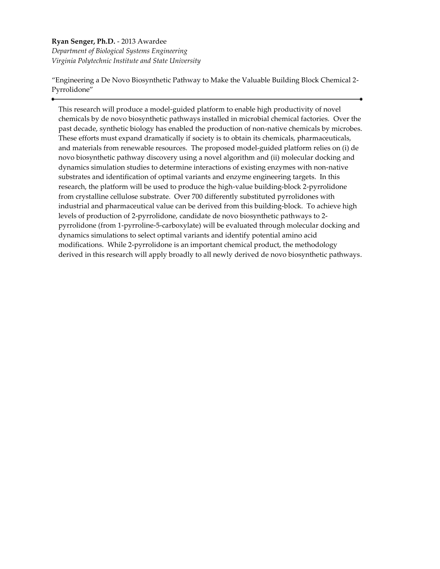### **Ryan Senger, Ph.D.** - 2013 Awardee *Department of Biological Systems Engineering Virginia Polytechnic Institute and State University*

"Engineering a De Novo Biosynthetic Pathway to Make the Valuable Building Block Chemical 2- Pyrrolidone"

This research will produce a model-guided platform to enable high productivity of novel chemicals by de novo biosynthetic pathways installed in microbial chemical factories. Over the past decade, synthetic biology has enabled the production of non-native chemicals by microbes. These efforts must expand dramatically if society is to obtain its chemicals, pharmaceuticals, and materials from renewable resources. The proposed model-guided platform relies on (i) de novo biosynthetic pathway discovery using a novel algorithm and (ii) molecular docking and dynamics simulation studies to determine interactions of existing enzymes with non-native substrates and identification of optimal variants and enzyme engineering targets. In this research, the platform will be used to produce the high-value building-block 2-pyrrolidone from crystalline cellulose substrate. Over 700 differently substituted pyrrolidones with industrial and pharmaceutical value can be derived from this building-block. To achieve high levels of production of 2-pyrrolidone, candidate de novo biosynthetic pathways to 2 pyrrolidone (from 1-pyrroline-5-carboxylate) will be evaluated through molecular docking and dynamics simulations to select optimal variants and identify potential amino acid modifications. While 2-pyrrolidone is an important chemical product, the methodology derived in this research will apply broadly to all newly derived de novo biosynthetic pathways.